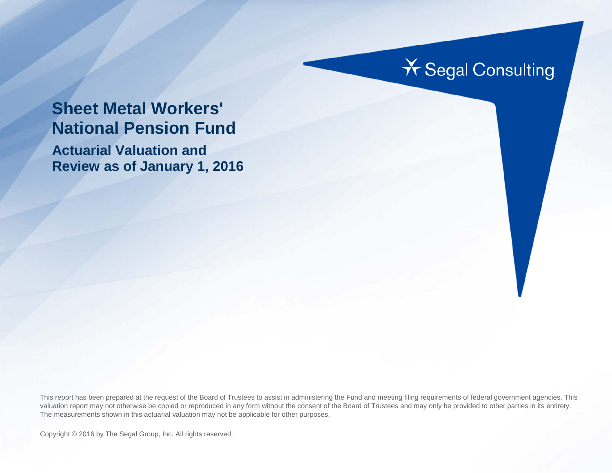# **X** Segal Consulting

# **Sheet Metal Workers' National Pension Fund**

**Actuarial Valuation and Review as of January 1, 2016**

This report has been prepared at the request of the Board of Trustees to assist in administering the Fund and meeting filing requirements of federal government agencies. This valuation report may not otherwise be copied or reproduced in any form without the consent of the Board of Trustees and may only be provided to other parties in its entirety. The measurements shown in this actuarial valuation may not be applicable for other purposes.

Copyright © 2016 by The Segal Group, Inc. All rights reserved.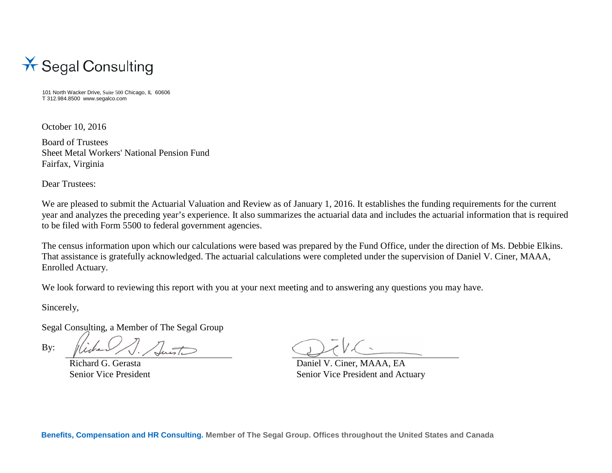

101 North Wacker Drive, Suite 500 Chicago, IL 60606 T 312.984.8500 www.segalco.com

October 10, 2016

Board of Trustees Sheet Metal Workers' National Pension Fund Fairfax, Virginia

Dear Trustees:

We are pleased to submit the Actuarial Valuation and Review as of January 1, 2016. It establishes the funding requirements for the current year and analyzes the preceding year's experience. It also summarizes the actuarial data and includes the actuarial information that is required to be filed with Form 5500 to federal government agencies.

The census information upon which our calculations were based was prepared by the Fund Office, under the direction of Ms. Debbie Elkins. That assistance is gratefully acknowledged. The actuarial calculations were completed under the supervision of Daniel V. Ciner, MAAA, Enrolled Actuary.

We look forward to reviewing this report with you at your next meeting and to answering any questions you may have.

Sincerely,

Segal Consulting, a Member of The Segal Group

By:

Richard G. Gerasta Daniel V. Ciner, MAAA, EA Senior Vice President Senior Vice President Senior Vice President and Actuary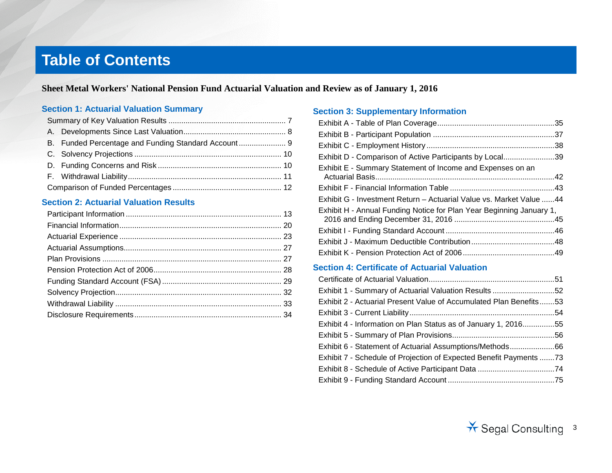# **Table of Contents**

**Sheet Metal Workers' National Pension Fund Actuarial Valuation and Review as of January 1, 2016**

#### **Section 1: Actuarial Valuation Summary**

#### **Section 2: Actuarial Valuation Results**

#### **Section 3: Supplementary Information**

| Exhibit D - Comparison of Active Participants by Local39             |  |
|----------------------------------------------------------------------|--|
| Exhibit E - Summary Statement of Income and Expenses on an           |  |
|                                                                      |  |
| Exhibit G - Investment Return – Actuarial Value vs. Market Value 44  |  |
| Exhibit H - Annual Funding Notice for Plan Year Beginning January 1, |  |
|                                                                      |  |
|                                                                      |  |
|                                                                      |  |

#### **Section 4: Certificate of Actuarial Valuation**

| Exhibit 1 - Summary of Actuarial Valuation Results52               |  |
|--------------------------------------------------------------------|--|
| Exhibit 2 - Actuarial Present Value of Accumulated Plan Benefits53 |  |
|                                                                    |  |
| Exhibit 4 - Information on Plan Status as of January 1, 201655     |  |
|                                                                    |  |
| Exhibit 6 - Statement of Actuarial Assumptions/Methods66           |  |
| Exhibit 7 - Schedule of Projection of Expected Benefit Payments 73 |  |
|                                                                    |  |
|                                                                    |  |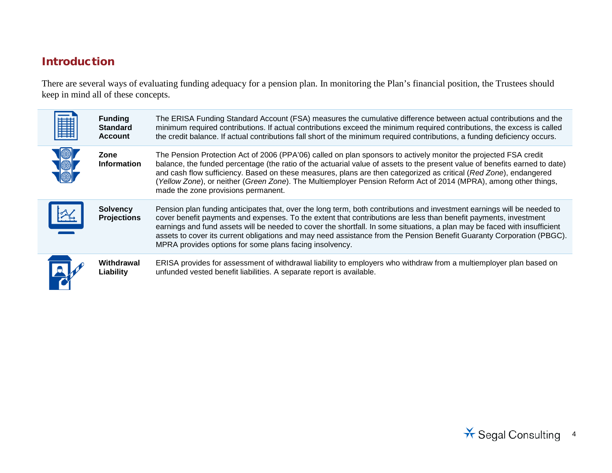# Introduction

There are several ways of evaluating funding adequacy for a pension plan. In monitoring the Plan's financial position, the Trustees should keep in mind all of these concepts.

| ĦĦ<br>鼺 | <b>Funding</b><br><b>Standard</b><br><b>Account</b> | The ERISA Funding Standard Account (FSA) measures the cumulative difference between actual contributions and the<br>minimum required contributions. If actual contributions exceed the minimum required contributions, the excess is called<br>the credit balance. If actual contributions fall short of the minimum required contributions, a funding deficiency occurs.                                                                                                                                                                                    |
|---------|-----------------------------------------------------|--------------------------------------------------------------------------------------------------------------------------------------------------------------------------------------------------------------------------------------------------------------------------------------------------------------------------------------------------------------------------------------------------------------------------------------------------------------------------------------------------------------------------------------------------------------|
|         | Zone<br><b>Information</b>                          | The Pension Protection Act of 2006 (PPA'06) called on plan sponsors to actively monitor the projected FSA credit<br>balance, the funded percentage (the ratio of the actuarial value of assets to the present value of benefits earned to date)<br>and cash flow sufficiency. Based on these measures, plans are then categorized as critical (Red Zone), endangered<br>(Yellow Zone), or neither (Green Zone). The Multiemployer Pension Reform Act of 2014 (MPRA), among other things,<br>made the zone provisions permanent.                              |
|         | <b>Solvency</b><br><b>Projections</b>               | Pension plan funding anticipates that, over the long term, both contributions and investment earnings will be needed to<br>cover benefit payments and expenses. To the extent that contributions are less than benefit payments, investment<br>earnings and fund assets will be needed to cover the shortfall. In some situations, a plan may be faced with insufficient<br>assets to cover its current obligations and may need assistance from the Pension Benefit Guaranty Corporation (PBGC).<br>MPRA provides options for some plans facing insolvency. |
|         | Withdrawal<br>Liability                             | ERISA provides for assessment of withdrawal liability to employers who withdraw from a multiemployer plan based on<br>unfunded vested benefit liabilities. A separate report is available.                                                                                                                                                                                                                                                                                                                                                                   |

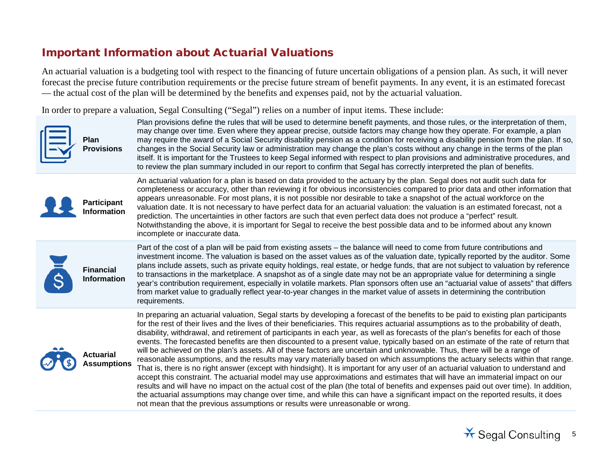### Important Information about Actuarial Valuations

An actuarial valuation is a budgeting tool with respect to the financing of future uncertain obligations of a pension plan. As such, it will never forecast the precise future contribution requirements or the precise future stream of benefit payments. In any event, it is an estimated forecast — the actual cost of the plan will be determined by the benefits and expenses paid, not by the actuarial valuation.

In order to prepare a valuation, Segal Consulting ("Segal") relies on a number of input items. These include:



Plan provisions define the rules that will be used to determine benefit payments, and those rules, or the interpretation of them, may change over time. Even where they appear precise, outside factors may change how they operate. For example, a plan may require the award of a Social Security disability pension as a condition for receiving a disability pension from the plan. If so, changes in the Social Security law or administration may change the plan's costs without any change in the terms of the plan itself. It is important for the Trustees to keep Segal informed with respect to plan provisions and administrative procedures, and to review the plan summary included in our report to confirm that Segal has correctly interpreted the plan of benefits.



An actuarial valuation for a plan is based on data provided to the actuary by the plan. Segal does not audit such data for completeness or accuracy, other than reviewing it for obvious inconsistencies compared to prior data and other information that appears unreasonable. For most plans, it is not possible nor desirable to take a snapshot of the actual workforce on the valuation date. It is not necessary to have perfect data for an actuarial valuation: the valuation is an estimated forecast, not a prediction. The uncertainties in other factors are such that even perfect data does not produce a "perfect" result. Notwithstanding the above, it is important for Segal to receive the best possible data and to be informed about any known incomplete or inaccurate data.



Part of the cost of a plan will be paid from existing assets – the balance will need to come from future contributions and investment income. The valuation is based on the asset values as of the valuation date, typically reported by the auditor. Some plans include assets, such as private equity holdings, real estate, or hedge funds, that are not subject to valuation by reference to transactions in the marketplace. A snapshot as of a single date may not be an appropriate value for determining a single year's contribution requirement, especially in volatile markets. Plan sponsors often use an "actuarial value of assets" that differs from market value to gradually reflect year-to-year changes in the market value of assets in determining the contribution requirements.



In preparing an actuarial valuation, Segal starts by developing a forecast of the benefits to be paid to existing plan participants for the rest of their lives and the lives of their beneficiaries. This requires actuarial assumptions as to the probability of death, disability, withdrawal, and retirement of participants in each year, as well as forecasts of the plan's benefits for each of those events. The forecasted benefits are then discounted to a present value, typically based on an estimate of the rate of return that will be achieved on the plan's assets. All of these factors are uncertain and unknowable. Thus, there will be a range of reasonable assumptions, and the results may vary materially based on which assumptions the actuary selects within that range. That is, there is no right answer (except with hindsight). It is important for any user of an actuarial valuation to understand and accept this constraint. The actuarial model may use approximations and estimates that will have an immaterial impact on our results and will have no impact on the actual cost of the plan (the total of benefits and expenses paid out over time). In addition, the actuarial assumptions may change over time, and while this can have a significant impact on the reported results, it does not mean that the previous assumptions or results were unreasonable or wrong.

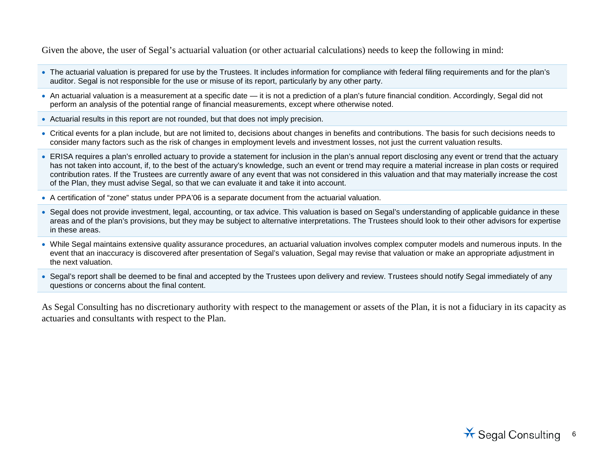Given the above, the user of Segal's actuarial valuation (or other actuarial calculations) needs to keep the following in mind:

- The actuarial valuation is prepared for use by the Trustees. It includes information for compliance with federal filing requirements and for the plan's auditor. Segal is not responsible for the use or misuse of its report, particularly by any other party.
- An actuarial valuation is a measurement at a specific date it is not a prediction of a plan's future financial condition. Accordingly, Segal did not perform an analysis of the potential range of financial measurements, except where otherwise noted.
- Actuarial results in this report are not rounded, but that does not imply precision.
- Critical events for a plan include, but are not limited to, decisions about changes in benefits and contributions. The basis for such decisions needs to consider many factors such as the risk of changes in employment levels and investment losses, not just the current valuation results.
- ERISA requires a plan's enrolled actuary to provide a statement for inclusion in the plan's annual report disclosing any event or trend that the actuary has not taken into account, if, to the best of the actuary's knowledge, such an event or trend may require a material increase in plan costs or required contribution rates. If the Trustees are currently aware of any event that was not considered in this valuation and that may materially increase the cost of the Plan, they must advise Segal, so that we can evaluate it and take it into account.
- A certification of "zone" status under PPA'06 is a separate document from the actuarial valuation.
- Segal does not provide investment, legal, accounting, or tax advice. This valuation is based on Segal's understanding of applicable guidance in these areas and of the plan's provisions, but they may be subject to alternative interpretations. The Trustees should look to their other advisors for expertise in these areas.
- While Segal maintains extensive quality assurance procedures, an actuarial valuation involves complex computer models and numerous inputs. In the event that an inaccuracy is discovered after presentation of Segal's valuation, Segal may revise that valuation or make an appropriate adjustment in the next valuation.
- Segal's report shall be deemed to be final and accepted by the Trustees upon delivery and review. Trustees should notify Segal immediately of any questions or concerns about the final content.

As Segal Consulting has no discretionary authority with respect to the management or assets of the Plan, it is not a fiduciary in its capacity as actuaries and consultants with respect to the Plan.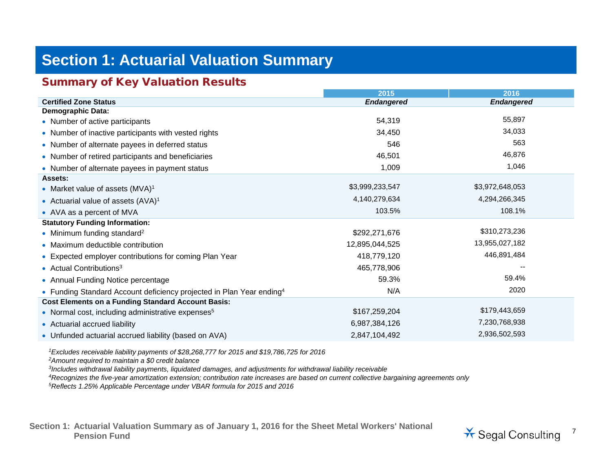# **Section 1: Actuarial Valuation Summary**

### Summary of Key Valuation Results

|                                                                                  | 2015              | 2016              |
|----------------------------------------------------------------------------------|-------------------|-------------------|
| <b>Certified Zone Status</b>                                                     | <b>Endangered</b> | <b>Endangered</b> |
| <b>Demographic Data:</b>                                                         |                   |                   |
| • Number of active participants                                                  | 54,319            | 55,897            |
| • Number of inactive participants with vested rights                             | 34,450            | 34,033            |
| • Number of alternate payees in deferred status                                  | 546               | 563               |
| • Number of retired participants and beneficiaries                               | 46,501            | 46,876            |
| • Number of alternate payees in payment status                                   | 1,009             | 1,046             |
| Assets:                                                                          |                   |                   |
| • Market value of assets (MVA) <sup>1</sup>                                      | \$3,999,233,547   | \$3,972,648,053   |
| • Actuarial value of assets $(AVA)^1$                                            | 4,140,279,634     | 4,294,266,345     |
| • AVA as a percent of MVA                                                        | 103.5%            | 108.1%            |
| <b>Statutory Funding Information:</b>                                            |                   |                   |
| • Minimum funding standard <sup>2</sup>                                          | \$292,271,676     | \$310,273,236     |
| • Maximum deductible contribution                                                | 12,895,044,525    | 13,955,027,182    |
| • Expected employer contributions for coming Plan Year                           | 418,779,120       | 446,891,484       |
| • Actual Contributions <sup>3</sup>                                              | 465,778,906       |                   |
| • Annual Funding Notice percentage                                               | 59.3%             | 59.4%             |
| • Funding Standard Account deficiency projected in Plan Year ending <sup>4</sup> | N/A               | 2020              |
| <b>Cost Elements on a Funding Standard Account Basis:</b>                        |                   |                   |
| • Normal cost, including administrative expenses <sup>5</sup>                    | \$167,259,204     | \$179,443,659     |
| • Actuarial accrued liability                                                    | 6,987,384,126     | 7,230,768,938     |
| • Unfunded actuarial accrued liability (based on AVA)                            | 2,847,104,492     | 2,936,502,593     |

*1Excludes receivable liability payments of \$28,268,777 for 2015 and \$19,786,725 for 2016*

*2Amount required to maintain a \$0 credit balance*

*3Includes withdrawal liability payments, liquidated damages, and adjustments for withdrawal liability receivable*

*4Recognizes the five-year amortization extension; contribution rate increases are based on current collective bargaining agreements only*

*5Reflects 1.25% Applicable Percentage under VBAR formula for 2015 and 2016*

**Section 1: Actuarial Valuation Summary as of January 1, 2016 for the Sheet Metal Workers' National**  Pension Fund<br>Pension Fund<br>
<sup>7</sup> Segal Consulting

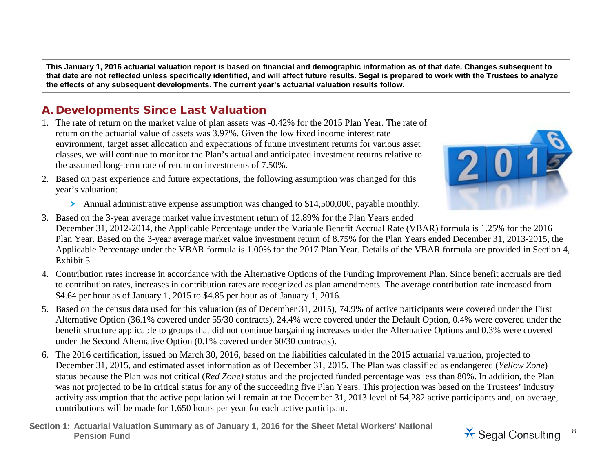**This January 1, 2016 actuarial valuation report is based on financial and demographic information as of that date. Changes subsequent to that date are not reflected unless specifically identified, and will affect future results. Segal is prepared to work with the Trustees to analyze the effects of any subsequent developments. The current year's actuarial valuation results follow.**

## A. Developments Since Last Valuation

- 1. The rate of return on the market value of plan assets was -0.42% for the 2015 Plan Year. The rate of return on the actuarial value of assets was 3.97%. Given the low fixed income interest rate environment, target asset allocation and expectations of future investment returns for various asset classes, we will continue to monitor the Plan's actual and anticipated investment returns relative to the assumed long-term rate of return on investments of 7.50%.
- 
- year's valuation: Annual administrative expense assumption was changed to \$14,500,000, payable monthly.

2. Based on past experience and future expectations, the following assumption was changed for this

- 3. Based on the 3-year average market value investment return of 12.89% for the Plan Years ended December 31, 2012-2014, the Applicable Percentage under the Variable Benefit Accrual Rate (VBAR) formula is 1.25% for the 2016 Plan Year. Based on the 3-year average market value investment return of 8.75% for the Plan Years ended December 31, 2013-2015, the Applicable Percentage under the VBAR formula is 1.00% for the 2017 Plan Year. Details of the VBAR formula are provided in Section 4, Exhibit 5.
- 4. Contribution rates increase in accordance with the Alternative Options of the Funding Improvement Plan. Since benefit accruals are tied to contribution rates, increases in contribution rates are recognized as plan amendments. The average contribution rate increased from \$4.64 per hour as of January 1, 2015 to \$4.85 per hour as of January 1, 2016.
- 5. Based on the census data used for this valuation (as of December 31, 2015), 74.9% of active participants were covered under the First Alternative Option (36.1% covered under 55/30 contracts), 24.4% were covered under the Default Option, 0.4% were covered under the benefit structure applicable to groups that did not continue bargaining increases under the Alternative Options and 0.3% were covered under the Second Alternative Option (0.1% covered under 60/30 contracts).
- 6. The 2016 certification, issued on March 30, 2016, based on the liabilities calculated in the 2015 actuarial valuation, projected to December 31, 2015, and estimated asset information as of December 31, 2015. The Plan was classified as endangered (*Yellow Zone*) status because the Plan was not critical (*Red Zone)* status and the projected funded percentage was less than 80%. In addition, the Plan was not projected to be in critical status for any of the succeeding five Plan Years. This projection was based on the Trustees' industry activity assumption that the active population will remain at the December 31, 2013 level of 54,282 active participants and, on average, contributions will be made for 1,650 hours per year for each active participant.
- **Section 1: Actuarial Valuation Summary as of January 1, 2016 for the Sheet Metal Workers' National**  Pension Fund<br>Pension Fund<br>**Pension Fund**<br>
<sup>8</sup>

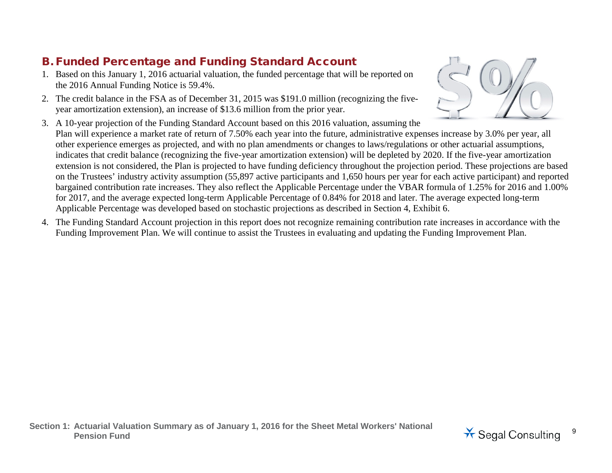# B. Funded Percentage and Funding Standard Account

- 1. Based on this January 1, 2016 actuarial valuation, the funded percentage that will be reported on the 2016 Annual Funding Notice is 59.4%.
- 2. The credit balance in the FSA as of December 31, 2015 was \$191.0 million (recognizing the fiveyear amortization extension), an increase of \$13.6 million from the prior year.
- 3. A 10-year projection of the Funding Standard Account based on this 2016 valuation, assuming the Plan will experience a market rate of return of 7.50% each year into the future, administrative expenses increase by 3.0% per year, all other experience emerges as projected, and with no plan amendments or changes to laws/regulations or other actuarial assumptions, indicates that credit balance (recognizing the five-year amortization extension) will be depleted by 2020. If the five-year amortization extension is not considered, the Plan is projected to have funding deficiency throughout the projection period. These projections are based on the Trustees' industry activity assumption (55,897 active participants and 1,650 hours per year for each active participant) and reported bargained contribution rate increases. They also reflect the Applicable Percentage under the VBAR formula of 1.25% for 2016 and 1.00% for 2017, and the average expected long-term Applicable Percentage of 0.84% for 2018 and later. The average expected long-term Applicable Percentage was developed based on stochastic projections as described in Section 4, Exhibit 6.
- 4. The Funding Standard Account projection in this report does not recognize remaining contribution rate increases in accordance with the Funding Improvement Plan. We will continue to assist the Trustees in evaluating and updating the Funding Improvement Plan.



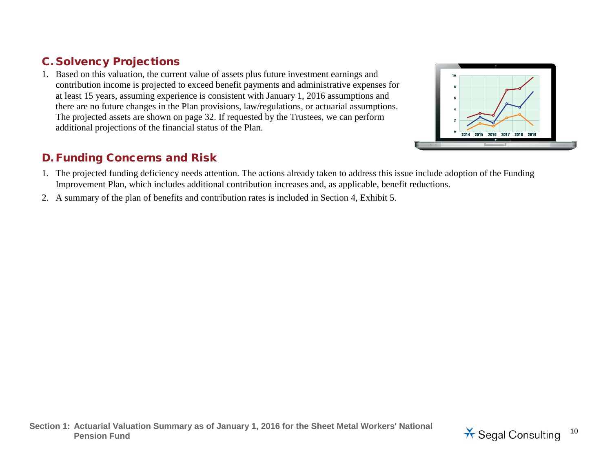## C. Solvency Projections

1. Based on this valuation, the current value of assets plus future investment earnings and contribution income is projected to exceed benefit payments and administrative expenses for at least 15 years, assuming experience is consistent with January 1, 2016 assumptions and there are no future changes in the Plan provisions, law/regulations, or actuarial assumptions. The projected assets are shown on page 32. If requested by the Trustees, we can perform additional projections of the financial status of the Plan.





2. A summary of the plan of benefits and contribution rates is included in Section 4, Exhibit 5.



2014 2015 2016 2017 2018  $2019$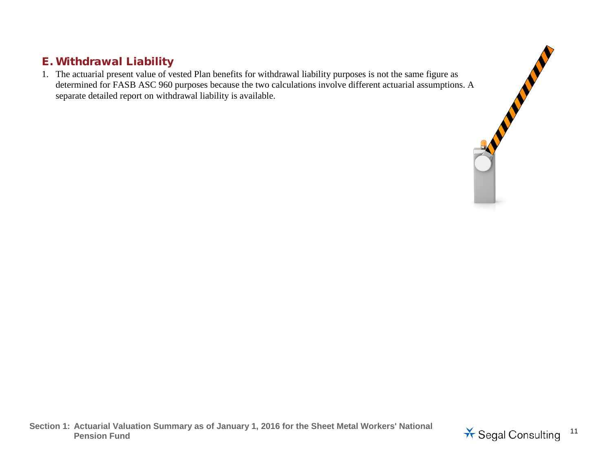## E. Withdrawal Liability

E. Withdrawal Liability<br>
1. The actuarial present value of vested Plan benefits for withdrawal liability purposes is not the same figure as<br>
determined for FASB ASC 960 purposes because the two calculations involve differe determined for FASB ASC 960 purposes because the two calculations involve different actuarial assumptions. A separate detailed report on withdrawal liability is available.

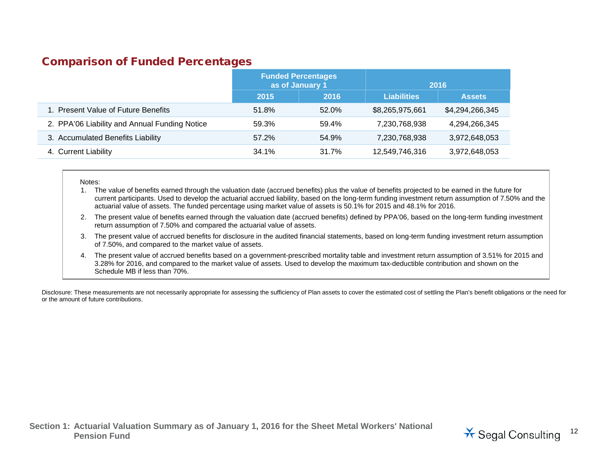#### Comparison of Funded Percentages

|                                               | <b>Funded Percentages</b><br>as of January 1 |       |                    | 2016            |
|-----------------------------------------------|----------------------------------------------|-------|--------------------|-----------------|
|                                               | 2015                                         | 2016  | <b>Liabilities</b> | <b>Assets</b>   |
| 1. Present Value of Future Benefits           | 51.8%                                        | 52.0% | \$8,265,975,661    | \$4,294,266,345 |
| 2. PPA'06 Liability and Annual Funding Notice | 59.3%                                        | 59.4% | 7,230,768,938      | 4,294,266,345   |
| 3. Accumulated Benefits Liability             | 57.2%                                        | 54.9% | 7,230,768,938      | 3,972,648,053   |
| 4. Current Liability                          | 34.1%                                        | 31.7% | 12,549,746,316     | 3,972,648,053   |

#### Notes:

- 1. The value of benefits earned through the valuation date (accrued benefits) plus the value of benefits projected to be earned in the future for current participants. Used to develop the actuarial accrued liability, based on the long-term funding investment return assumption of 7.50% and the actuarial value of assets. The funded percentage using market value of assets is 50.1% for 2015 and 48.1% for 2016.
- 2. The present value of benefits earned through the valuation date (accrued benefits) defined by PPA'06, based on the long-term funding investment return assumption of 7.50% and compared the actuarial value of assets.
- 3. The present value of accrued benefits for disclosure in the audited financial statements, based on long-term funding investment return assumption of 7.50%, and compared to the market value of assets.
- 4. The present value of accrued benefits based on a government-prescribed mortality table and investment return assumption of 3.51% for 2015 and 3.28% for 2016, and compared to the market value of assets. Used to develop the maximum tax-deductible contribution and shown on the Schedule MB if less than 70%.

Disclosure: These measurements are not necessarily appropriate for assessing the sufficiency of Plan assets to cover the estimated cost of settling the Plan's benefit obligations or the need for or the amount of future contributions.

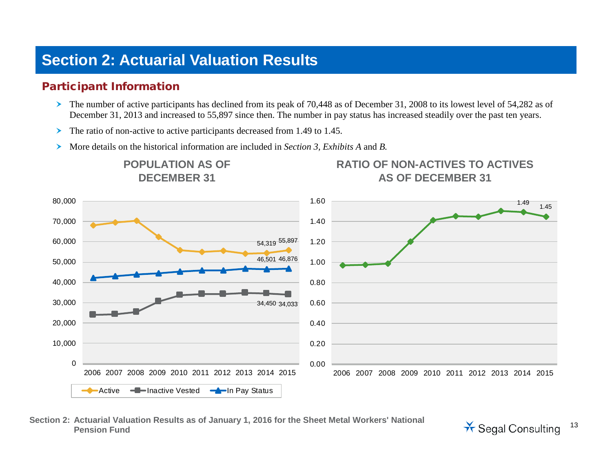# **Section 2: Actuarial Valuation Results**

## Participant Information

- The number of active participants has declined from its peak of 70,448 as of December 31, 2008 to its lowest level of 54,282 as of December 31, 2013 and increased to 55,897 since then. The number in pay status has increased steadily over the past ten years.
- $\triangleright$  The ratio of non-active to active participants decreased from 1.49 to 1.45.
- More details on the historical information are included in *Section 3, Exhibits A* and *B.*



**Section 2: Actuarial Valuation Results as of January 1, 2016 for the Sheet Metal Workers' National** 

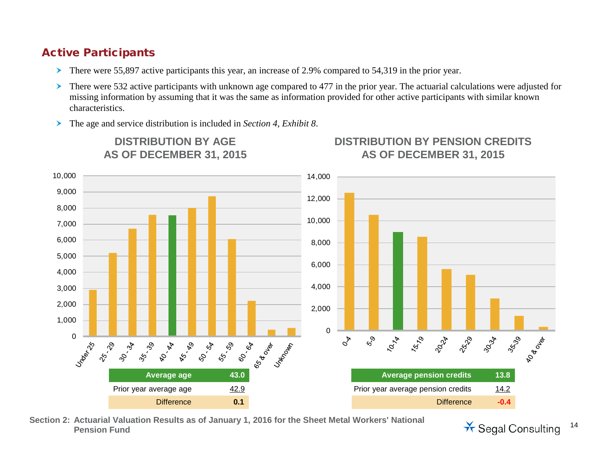### Active Participants

- There were 55,897 active participants this year, an increase of 2.9% compared to 54,319 in the prior year.
- $\triangleright$  There were 532 active participants with unknown age compared to 477 in the prior year. The actuarial calculations were adjusted for missing information by assuming that it was the same as information provided for other active participants with similar known characteristics.
- The age and service distribution is included in *Section 4, Exhibit 8*.



**DISTRIBUTION BY PENSION CREDITS**

**Section 2: Actuarial Valuation Results as of January 1, 2016 for the Sheet Metal Workers' National** 

**Penal Consulting** 14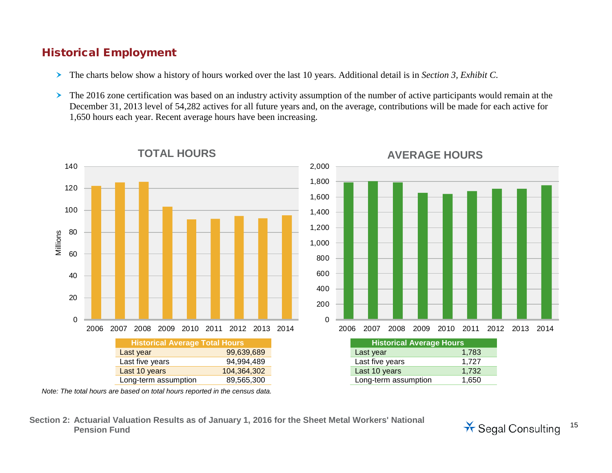### Historical Employment

- The charts below show a history of hours worked over the last 10 years. Additional detail is in *Section 3, Exhibit C*.
- The 2016 zone certification was based on an industry activity assumption of the number of active participants would remain at the December 31, 2013 level of 54,282 actives for all future years and, on the average, contributions will be made for each active for 1,650 hours each year. Recent average hours have been increasing.



#### **TOTAL HOURS AVERAGE HOURS**





*Note: The total hours are based on total hours reported in the census data.*

**Section 2: Actuarial Valuation Results as of January 1, 2016 for the Sheet Metal Workers' National**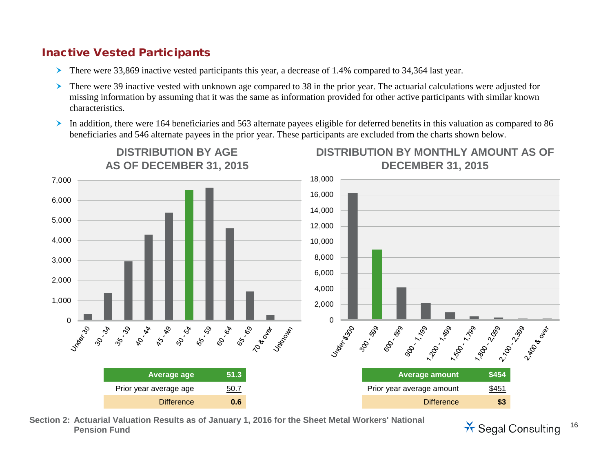### Inactive Vested Participants

- There were 33,869 inactive vested participants this year, a decrease of 1.4% compared to 34,364 last year.
- There were 39 inactive vested with unknown age compared to 38 in the prior year. The actuarial calculations were adjusted for missing information by assuming that it was the same as information provided for other active participants with similar known characteristics.
- In addition, there were 164 beneficiaries and 563 alternate payees eligible for deferred benefits in this valuation as compared to 86 beneficiaries and 546 alternate payees in the prior year. These participants are excluded from the charts shown below.



**Section 2: Actuarial Valuation Results as of January 1, 2016 for the Sheet Metal Workers' National** 

**Pr** Segal Consulting 16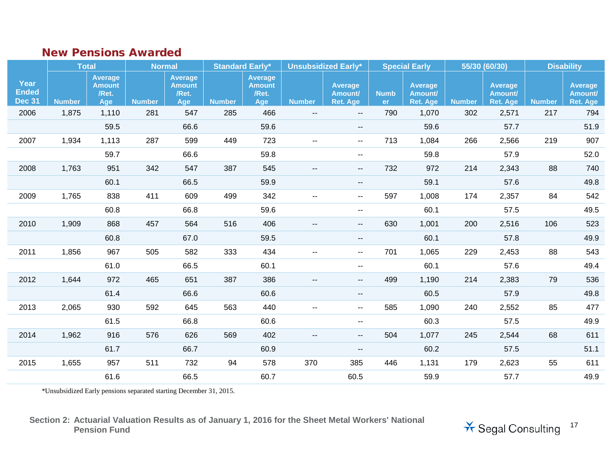### New Pensions Awarded

|                                       | <b>Total</b>  |                                                 |               | <b>Normal</b>                                   |               | <b>Standard Early*</b>                          |                          | <b>Unsubsidized Early*</b>                    |                     | <b>Special Early</b>                  |               | 55/30 (60/30)                         |               | <b>Disability</b>                            |
|---------------------------------------|---------------|-------------------------------------------------|---------------|-------------------------------------------------|---------------|-------------------------------------------------|--------------------------|-----------------------------------------------|---------------------|---------------------------------------|---------------|---------------------------------------|---------------|----------------------------------------------|
| Year<br><b>Ended</b><br><b>Dec 31</b> | <b>Number</b> | <b>Average</b><br><b>Amount</b><br>/Ret.<br>Age | <b>Number</b> | <b>Average</b><br><b>Amount</b><br>/Ret.<br>Age | <b>Number</b> | <b>Average</b><br><b>Amount</b><br>/Ret.<br>Age | <b>Number</b>            | <b>Average</b><br>Amount/<br><b>Ret. Age</b>  | <b>Numb</b><br>er : | Average<br>Amount/<br><b>Ret. Age</b> | <b>Number</b> | Average<br>Amount/<br><b>Ret. Age</b> | <b>Number</b> | <b>Average</b><br>Amount/<br><b>Ret. Age</b> |
| 2006                                  | 1,875         | 1,110                                           | 281           | 547                                             | 285           | 466                                             | $\overline{\phantom{a}}$ | $\overline{\phantom{a}}$                      | 790                 | 1,070                                 | 302           | 2,571                                 | 217           | 794                                          |
|                                       |               | 59.5                                            |               | 66.6                                            |               | 59.6                                            |                          | --                                            |                     | 59.6                                  |               | 57.7                                  |               | 51.9                                         |
| 2007                                  | 1,934         | 1,113                                           | 287           | 599                                             | 449           | 723                                             | $\overline{\phantom{a}}$ | $\overline{\phantom{a}}$                      | 713                 | 1,084                                 | 266           | 2,566                                 | 219           | 907                                          |
|                                       |               | 59.7                                            |               | 66.6                                            |               | 59.8                                            |                          | н.                                            |                     | 59.8                                  |               | 57.9                                  |               | 52.0                                         |
| 2008                                  | 1,763         | 951                                             | 342           | 547                                             | 387           | 545                                             | --                       | ۰.                                            | 732                 | 972                                   | 214           | 2,343                                 | 88            | 740                                          |
|                                       |               | 60.1                                            |               | 66.5                                            |               | 59.9                                            |                          | $\overline{\phantom{a}}$                      |                     | 59.1                                  |               | 57.6                                  |               | 49.8                                         |
| 2009                                  | 1,765         | 838                                             | 411           | 609                                             | 499           | 342                                             | $\overline{\phantom{a}}$ | ۰.                                            | 597                 | 1,008                                 | 174           | 2,357                                 | 84            | 542                                          |
|                                       |               | 60.8                                            |               | 66.8                                            |               | 59.6                                            |                          | $\mathord{\hspace{1pt}\text{--}\hspace{1pt}}$ |                     | 60.1                                  |               | 57.5                                  |               | 49.5                                         |
| 2010                                  | 1,909         | 868                                             | 457           | 564                                             | 516           | 406                                             | --                       | --                                            | 630                 | 1,001                                 | 200           | 2,516                                 | 106           | 523                                          |
|                                       |               | 60.8                                            |               | 67.0                                            |               | 59.5                                            |                          | $\overline{\phantom{a}}$                      |                     | 60.1                                  |               | 57.8                                  |               | 49.9                                         |
| 2011                                  | 1,856         | 967                                             | 505           | 582                                             | 333           | 434                                             | --                       | $\sim$ $\sim$                                 | 701                 | 1,065                                 | 229           | 2,453                                 | 88            | 543                                          |
|                                       |               | 61.0                                            |               | 66.5                                            |               | 60.1                                            |                          | ۰.                                            |                     | 60.1                                  |               | 57.6                                  |               | 49.4                                         |
| 2012                                  | 1,644         | 972                                             | 465           | 651                                             | 387           | 386                                             | $-$                      | $\qquad \qquad -$                             | 499                 | 1,190                                 | 214           | 2,383                                 | 79            | 536                                          |
|                                       |               | 61.4                                            |               | 66.6                                            |               | 60.6                                            |                          | $\overline{\phantom{a}}$                      |                     | 60.5                                  |               | 57.9                                  |               | 49.8                                         |
| 2013                                  | 2,065         | 930                                             | 592           | 645                                             | 563           | 440                                             | $\overline{\phantom{a}}$ | $\overline{\phantom{a}}$                      | 585                 | 1,090                                 | 240           | 2,552                                 | 85            | 477                                          |
|                                       |               | 61.5                                            |               | 66.8                                            |               | 60.6                                            |                          | $\mathord{\hspace{1pt}\text{--}\hspace{1pt}}$ |                     | 60.3                                  |               | 57.5                                  |               | 49.9                                         |
| 2014                                  | 1,962         | 916                                             | 576           | 626                                             | 569           | 402                                             | $\overline{a}$           | --                                            | 504                 | 1,077                                 | 245           | 2,544                                 | 68            | 611                                          |
|                                       |               | 61.7                                            |               | 66.7                                            |               | 60.9                                            |                          | --                                            |                     | 60.2                                  |               | 57.5                                  |               | 51.1                                         |
| 2015                                  | 1,655         | 957                                             | 511           | 732                                             | 94            | 578                                             | 370                      | 385                                           | 446                 | 1,131                                 | 179           | 2,623                                 | 55            | 611                                          |
|                                       |               | 61.6                                            |               | 66.5                                            |               | 60.7                                            |                          | 60.5                                          |                     | 59.9                                  |               | 57.7                                  |               | 49.9                                         |

\*Unsubsidized Early pensions separated starting December 31, 2015.

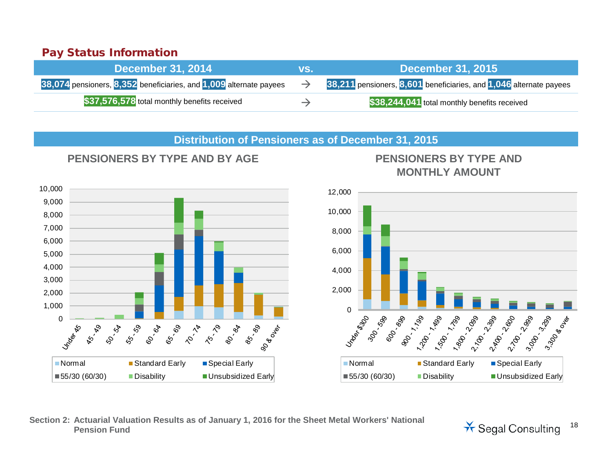### Pay Status Information

| <b>December 31, 2014</b>                                           | VS.           | $\blacksquare$ December 31, 2015                                   |
|--------------------------------------------------------------------|---------------|--------------------------------------------------------------------|
| 38,074 pensioners, 8,352 beneficiaries, and 1,009 alternate payees |               | 38,211 pensioners, 8,601 beneficiaries, and 1,046 alternate payees |
| \$37,576,578 total monthly benefits received                       | $\rightarrow$ | \$38,244,041 total monthly benefits received                       |

#### **Distribution of Pensioners as of December 31, 2015**



# **PENSIONERS BY TYPE AND BY AGE PENSIONERS BY TYPE AND MONTHLY AMOUNT**



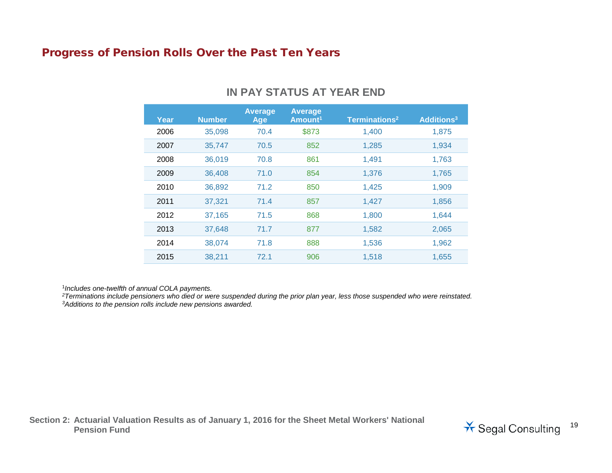#### Progress of Pension Rolls Over the Past Ten Years

| Year | <b>Number</b> | <b>Average</b><br>Age | <b>Average</b><br>Amount <sup>1</sup> | Terminations <sup>2</sup> | Additions <sup>3</sup> |
|------|---------------|-----------------------|---------------------------------------|---------------------------|------------------------|
| 2006 | 35,098        | 70.4                  | \$873                                 | 1,400                     | 1,875                  |
| 2007 | 35,747        | 70.5                  | 852                                   | 1,285                     | 1,934                  |
| 2008 | 36,019        | 70.8                  | 861                                   | 1,491                     | 1,763                  |
| 2009 | 36,408        | 71.0                  | 854                                   | 1,376                     | 1,765                  |
| 2010 | 36,892        | 71.2                  | 850                                   | 1,425                     | 1,909                  |
| 2011 | 37,321        | 71.4                  | 857                                   | 1,427                     | 1,856                  |
| 2012 | 37,165        | 71.5                  | 868                                   | 1,800                     | 1,644                  |
| 2013 | 37,648        | 71.7                  | 877                                   | 1,582                     | 2,065                  |
| 2014 | 38,074        | 71.8                  | 888                                   | 1,536                     | 1,962                  |
| 2015 | 38,211        | 72.1                  | 906                                   | 1,518                     | 1,655                  |

#### **IN PAY STATUS AT YEAR END**

<sup>1</sup>*Includes one-twelfth of annual COLA payments.*

*2Terminations include pensioners who died or were suspended during the prior plan year, less those suspended who were reinstated. 3Additions to the pension rolls include new pensions awarded.*

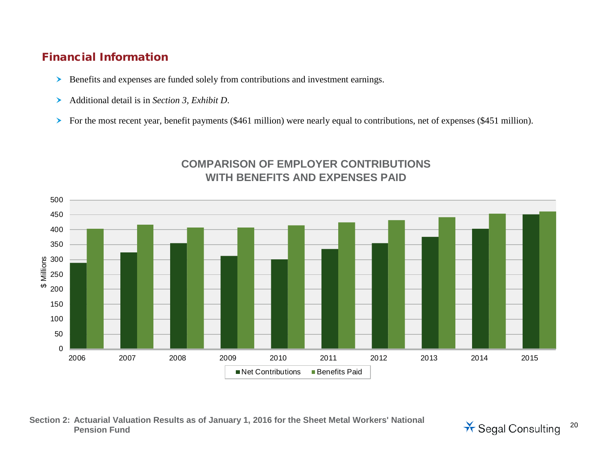### Financial Information

- Benefits and expenses are funded solely from contributions and investment earnings.
- Additional detail is in *Section 3, Exhibit D*.
- For the most recent year, benefit payments (\$461 million) were nearly equal to contributions, net of expenses (\$451 million).



### **COMPARISON OF EMPLOYER CONTRIBUTIONS WITH BENEFITS AND EXPENSES PAID**

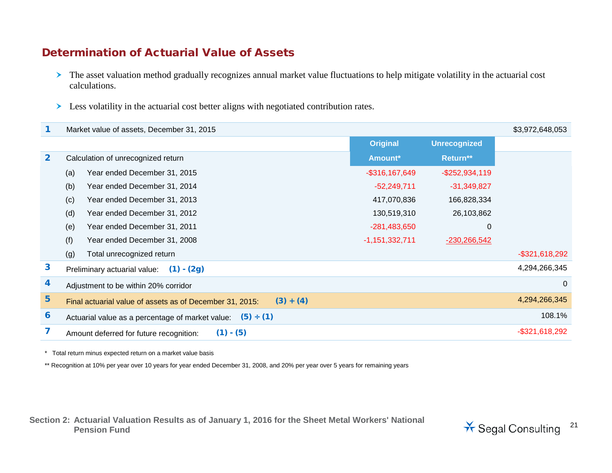### Determination of Actuarial Value of Assets

- > The asset valuation method gradually recognizes annual market value fluctuations to help mitigate volatility in the actuarial cost calculations.
- **Example 3** Less volatility in the actuarial cost better aligns with negotiated contribution rates.

|                  | Market value of assets, December 31, 2015                               |                   |                     |                   |  |  |  |
|------------------|-------------------------------------------------------------------------|-------------------|---------------------|-------------------|--|--|--|
|                  |                                                                         | <b>Original</b>   | <b>Unrecognized</b> |                   |  |  |  |
| $\overline{2}$   | Calculation of unrecognized return                                      | Amount*           | Return**            |                   |  |  |  |
|                  | Year ended December 31, 2015<br>(a)                                     | $-$ \$316,167,649 | $-$ \$252,934,119   |                   |  |  |  |
|                  | Year ended December 31, 2014<br>(b)                                     | $-52,249,711$     | $-31,349,827$       |                   |  |  |  |
|                  | Year ended December 31, 2013<br>(c)                                     | 417,070,836       | 166,828,334         |                   |  |  |  |
|                  | (d)<br>Year ended December 31, 2012                                     | 130,519,310       | 26,103,862          |                   |  |  |  |
|                  | Year ended December 31, 2011<br>(e)                                     | $-281,483,650$    | $\mathbf 0$         |                   |  |  |  |
|                  | (f)<br>Year ended December 31, 2008                                     | $-1,151,332,711$  | $-230,266,542$      |                   |  |  |  |
|                  | Total unrecognized return<br>(g)                                        |                   |                     | $-$ \$321,618,292 |  |  |  |
| $\mathbf{3}$     | $(1) - (2g)$<br>Preliminary actuarial value:                            |                   |                     | 4,294,266,345     |  |  |  |
| 4                | Adjustment to be within 20% corridor                                    |                   |                     |                   |  |  |  |
| 5                | $(3) + (4)$<br>Final actuarial value of assets as of December 31, 2015: |                   |                     | 4,294,266,345     |  |  |  |
| $\boldsymbol{6}$ | (5) ÷ (1)<br>Actuarial value as a percentage of market value:           |                   |                     |                   |  |  |  |
|                  | $(1) - (5)$<br>Amount deferred for future recognition:                  |                   |                     | $-$ \$321,618,292 |  |  |  |

\* Total return minus expected return on a market value basis

\*\* Recognition at 10% per year over 10 years for year ended December 31, 2008, and 20% per year over 5 years for remaining years

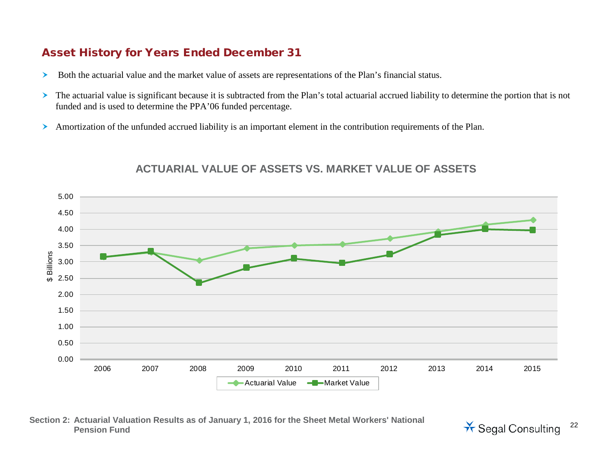#### Asset History for Years Ended December 31

- Both the actuarial value and the market value of assets are representations of the Plan's financial status.
- The actuarial value is significant because it is subtracted from the Plan's total actuarial accrued liability to determine the portion that is not funded and is used to determine the PPA'06 funded percentage.
- Amortization of the unfunded accrued liability is an important element in the contribution requirements of the Plan.



#### **ACTUARIAL VALUE OF ASSETS VS. MARKET VALUE OF ASSETS**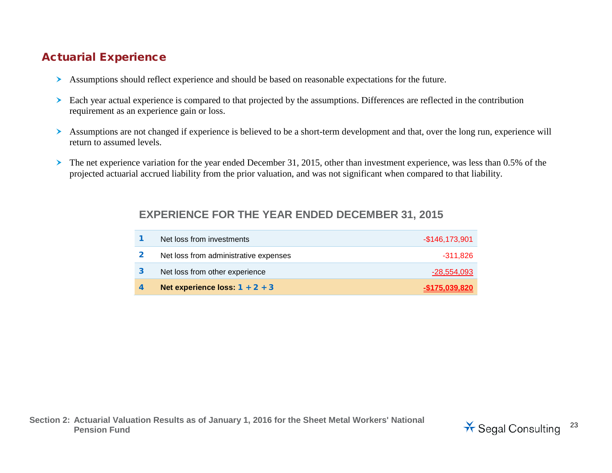## Actuarial Experience

- Assumptions should reflect experience and should be based on reasonable expectations for the future.
- Each year actual experience is compared to that projected by the assumptions. Differences are reflected in the contribution requirement as an experience gain or loss.
- Assumptions are not changed if experience is believed to be a short-term development and that, over the long run, experience will return to assumed levels.
- The net experience variation for the year ended December 31, 2015, other than investment experience, was less than 0.5% of the projected actuarial accrued liability from the prior valuation, and was not significant when compared to that liability.

### **EXPERIENCE FOR THE YEAR ENDED DECEMBER 31, 2015**

| Net loss from investments             | $-$146,173,901$ |
|---------------------------------------|-----------------|
| Net loss from administrative expenses | -311.826        |
| Net loss from other experience        | $-28,554,093$   |
| Net experience loss: $1 + 2 + 3$      | $-$175.039.820$ |

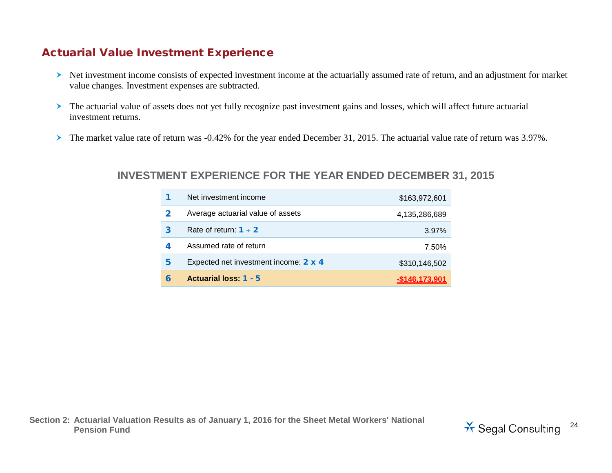### Actuarial Value Investment Experience

- Net investment income consists of expected investment income at the actuarially assumed rate of return, and an adjustment for market value changes. Investment expenses are subtracted.
- The actuarial value of assets does not yet fully recognize past investment gains and losses, which will affect future actuarial investment returns.
- The market value rate of return was -0.42% for the year ended December 31, 2015. The actuarial value rate of return was 3.97%.

#### **INVESTMENT EXPERIENCE FOR THE YEAR ENDED DECEMBER 31, 2015**

|   | Net investment income                 | \$163,972,601 |
|---|---------------------------------------|---------------|
| 2 | Average actuarial value of assets     | 4,135,286,689 |
| 3 | Rate of return: $1 \div 2$            | 3.97%         |
| 4 | Assumed rate of return                | 7.50%         |
| 5 | Expected net investment income: 2 x 4 | \$310,146,502 |
| 6 | Actuarial loss: 1 - 5                 | 146.173.901   |

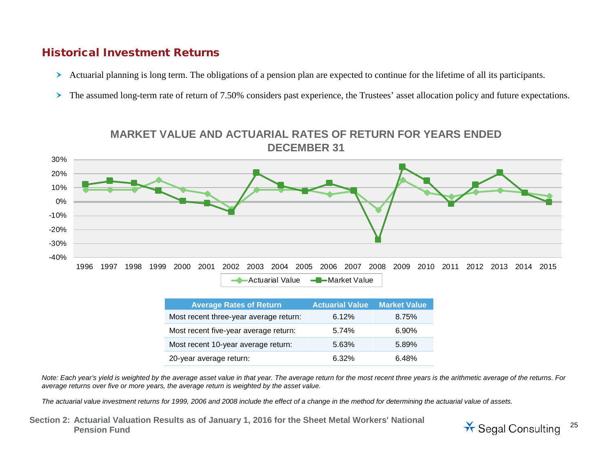#### Historical Investment Returns

- Actuarial planning is long term. The obligations of a pension plan are expected to continue for the lifetime of all its participants.
- The assumed long-term rate of return of 7.50% considers past experience, the Trustees' asset allocation policy and future expectations.



| <b>Average Rates of Return</b>         | <b>Actuarial Value</b> | <b>Market Value</b> |
|----------------------------------------|------------------------|---------------------|
| Most recent three-year average return: | 6.12%                  | 8.75%               |
| Most recent five-year average return:  | 5.74%                  | $6.90\%$            |
| Most recent 10-year average return:    | 5.63%                  | 5.89%               |
| 20-year average return:                | $6.32\%$               | 6.48%               |

*Note: Each year's yield is weighted by the average asset value in that year. The average return for the most recent three years is the arithmetic average of the returns. For average returns over five or more years, the average return is weighted by the asset value.* 

*The actuarial value investment returns for 1999, 2006 and 2008 include the effect of a change in the method for determining the actuarial value of assets.*

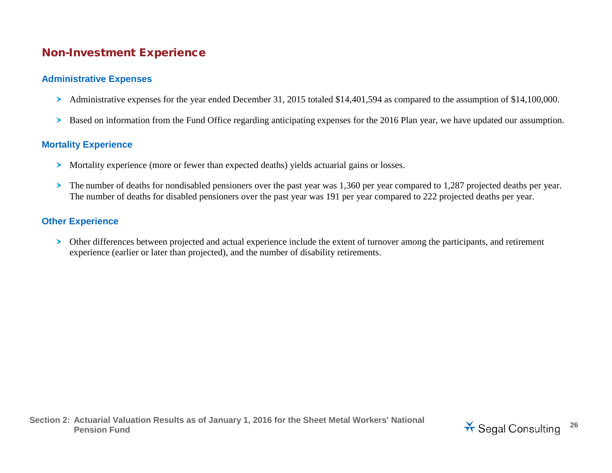#### Non-Investment Experience

#### **Administrative Expenses**

- Administrative expenses for the year ended December 31, 2015 totaled \$14,401,594 as compared to the assumption of \$14,100,000.
- Based on information from the Fund Office regarding anticipating expenses for the 2016 Plan year, we have updated our assumption.

#### **Mortality Experience**

- Mortality experience (more or fewer than expected deaths) yields actuarial gains or losses.
- The number of deaths for nondisabled pensioners over the past year was 1,360 per year compared to 1,287 projected deaths per year. The number of deaths for disabled pensioners over the past year was 191 per year compared to 222 projected deaths per year.

#### **Other Experience**

 Other differences between projected and actual experience include the extent of turnover among the participants, and retirement experience (earlier or later than projected), and the number of disability retirements.

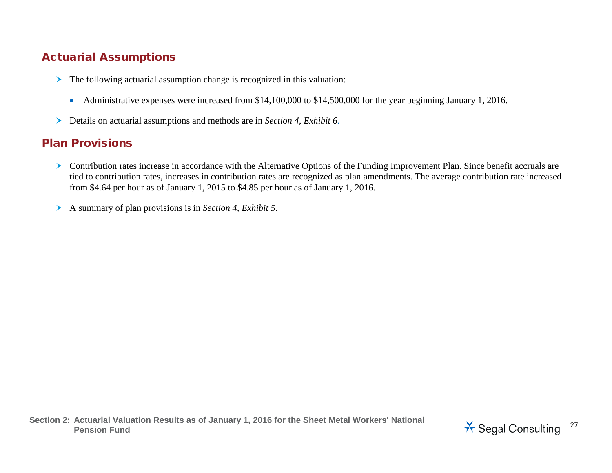## Actuarial Assumptions

- The following actuarial assumption change is recognized in this valuation:
	- Administrative expenses were increased from \$14,100,000 to \$14,500,000 for the year beginning January 1, 2016.
- Details on actuarial assumptions and methods are in *Section 4, Exhibit 6.*

### Plan Provisions

- Contribution rates increase in accordance with the Alternative Options of the Funding Improvement Plan. Since benefit accruals are tied to contribution rates, increases in contribution rates are recognized as plan amendments. The average contribution rate increased from \$4.64 per hour as of January 1, 2015 to \$4.85 per hour as of January 1, 2016.
- A summary of plan provisions is in *Section 4, Exhibit 5*.

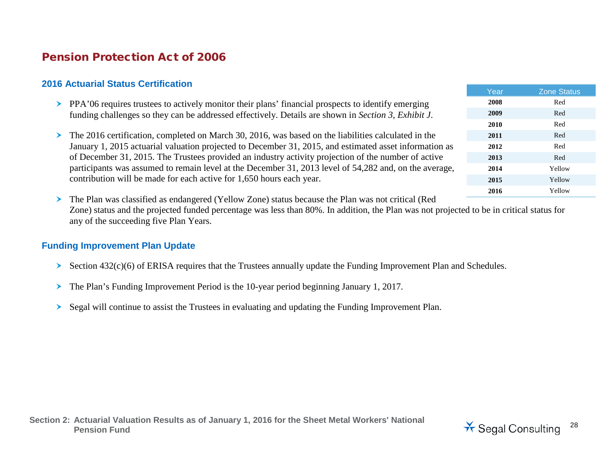## Pension Protection Act of 2006

#### **2016 Actuarial Status Certification**

- PPA'06 requires trustees to actively monitor their plans' financial prospects to identify emerging funding challenges so they can be addressed effectively. Details are shown in *Section 3, Exhibit J*.
- The 2016 certification, completed on March 30, 2016, was based on the liabilities calculated in the January 1, 2015 actuarial valuation projected to December 31, 2015, and estimated asset information as of December 31, 2015. The Trustees provided an industry activity projection of the number of active participants was assumed to remain level at the December 31, 2013 level of 54,282 and, on the average, contribution will be made for each active for 1,650 hours each year.

Year **Zone Status 2008** Red **2009** Red **2010** Red **2011** Red **2012** Red **2013** Red **2014** Yellow **2015** Yellow **2016** Yellow

 The Plan was classified as endangered (Yellow Zone) status because the Plan was not critical (Red Zone) status and the projected funded percentage was less than 80%. In addition, the Plan was not projected to be in critical status for any of the succeeding five Plan Years.

#### **Funding Improvement Plan Update**

- Section  $432(c)(6)$  of ERISA requires that the Trustees annually update the Funding Improvement Plan and Schedules.
- The Plan's Funding Improvement Period is the 10-year period beginning January 1, 2017.
- Segal will continue to assist the Trustees in evaluating and updating the Funding Improvement Plan.

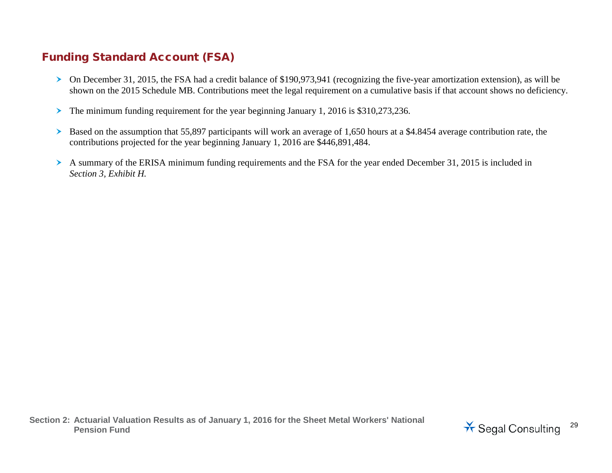# Funding Standard Account (FSA)

- On December 31, 2015, the FSA had a credit balance of \$190,973,941 (recognizing the five-year amortization extension), as will be shown on the 2015 Schedule MB. Contributions meet the legal requirement on a cumulative basis if that account shows no deficiency.
- The minimum funding requirement for the year beginning January 1, 2016 is \$310,273,236.
- Based on the assumption that 55,897 participants will work an average of 1,650 hours at a \$4.8454 average contribution rate, the contributions projected for the year beginning January 1, 2016 are \$446,891,484.
- A summary of the ERISA minimum funding requirements and the FSA for the year ended December 31, 2015 is included in *Section 3, Exhibit H.*

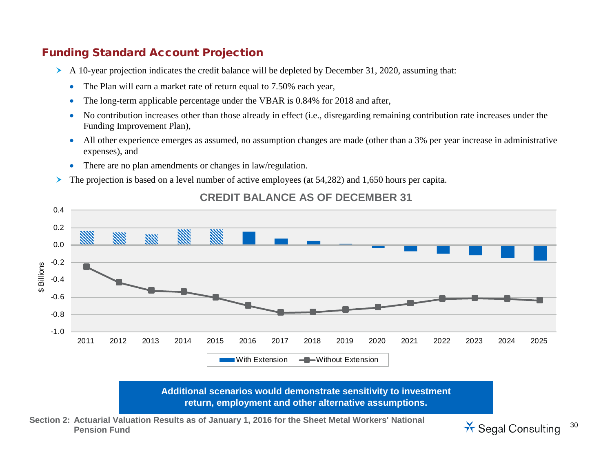### Funding Standard Account Projection

0.4

- A 10-year projection indicates the credit balance will be depleted by December 31, 2020, assuming that:
	- The Plan will earn a market rate of return equal to 7.50% each year,
	- The long-term applicable percentage under the VBAR is 0.84% for 2018 and after,
	- No contribution increases other than those already in effect (i.e., disregarding remaining contribution rate increases under the Funding Improvement Plan),
	- All other experience emerges as assumed, no assumption changes are made (other than a 3% per year increase in administrative expenses), and
	- There are no plan amendments or changes in law/regulation.
- The projection is based on a level number of active employees (at 54,282) and 1,650 hours per capita.



#### **CREDIT BALANCE AS OF DECEMBER 31**

**return, employment and other alternative assumptions.**

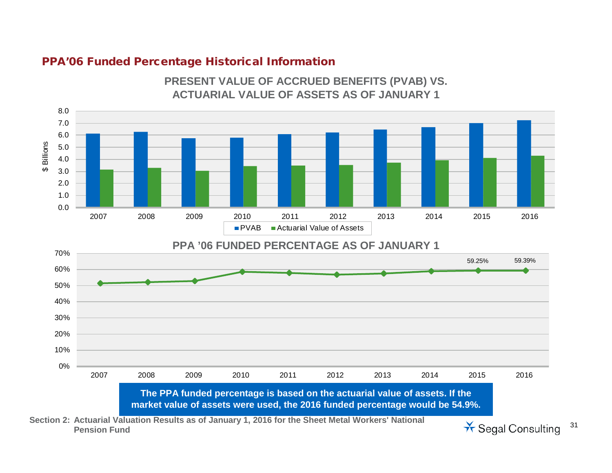#### PPA'06 Funded Percentage Historical Information



**PRESENT VALUE OF ACCRUED BENEFITS (PVAB) VS.** 

**Penal Consulting** 31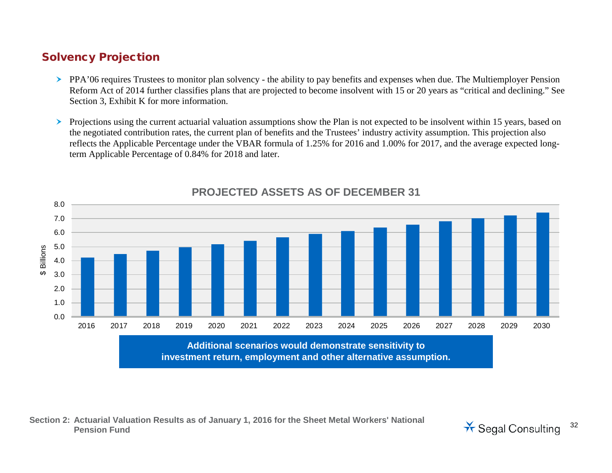### Solvency Projection

- PPA'06 requires Trustees to monitor plan solvency the ability to pay benefits and expenses when due. The Multiemployer Pension Reform Act of 2014 further classifies plans that are projected to become insolvent with 15 or 20 years as "critical and declining." See Section 3, Exhibit K for more information.
- Projections using the current actuarial valuation assumptions show the Plan is not expected to be insolvent within 15 years, based on the negotiated contribution rates, the current plan of benefits and the Trustees' industry activity assumption. This projection also reflects the Applicable Percentage under the VBAR formula of 1.25% for 2016 and 1.00% for 2017, and the average expected longterm Applicable Percentage of 0.84% for 2018 and later.



### **PROJECTED ASSETS AS OF DECEMBER 31**



**Section 2: Actuarial Valuation Results as of January 1, 2016 for the Sheet Metal Workers' National**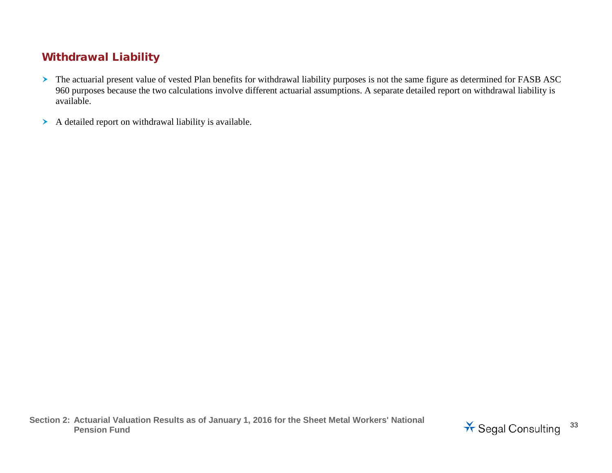# Withdrawal Liability

- > The actuarial present value of vested Plan benefits for withdrawal liability purposes is not the same figure as determined for FASB ASC 960 purposes because the two calculations involve different actuarial assumptions. A separate detailed report on withdrawal liability is available.
- A detailed report on withdrawal liability is available.

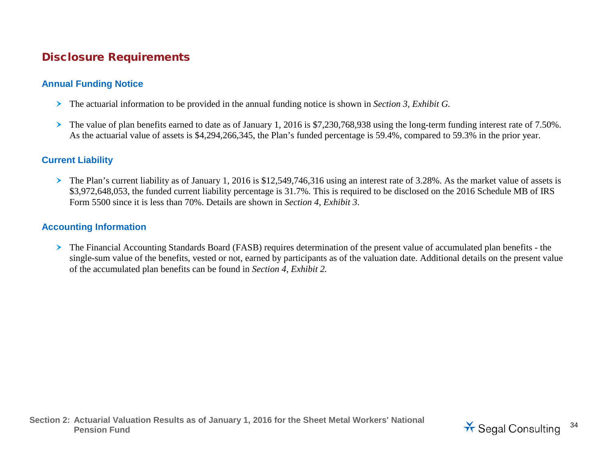## Disclosure Requirements

#### **Annual Funding Notice**

- The actuarial information to be provided in the annual funding notice is shown in *Section 3, Exhibit G.*
- The value of plan benefits earned to date as of January 1, 2016 is \$7,230,768,938 using the long-term funding interest rate of 7.50%. As the actuarial value of assets is \$4,294,266,345, the Plan's funded percentage is 59.4%, compared to 59.3% in the prior year.

#### **Current Liability**

 $\triangleright$  The Plan's current liability as of January 1, 2016 is \$12,549,746,316 using an interest rate of 3.28%. As the market value of assets is \$3,972,648,053, the funded current liability percentage is 31.7%. This is required to be disclosed on the 2016 Schedule MB of IRS Form 5500 since it is less than 70%. Details are shown in *Section 4, Exhibit 3*.

#### **Accounting Information**

 The Financial Accounting Standards Board (FASB) requires determination of the present value of accumulated plan benefits - the single-sum value of the benefits, vested or not, earned by participants as of the valuation date. Additional details on the present value of the accumulated plan benefits can be found in *Section 4, Exhibit 2.*

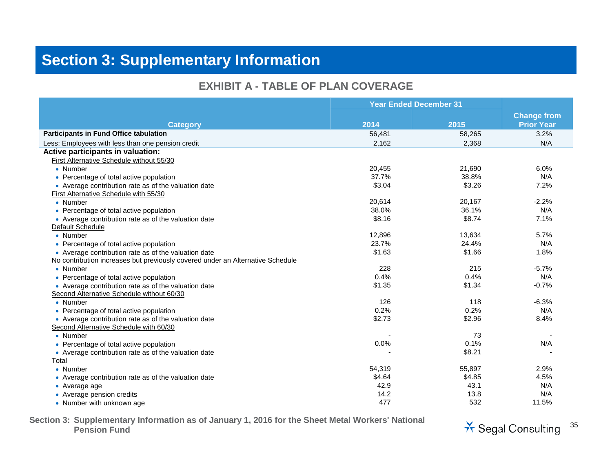# **Section 3: Supplementary Information**

#### **EXHIBIT A - TABLE OF PLAN COVERAGE**

|                                                                                | <b>Year Ended December 31</b> |        |                    |
|--------------------------------------------------------------------------------|-------------------------------|--------|--------------------|
|                                                                                |                               |        | <b>Change from</b> |
| <b>Category</b>                                                                | 2014                          | 2015   | <b>Prior Year</b>  |
| <b>Participants in Fund Office tabulation</b>                                  | 56,481                        | 58,265 | 3.2%               |
| Less: Employees with less than one pension credit                              | 2,162                         | 2,368  | N/A                |
| Active participants in valuation:                                              |                               |        |                    |
| First Alternative Schedule without 55/30                                       |                               |        |                    |
| • Number                                                                       | 20,455                        | 21,690 | 6.0%               |
| • Percentage of total active population                                        | 37.7%                         | 38.8%  | N/A                |
| • Average contribution rate as of the valuation date                           | \$3.04                        | \$3.26 | 7.2%               |
| First Alternative Schedule with 55/30                                          |                               |        |                    |
| • Number                                                                       | 20,614                        | 20,167 | $-2.2%$            |
| • Percentage of total active population                                        | 38.0%                         | 36.1%  | N/A                |
| • Average contribution rate as of the valuation date                           | \$8.16                        | \$8.74 | 7.1%               |
| Default Schedule                                                               |                               |        |                    |
| • Number                                                                       | 12,896                        | 13,634 | 5.7%               |
| • Percentage of total active population                                        | 23.7%                         | 24.4%  | N/A                |
| • Average contribution rate as of the valuation date                           | \$1.63                        | \$1.66 | 1.8%               |
| No contribution increases but previously covered under an Alternative Schedule |                               |        |                    |
| • Number                                                                       | 228                           | 215    | $-5.7%$            |
| • Percentage of total active population                                        | 0.4%                          | 0.4%   | N/A                |
| • Average contribution rate as of the valuation date                           | \$1.35                        | \$1.34 | $-0.7%$            |
| Second Alternative Schedule without 60/30                                      |                               |        |                    |
| • Number                                                                       | 126                           | 118    | $-6.3%$            |
| • Percentage of total active population                                        | 0.2%                          | 0.2%   | N/A                |
| • Average contribution rate as of the valuation date                           | \$2.73                        | \$2.96 | 8.4%               |
| Second Alternative Schedule with 60/30                                         |                               |        |                    |
| • Number                                                                       |                               | 73     |                    |
| • Percentage of total active population                                        | 0.0%                          | 0.1%   | N/A                |
| • Average contribution rate as of the valuation date                           |                               | \$8.21 |                    |
| Total                                                                          |                               |        |                    |
| • Number                                                                       | 54,319                        | 55,897 | 2.9%               |
| • Average contribution rate as of the valuation date                           | \$4.64                        | \$4.85 | 4.5%               |
| • Average age                                                                  | 42.9                          | 43.1   | N/A                |
| • Average pension credits                                                      | 14.2                          | 13.8   | N/A                |
| • Number with unknown age                                                      | 477                           | 532    | 11.5%              |

**Section 3: Supplementary Information as of January 1, 2016 for the Sheet Metal Workers' National**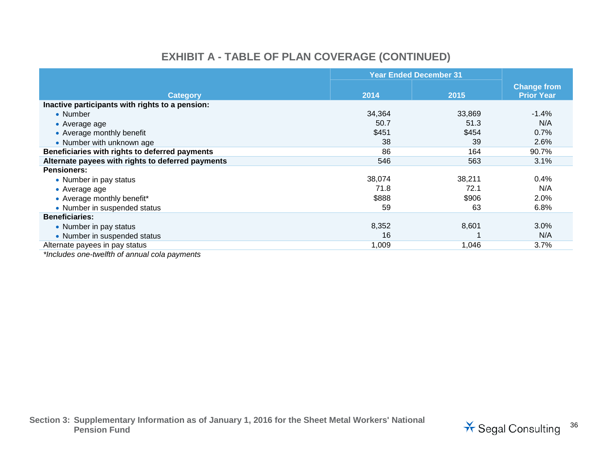# **EXHIBIT A - TABLE OF PLAN COVERAGE (CONTINUED)**

|                                                   | <b>Year Ended December 31</b> |        |                                         |
|---------------------------------------------------|-------------------------------|--------|-----------------------------------------|
| <b>Category</b>                                   | 2014                          | 2015   | <b>Change from</b><br><b>Prior Year</b> |
| Inactive participants with rights to a pension:   |                               |        |                                         |
| • Number                                          | 34,364                        | 33,869 | $-1.4%$                                 |
| • Average age                                     | 50.7                          | 51.3   | N/A                                     |
| • Average monthly benefit                         | \$451                         | \$454  | 0.7%                                    |
| • Number with unknown age                         | 38                            | 39     | 2.6%                                    |
| Beneficiaries with rights to deferred payments    | 86                            | 164    | 90.7%                                   |
| Alternate payees with rights to deferred payments | 546                           | 563    | 3.1%                                    |
| <b>Pensioners:</b>                                |                               |        |                                         |
| • Number in pay status                            | 38,074                        | 38.211 | 0.4%                                    |
| • Average age                                     | 71.8                          | 72.1   | N/A                                     |
| • Average monthly benefit*                        | \$888                         | \$906  | 2.0%                                    |
| • Number in suspended status                      | 59                            | 63     | 6.8%                                    |
| <b>Beneficiaries:</b>                             |                               |        |                                         |
| • Number in pay status                            | 8,352                         | 8,601  | 3.0%                                    |
| • Number in suspended status                      | 16                            |        | N/A                                     |
| Alternate payees in pay status                    | 1,009                         | 1,046  | 3.7%                                    |
| $*$ lnoludos ano twolfth of annual cola naymonts  |                               |        |                                         |

*\*Includes one-twelfth of annual cola payments*

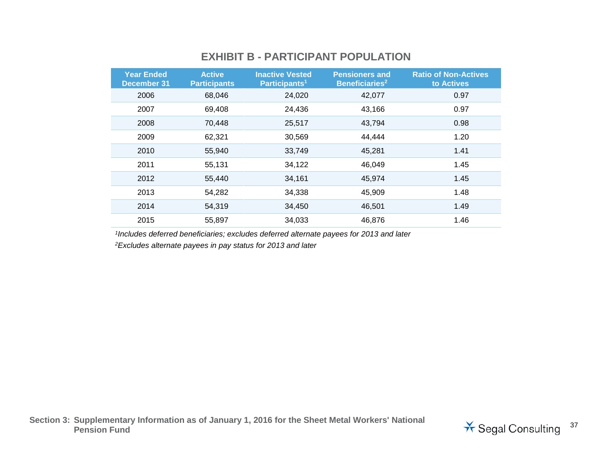#### **EXHIBIT B - PARTICIPANT POPULATION**

| <b>Year Ended</b><br><b>December 31</b> | <b>Active</b><br><b>Participants</b> | <b>Inactive Vested</b><br>Participants <sup>1</sup> | <b>Pensioners and</b><br>Beneficiaries <sup>2</sup> | <b>Ratio of Non-Actives</b><br>to Actives |
|-----------------------------------------|--------------------------------------|-----------------------------------------------------|-----------------------------------------------------|-------------------------------------------|
| 2006                                    | 68,046                               | 24,020                                              | 42,077                                              | 0.97                                      |
| 2007                                    | 69,408                               | 24,436                                              | 43,166                                              | 0.97                                      |
| 2008                                    | 70,448                               | 25,517                                              | 43,794                                              | 0.98                                      |
| 2009                                    | 62,321                               | 30,569                                              | 44,444                                              | 1.20                                      |
| 2010                                    | 55,940                               | 33,749                                              | 45,281                                              | 1.41                                      |
| 2011                                    | 55,131                               | 34,122                                              | 46,049                                              | 1.45                                      |
| 2012                                    | 55,440                               | 34,161                                              | 45,974                                              | 1.45                                      |
| 2013                                    | 54,282                               | 34,338                                              | 45,909                                              | 1.48                                      |
| 2014                                    | 54,319                               | 34,450                                              | 46,501                                              | 1.49                                      |
| 2015                                    | 55,897                               | 34,033                                              | 46,876                                              | 1.46                                      |

*1Includes deferred beneficiaries; excludes deferred alternate payees for 2013 and later*

*2Excludes alternate payees in pay status for 2013 and later*

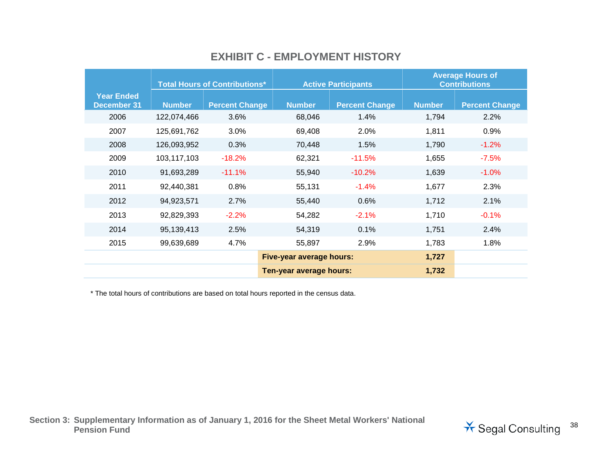|                                         | <b>Total Hours of Contributions*</b> |                       |                                 | <b>Active Participants</b> | <b>Average Hours of</b><br><b>Contributions</b> |                       |
|-----------------------------------------|--------------------------------------|-----------------------|---------------------------------|----------------------------|-------------------------------------------------|-----------------------|
| <b>Year Ended</b><br><b>December 31</b> | <b>Number</b>                        | <b>Percent Change</b> | <b>Number</b>                   | <b>Percent Change</b>      | <b>Number</b>                                   | <b>Percent Change</b> |
| 2006                                    | 122,074,466                          | 3.6%                  | 68,046                          | 1.4%                       | 1,794                                           | 2.2%                  |
| 2007                                    | 125,691,762                          | 3.0%                  | 69,408                          | 2.0%                       | 1,811                                           | 0.9%                  |
| 2008                                    | 126,093,952                          | 0.3%                  | 70,448                          | 1.5%                       | 1,790                                           | $-1.2%$               |
| 2009                                    | 103,117,103                          | $-18.2%$              | 62,321                          | $-11.5%$                   | 1,655                                           | $-7.5%$               |
| 2010                                    | 91,693,289                           | $-11.1%$              | 55,940                          | $-10.2\%$                  | 1,639                                           | $-1.0\%$              |
| 2011                                    | 92,440,381                           | 0.8%                  | 55,131                          | $-1.4%$                    | 1,677                                           | 2.3%                  |
| 2012                                    | 94,923,571                           | 2.7%                  | 55,440                          | 0.6%                       | 1,712                                           | 2.1%                  |
| 2013                                    | 92,829,393                           | $-2.2%$               | 54,282                          | $-2.1%$                    | 1,710                                           | $-0.1%$               |
| 2014                                    | 95,139,413                           | 2.5%                  | 54,319                          | 0.1%                       | 1,751                                           | 2.4%                  |
| 2015                                    | 99,639,689                           | 4.7%                  | 55,897                          | 2.9%                       | 1,783                                           | 1.8%                  |
|                                         |                                      |                       | <b>Five-year average hours:</b> |                            | 1,727                                           |                       |
| Ten-year average hours:                 |                                      |                       |                                 |                            |                                                 |                       |

#### **EXHIBIT C - EMPLOYMENT HISTORY**

\* The total hours of contributions are based on total hours reported in the census data.

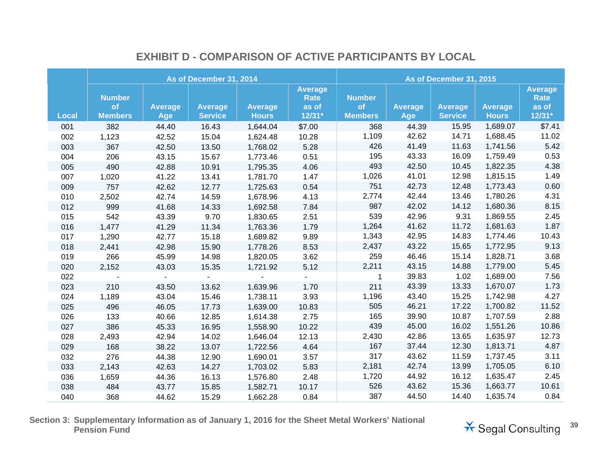|              |                                       |                              | As of December 31, 2014          |                                | As of December 31, 2015                            |                                       |                              |                                  |                                |                                                    |
|--------------|---------------------------------------|------------------------------|----------------------------------|--------------------------------|----------------------------------------------------|---------------------------------------|------------------------------|----------------------------------|--------------------------------|----------------------------------------------------|
| <b>Local</b> | <b>Number</b><br>of<br><b>Members</b> | <b>Average</b><br><b>Age</b> | <b>Average</b><br><b>Service</b> | <b>Average</b><br><b>Hours</b> | <b>Average</b><br><b>Rate</b><br>as of<br>$12/31*$ | <b>Number</b><br>of<br><b>Members</b> | <b>Average</b><br><b>Age</b> | <b>Average</b><br><b>Service</b> | <b>Average</b><br><b>Hours</b> | <b>Average</b><br><b>Rate</b><br>as of<br>$12/31*$ |
| 001          | 382                                   | 44.40                        | 16.43                            | 1,644.04                       | \$7.00                                             | 368                                   | 44.39                        | 15.95                            | 1,689.07                       | \$7.41                                             |
| 002          | 1,123                                 | 42.52                        | 15.04                            | 1,624.48                       | 10.28                                              | 1,109                                 | 42.62                        | 14.71                            | 1,688.45                       | 11.02                                              |
| 003          | 367                                   | 42.50                        | 13.50                            | 1,768.02                       | 5.28                                               | 426                                   | 41.49                        | 11.63                            | 1,741.56                       | 5.42                                               |
| 004          | 206                                   | 43.15                        | 15.67                            | 1,773.46                       | 0.51                                               | 195                                   | 43.33                        | 16.09                            | 1,759.49                       | 0.53                                               |
| 005          | 490                                   | 42.88                        | 10.91                            | 1,795.35                       | 4.06                                               | 493                                   | 42.50                        | 10.45                            | 1,822.35                       | 4.38                                               |
| 007          | 1,020                                 | 41.22                        | 13.41                            | 1,781.70                       | 1.47                                               | 1,026                                 | 41.01                        | 12.98                            | 1,815.15                       | 1.49                                               |
| 009          | 757                                   | 42.62                        | 12.77                            | 1,725.63                       | 0.54                                               | 751                                   | 42.73                        | 12.48                            | 1,773.43                       | 0.60                                               |
| 010          | 2,502                                 | 42.74                        | 14.59                            | 1,678.96                       | 4.13                                               | 2,774                                 | 42.44                        | 13.46                            | 1,780.26                       | 4.31                                               |
| 012          | 999                                   | 41.68                        | 14.33                            | 1,692.58                       | 7.84                                               | 987                                   | 42.02                        | 14.12                            | 1,680.36                       | 8.15                                               |
| 015          | 542                                   | 43.39                        | 9.70                             | 1,830.65                       | 2.51                                               | 539                                   | 42.96                        | 9.31                             | 1,869.55                       | 2.45                                               |
| 016          | 1,477                                 | 41.29                        | 11.34                            | 1,763.36                       | 1.79                                               | 1,264                                 | 41.62                        | 11.72                            | 1,681.63                       | 1.87                                               |
| 017          | 1,290                                 | 42.77                        | 15.18                            | 1,689.82                       | 9.89                                               | 1,343                                 | 42.95                        | 14.83                            | 1,774.46                       | 10.43                                              |
| 018          | 2,441                                 | 42.98                        | 15.90                            | 1,778.26                       | 8.53                                               | 2,437                                 | 43.22                        | 15.65                            | 1,772.95                       | 9.13                                               |
| 019          | 266                                   | 45.99                        | 14.98                            | 1,820.05                       | 3.62                                               | 259                                   | 46.46                        | 15.14                            | 1,828.71                       | 3.68                                               |
| 020          | 2,152                                 | 43.03                        | 15.35                            | 1,721.92                       | 5.12                                               | 2,211                                 | 43.15                        | 14.88                            | 1,779.00                       | 5.45                                               |
| 022          |                                       | $\mathbf{a}^{\prime}$        | $\mathbf{L}$                     |                                |                                                    | $\mathbf{1}$                          | 39.83                        | 1.02                             | 1,689.00                       | 7.56                                               |
| 023          | 210                                   | 43.50                        | 13.62                            | 1,639.96                       | 1.70                                               | 211                                   | 43.39                        | 13.33                            | 1,670.07                       | 1.73                                               |
| 024          | 1,189                                 | 43.04                        | 15.46                            | 1,738.11                       | 3.93                                               | 1,196                                 | 43.40                        | 15.25                            | 1,742.98                       | 4.27                                               |
| 025          | 496                                   | 46.05                        | 17.73                            | 1,639.00                       | 10.83                                              | 505                                   | 46.21                        | 17.22                            | 1,700.82                       | 11.52                                              |
| 026          | 133                                   | 40.66                        | 12.85                            | 1,614.38                       | 2.75                                               | 165                                   | 39.90                        | 10.87                            | 1,707.59                       | 2.88                                               |
| 027          | 386                                   | 45.33                        | 16.95                            | 1,558.90                       | 10.22                                              | 439                                   | 45.00                        | 16.02                            | 1,551.26                       | 10.86                                              |
| 028          | 2,493                                 | 42.94                        | 14.02                            | 1,646.04                       | 12.13                                              | 2,430                                 | 42.86                        | 13.65                            | 1,635.97                       | 12.73                                              |
| 029          | 168                                   | 38.22                        | 13.07                            | 1,722.56                       | 4.64                                               | 167                                   | 37.44                        | 12.30                            | 1,813.71                       | 4.87                                               |
| 032          | 276                                   | 44.38                        | 12.90                            | 1,690.01                       | 3.57                                               | 317                                   | 43.62                        | 11.59                            | 1,737.45                       | 3.11                                               |
| 033          | 2,143                                 | 42.63                        | 14.27                            | 1,703.02                       | 5.83                                               | 2,181                                 | 42.74                        | 13.99                            | 1,705.05                       | 6.10                                               |
| 036          | 1,659                                 | 44.36                        | 16.13                            | 1,576.80                       | 2.48                                               | 1,720                                 | 44.92                        | 16.12                            | 1,635.47                       | 2.45                                               |
| 038          | 484                                   | 43.77                        | 15.85                            | 1,582.71                       | 10.17                                              | 526                                   | 43.62                        | 15.36                            | 1,663.77                       | 10.61                                              |
| 040          | 368                                   | 44.62                        | 15.29                            | 1,662.28                       | 0.84                                               | 387                                   | 44.50                        | 14.40                            | 1,635.74                       | 0.84                                               |

#### **EXHIBIT D - COMPARISON OF ACTIVE PARTICIPANTS BY LOCAL**

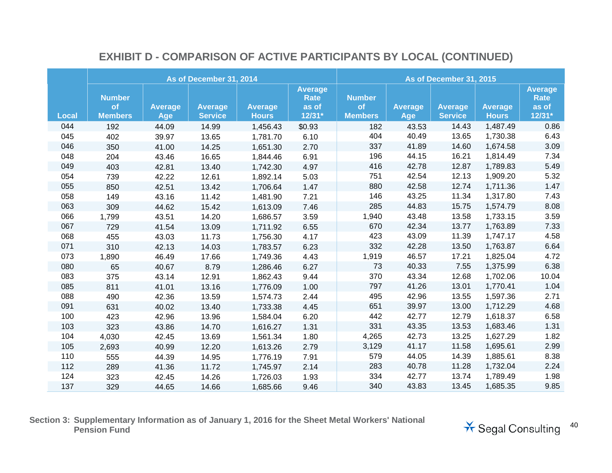|              |                                       |                       | As of December 31, 2014          |                                | As of December 31, 2015                     |                                       |                              |                                  |                                |                                                    |
|--------------|---------------------------------------|-----------------------|----------------------------------|--------------------------------|---------------------------------------------|---------------------------------------|------------------------------|----------------------------------|--------------------------------|----------------------------------------------------|
| <b>Local</b> | <b>Number</b><br>of<br><b>Members</b> | <b>Average</b><br>Age | <b>Average</b><br><b>Service</b> | <b>Average</b><br><b>Hours</b> | <b>Average</b><br>Rate<br>as of<br>$12/31*$ | <b>Number</b><br>of<br><b>Members</b> | <b>Average</b><br><b>Age</b> | <b>Average</b><br><b>Service</b> | <b>Average</b><br><b>Hours</b> | <b>Average</b><br><b>Rate</b><br>as of<br>$12/31*$ |
| 044          | 192                                   | 44.09                 | 14.99                            | 1,456.43                       | \$0.93                                      | 182                                   | 43.53                        | 14.43                            | 1,487.49                       | 0.86                                               |
| 045          | 402                                   | 39.97                 | 13.65                            | 1,781.70                       | 6.10                                        | 404                                   | 40.49                        | 13.65                            | 1,730.38                       | 6.43                                               |
| 046          | 350                                   | 41.00                 | 14.25                            | 1,651.30                       | 2.70                                        | 337                                   | 41.89                        | 14.60                            | 1,674.58                       | 3.09                                               |
| 048          | 204                                   | 43.46                 | 16.65                            | 1,844.46                       | 6.91                                        | 196                                   | 44.15                        | 16.21                            | 1,814.49                       | 7.34                                               |
| 049          | 403                                   | 42.81                 | 13.40                            | 1,742.30                       | 4.97                                        | 416                                   | 42.78                        | 12.87                            | 1,789.83                       | 5.49                                               |
| 054          | 739                                   | 42.22                 | 12.61                            | 1,892.14                       | 5.03                                        | 751                                   | 42.54                        | 12.13                            | 1,909.20                       | 5.32                                               |
| 055          | 850                                   | 42.51                 | 13.42                            | 1,706.64                       | 1.47                                        | 880                                   | 42.58                        | 12.74                            | 1,711.36                       | 1.47                                               |
| 058          | 149                                   | 43.16                 | 11.42                            | 1,481.90                       | 7.21                                        | 146                                   | 43.25                        | 11.34                            | 1,317.80                       | 7.43                                               |
| 063          | 309                                   | 44.62                 | 15.42                            | 1,613.09                       | 7.46                                        | 285                                   | 44.83                        | 15.75                            | 1,574.79                       | 8.08                                               |
| 066          | 1,799                                 | 43.51                 | 14.20                            | 1,686.57                       | 3.59                                        | 1,940                                 | 43.48                        | 13.58                            | 1,733.15                       | 3.59                                               |
| 067          | 729                                   | 41.54                 | 13.09                            | 1,711.92                       | 6.55                                        | 670                                   | 42.34                        | 13.77                            | 1,763.89                       | 7.33                                               |
| 068          | 455                                   | 43.03                 | 11.73                            | 1,756.30                       | 4.17                                        | 423                                   | 43.09                        | 11.39                            | 1,747.17                       | 4.58                                               |
| 071          | 310                                   | 42.13                 | 14.03                            | 1,783.57                       | 6.23                                        | 332                                   | 42.28                        | 13.50                            | 1,763.87                       | 6.64                                               |
| 073          | 1,890                                 | 46.49                 | 17.66                            | 1,749.36                       | 4.43                                        | 1,919                                 | 46.57                        | 17.21                            | 1,825.04                       | 4.72                                               |
| 080          | 65                                    | 40.67                 | 8.79                             | 1,286.46                       | 6.27                                        | 73                                    | 40.33                        | 7.55                             | 1,375.99                       | 6.38                                               |
| 083          | 375                                   | 43.14                 | 12.91                            | 1,862.43                       | 9.44                                        | 370                                   | 43.34                        | 12.68                            | 1,702.06                       | 10.04                                              |
| 085          | 811                                   | 41.01                 | 13.16                            | 1,776.09                       | 1.00                                        | 797                                   | 41.26                        | 13.01                            | 1,770.41                       | 1.04                                               |
| 088          | 490                                   | 42.36                 | 13.59                            | 1,574.73                       | 2.44                                        | 495                                   | 42.96                        | 13.55                            | 1,597.36                       | 2.71                                               |
| 091          | 631                                   | 40.02                 | 13.40                            | 1,733.38                       | 4.45                                        | 651                                   | 39.97                        | 13.00                            | 1,712.29                       | 4.68                                               |
| 100          | 423                                   | 42.96                 | 13.96                            | 1,584.04                       | 6.20                                        | 442                                   | 42.77                        | 12.79                            | 1,618.37                       | 6.58                                               |
| 103          | 323                                   | 43.86                 | 14.70                            | 1,616.27                       | 1.31                                        | 331                                   | 43.35                        | 13.53                            | 1,683.46                       | 1.31                                               |
| 104          | 4,030                                 | 42.45                 | 13.69                            | 1,561.34                       | 1.80                                        | 4,265                                 | 42.73                        | 13.25                            | 1,627.29                       | 1.82                                               |
| 105          | 2,693                                 | 40.99                 | 12.20                            | 1,613.26                       | 2.79                                        | 3,129                                 | 41.17                        | 11.58                            | 1,695.61                       | 2.99                                               |
| 110          | 555                                   | 44.39                 | 14.95                            | 1,776.19                       | 7.91                                        | 579                                   | 44.05                        | 14.39                            | 1,885.61                       | 8.38                                               |
| 112          | 289                                   | 41.36                 | 11.72                            | 1,745.97                       | 2.14                                        | 283                                   | 40.78                        | 11.28                            | 1,732.04                       | 2.24                                               |
| 124          | 323                                   | 42.45                 | 14.26                            | 1,726.03                       | 1.93                                        | 334                                   | 42.77                        | 13.74                            | 1,789.49                       | 1.98                                               |
| 137          | 329                                   | 44.65                 | 14.66                            | 1,685.66                       | 9.46                                        | 340                                   | 43.83                        | 13.45                            | 1,685.35                       | 9.85                                               |

## **EXHIBIT D - COMPARISON OF ACTIVE PARTICIPANTS BY LOCAL (CONTINUED)**

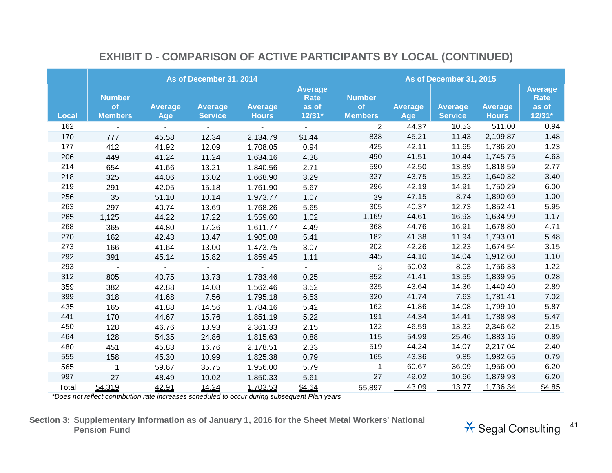|              |                                       |                       | As of December 31, 2014          |                                | As of December 31, 2015                          |                                       |                       |                                  |                                |                                                    |
|--------------|---------------------------------------|-----------------------|----------------------------------|--------------------------------|--------------------------------------------------|---------------------------------------|-----------------------|----------------------------------|--------------------------------|----------------------------------------------------|
| <b>Local</b> | <b>Number</b><br>of<br><b>Members</b> | <b>Average</b><br>Age | <b>Average</b><br><b>Service</b> | <b>Average</b><br><b>Hours</b> | <b>Average</b><br><b>Rate</b><br>as of<br>12/31* | <b>Number</b><br>of<br><b>Members</b> | <b>Average</b><br>Age | <b>Average</b><br><b>Service</b> | <b>Average</b><br><b>Hours</b> | <b>Average</b><br><b>Rate</b><br>as of<br>$12/31*$ |
| 162          |                                       |                       |                                  |                                | $\blacksquare$                                   | $\overline{2}$                        | 44.37                 | 10.53                            | 511.00                         | 0.94                                               |
| 170          | 777                                   | 45.58                 | 12.34                            | 2,134.79                       | \$1.44                                           | 838                                   | 45.21                 | 11.43                            | 2,109.87                       | 1.48                                               |
| 177          | 412                                   | 41.92                 | 12.09                            | 1,708.05                       | 0.94                                             | 425                                   | 42.11                 | 11.65                            | 1,786.20                       | 1.23                                               |
| 206          | 449                                   | 41.24                 | 11.24                            | 1,634.16                       | 4.38                                             | 490                                   | 41.51                 | 10.44                            | 1,745.75                       | 4.63                                               |
| 214          | 654                                   | 41.66                 | 13.21                            | 1,840.56                       | 2.71                                             | 590                                   | 42.50                 | 13.89                            | 1,818.59                       | 2.77                                               |
| 218          | 325                                   | 44.06                 | 16.02                            | 1,668.90                       | 3.29                                             | 327                                   | 43.75                 | 15.32                            | 1,640.32                       | 3.40                                               |
| 219          | 291                                   | 42.05                 | 15.18                            | 1,761.90                       | 5.67                                             | 296                                   | 42.19                 | 14.91                            | 1,750.29                       | 6.00                                               |
| 256          | 35                                    | 51.10                 | 10.14                            | 1,973.77                       | 1.07                                             | 39                                    | 47.15                 | 8.74                             | 1,890.69                       | 1.00                                               |
| 263          | 297                                   | 40.74                 | 13.69                            | 1,768.26                       | 5.65                                             | 305                                   | 40.37                 | 12.73                            | 1,852.41                       | 5.95                                               |
| 265          | 1,125                                 | 44.22                 | 17.22                            | 1,559.60                       | 1.02                                             | 1,169                                 | 44.61                 | 16.93                            | 1,634.99                       | 1.17                                               |
| 268          | 365                                   | 44.80                 | 17.26                            | 1,611.77                       | 4.49                                             | 368                                   | 44.76                 | 16.91                            | 1,678.80                       | 4.71                                               |
| 270          | 162                                   | 42.43                 | 13.47                            | 1,905.08                       | 5.41                                             | 182                                   | 41.38                 | 11.94                            | 1,793.01                       | 5.48                                               |
| 273          | 166                                   | 41.64                 | 13.00                            | 1,473.75                       | 3.07                                             | 202                                   | 42.26                 | 12.23                            | 1,674.54                       | 3.15                                               |
| 292          | 391                                   | 45.14                 | 15.82                            | 1,859.45                       | 1.11                                             | 445                                   | 44.10                 | 14.04                            | 1,912.60                       | 1.10                                               |
| 293          | $\blacksquare$                        | $\blacksquare$        | $\blacksquare$                   |                                | $\sim$                                           | 3                                     | 50.03                 | 8.03                             | 1,756.33                       | 1.22                                               |
| 312          | 805                                   | 40.75                 | 13.73                            | 1,783.46                       | 0.25                                             | 852                                   | 41.41                 | 13.55                            | 1,839.95                       | 0.28                                               |
| 359          | 382                                   | 42.88                 | 14.08                            | 1,562.46                       | 3.52                                             | 335                                   | 43.64                 | 14.36                            | 1,440.40                       | 2.89                                               |
| 399          | 318                                   | 41.68                 | 7.56                             | 1,795.18                       | 6.53                                             | 320                                   | 41.74                 | 7.63                             | 1,781.41                       | 7.02                                               |
| 435          | 165                                   | 41.88                 | 14.56                            | 1,784.16                       | 5.42                                             | 162                                   | 41.86                 | 14.08                            | 1,799.10                       | 5.87                                               |
| 441          | 170                                   | 44.67                 | 15.76                            | 1,851.19                       | 5.22                                             | 191                                   | 44.34                 | 14.41                            | 1,788.98                       | 5.47                                               |
| 450          | 128                                   | 46.76                 | 13.93                            | 2,361.33                       | 2.15                                             | 132                                   | 46.59                 | 13.32                            | 2,346.62                       | 2.15                                               |
| 464          | 128                                   | 54.35                 | 24.86                            | 1,815.63                       | 0.88                                             | 115                                   | 54.99                 | 25.46                            | 1,883.16                       | 0.89                                               |
| 480          | 451                                   | 45.83                 | 16.76                            | 2,178.51                       | 2.33                                             | 519                                   | 44.24                 | 14.07                            | 2,217.04                       | 2.40                                               |
| 555          | 158                                   | 45.30                 | 10.99                            | 1,825.38                       | 0.79                                             | 165                                   | 43.36                 | 9.85                             | 1,982.65                       | 0.79                                               |
| 565          | $\mathbf{1}$                          | 59.67                 | 35.75                            | 1,956.00                       | 5.79                                             | $\mathbf 1$                           | 60.67                 | 36.09                            | 1,956.00                       | 6.20                                               |
| 997          | 27                                    | 48.49                 | 10.02                            | 1,850.33                       | 5.61                                             | 27                                    | 49.02                 | 10.66                            | 1,879.93                       | 6.20                                               |
| Total        | 54,319                                | 42.91                 | 14.24                            | 1,703.53                       | \$4.64                                           | 55,897                                | 43.09                 | 13.77                            | 1,736.34                       | \$4.85                                             |

## **EXHIBIT D - COMPARISON OF ACTIVE PARTICIPANTS BY LOCAL (CONTINUED)**

*\*Does not reflect contribution rate increases scheduled to occur during subsequent Plan years*

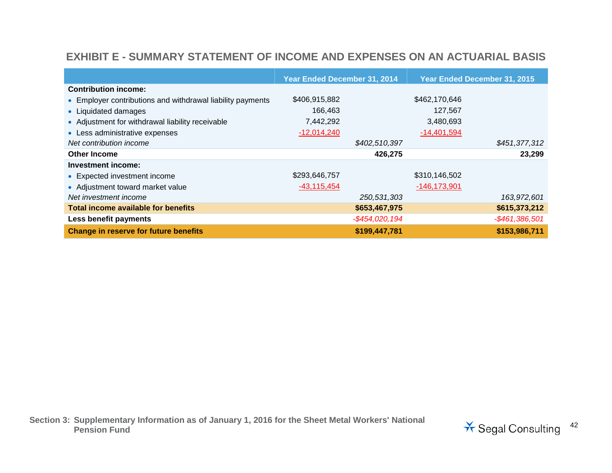#### **EXHIBIT E - SUMMARY STATEMENT OF INCOME AND EXPENSES ON AN ACTUARIAL BASIS**

|                                                            | Year Ended December 31, 2014 |                | Year Ended December 31, 2015 |                   |
|------------------------------------------------------------|------------------------------|----------------|------------------------------|-------------------|
| <b>Contribution income:</b>                                |                              |                |                              |                   |
| • Employer contributions and withdrawal liability payments | \$406,915,882                |                | \$462,170,646                |                   |
| • Liquidated damages                                       | 166,463                      |                | 127,567                      |                   |
| • Adjustment for withdrawal liability receivable           | 7,442,292                    |                | 3,480,693                    |                   |
| • Less administrative expenses                             | $-12,014,240$                |                | $-14,401,594$                |                   |
| Net contribution income                                    |                              | \$402,510,397  |                              | \$451,377,312     |
| <b>Other Income</b>                                        |                              | 426,275        |                              | 23,299            |
| Investment income:                                         |                              |                |                              |                   |
| • Expected investment income                               | \$293,646,757                |                | \$310,146,502                |                   |
| • Adjustment toward market value                           | $-43,115,454$                |                | $-146, 173, 901$             |                   |
| Net investment income                                      |                              | 250,531,303    |                              | 163,972,601       |
| <b>Total income available for benefits</b>                 |                              | \$653,467,975  |                              | \$615,373,212     |
| Less benefit payments                                      |                              | -\$454,020,194 |                              | $-$ \$461,386,501 |
| <b>Change in reserve for future benefits</b>               |                              | \$199,447,781  |                              | \$153,986,711     |

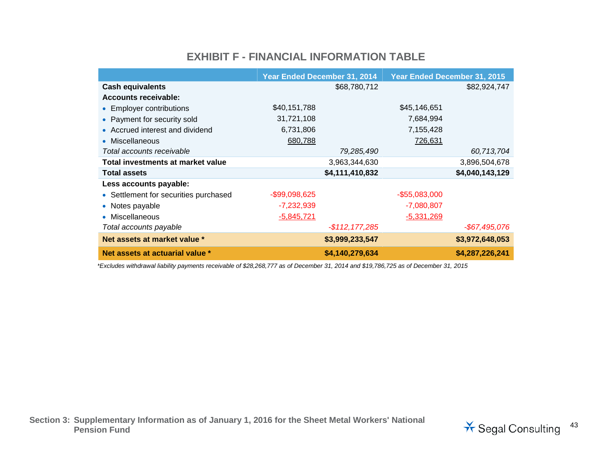#### **EXHIBIT F - FINANCIAL INFORMATION TABLE**

|                                       | Year Ended December 31, 2014 |                   | Year Ended December 31, 2015 |                 |  |
|---------------------------------------|------------------------------|-------------------|------------------------------|-----------------|--|
| <b>Cash equivalents</b>               |                              | \$68,780,712      |                              | \$82,924,747    |  |
| <b>Accounts receivable:</b>           |                              |                   |                              |                 |  |
| • Employer contributions              | \$40,151,788                 |                   | \$45,146,651                 |                 |  |
| • Payment for security sold           | 31,721,108                   |                   | 7,684,994                    |                 |  |
| • Accrued interest and dividend       | 6,731,806                    |                   | 7,155,428                    |                 |  |
| • Miscellaneous                       | 680,788                      |                   | 726,631                      |                 |  |
| Total accounts receivable             |                              | 79,285,490        |                              | 60,713,704      |  |
| Total investments at market value     |                              | 3,963,344,630     |                              | 3,896,504,678   |  |
| <b>Total assets</b>                   |                              | \$4,111,410,832   |                              | \$4,040,143,129 |  |
| Less accounts payable:                |                              |                   |                              |                 |  |
| • Settlement for securities purchased | $-$ \$99,098,625             |                   | $-$ \$55,083,000             |                 |  |
| • Notes payable                       | $-7,232,939$                 |                   | $-7,080,807$                 |                 |  |
| • Miscellaneous                       | $-5,845,721$                 |                   | $-5,331,269$                 |                 |  |
| Total accounts payable                |                              | $-$ \$112,177,285 |                              | -\$67,495,076   |  |
| Net assets at market value *          |                              | \$3,999,233,547   |                              | \$3,972,648,053 |  |
| Net assets at actuarial value *       |                              | \$4,140,279,634   |                              | \$4,287,226,241 |  |

*\*Excludes withdrawal liability payments receivable of \$28,268,777 as of December 31, 2014 and \$19,786,725 as of December 31, 2015*

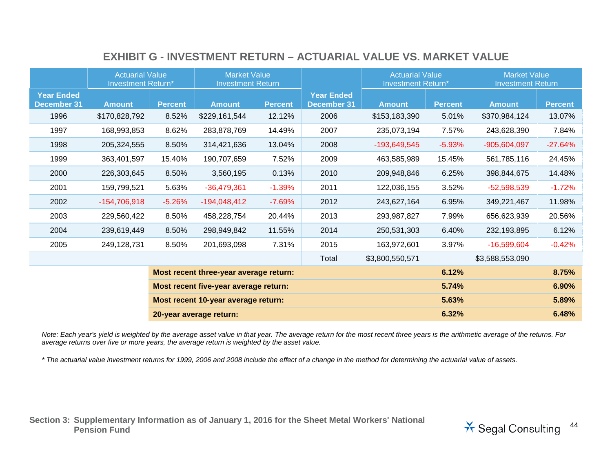#### **EXHIBIT G - INVESTMENT RETURN – ACTUARIAL VALUE VS. MARKET VALUE**

|                                         | <b>Actuarial Value</b><br><b>Investment Return*</b> |                |                                        | <b>Market Value</b><br><b>Investment Return</b> |                                         | <b>Actuarial Value</b><br>Investment Return* |                | <b>Market Value</b><br><b>Investment Return</b> |                |
|-----------------------------------------|-----------------------------------------------------|----------------|----------------------------------------|-------------------------------------------------|-----------------------------------------|----------------------------------------------|----------------|-------------------------------------------------|----------------|
| <b>Year Ended</b><br><b>December 31</b> | <b>Amount</b>                                       | <b>Percent</b> | <b>Amount</b>                          | <b>Percent</b>                                  | <b>Year Ended</b><br><b>December 31</b> | <b>Amount</b>                                | <b>Percent</b> | <b>Amount</b>                                   | <b>Percent</b> |
| 1996                                    | \$170,828,792                                       | 8.52%          | \$229,161,544                          | 12.12%                                          | 2006                                    | \$153,183,390                                | 5.01%          | \$370,984,124                                   | 13.07%         |
| 1997                                    | 168,993,853                                         | 8.62%          | 283,878,769                            | 14.49%                                          | 2007                                    | 235,073,194                                  | 7.57%          | 243,628,390                                     | 7.84%          |
| 1998                                    | 205,324,555                                         | 8.50%          | 314,421,636                            | 13.04%                                          | 2008                                    | $-193,649,545$                               | $-5.93%$       | $-905,604,097$                                  | $-27.64%$      |
| 1999                                    | 363,401,597                                         | 15.40%         | 190,707,659                            | 7.52%                                           | 2009                                    | 463,585,989                                  | 15.45%         | 561,785,116                                     | 24.45%         |
| 2000                                    | 226,303,645                                         | 8.50%          | 3,560,195                              | 0.13%                                           | 2010                                    | 209,948,846                                  | 6.25%          | 398,844,675                                     | 14.48%         |
| 2001                                    | 159,799,521                                         | 5.63%          | $-36,479,361$                          | $-1.39%$                                        | 2011                                    | 122,036,155                                  | 3.52%          | $-52,598,539$                                   | $-1.72%$       |
| 2002                                    | $-154,706,918$                                      | $-5.26%$       | $-194,048,412$                         | $-7.69%$                                        | 2012                                    | 243,627,164                                  | 6.95%          | 349,221,467                                     | 11.98%         |
| 2003                                    | 229,560,422                                         | 8.50%          | 458,228,754                            | 20.44%                                          | 2013                                    | 293,987,827                                  | 7.99%          | 656,623,939                                     | 20.56%         |
| 2004                                    | 239,619,449                                         | 8.50%          | 298,949,842                            | 11.55%                                          | 2014                                    | 250,531,303                                  | 6.40%          | 232,193,895                                     | 6.12%          |
| 2005                                    | 249,128,731                                         | 8.50%          | 201,693,098                            | 7.31%                                           | 2015                                    | 163,972,601                                  | 3.97%          | $-16,599,604$                                   | $-0.42%$       |
|                                         |                                                     |                |                                        |                                                 | Total                                   | \$3,800,550,571                              |                | \$3,588,553,090                                 |                |
|                                         |                                                     |                | Most recent three-year average return: |                                                 |                                         |                                              | 6.12%          |                                                 | 8.75%          |
| Most recent five-year average return:   |                                                     |                |                                        |                                                 |                                         |                                              | 5.74%          |                                                 | 6.90%          |
|                                         |                                                     |                | Most recent 10-year average return:    |                                                 |                                         |                                              | 5.63%          |                                                 | 5.89%          |
|                                         |                                                     |                | 20-year average return:                |                                                 |                                         |                                              | 6.32%          |                                                 | 6.48%          |

*Note: Each year's yield is weighted by the average asset value in that year. The average return for the most recent three years is the arithmetic average of the returns. For average returns over five or more years, the average return is weighted by the asset value.*

*\* The actuarial value investment returns for 1999, 2006 and 2008 include the effect of a change in the method for determining the actuarial value of assets.*

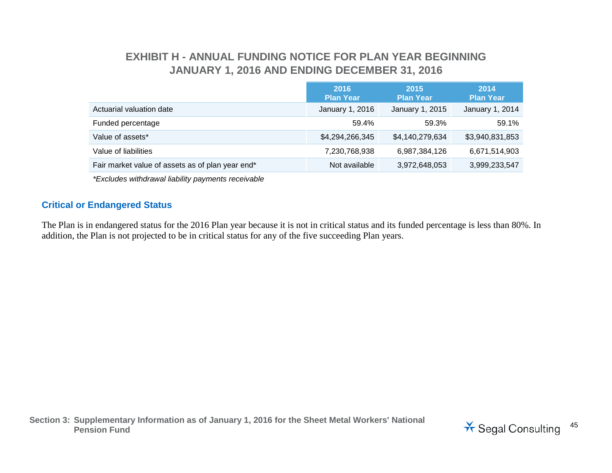### **EXHIBIT H - ANNUAL FUNDING NOTICE FOR PLAN YEAR BEGINNING JANUARY 1, 2016 AND ENDING DECEMBER 31, 2016**

|                                                  | 2016<br><b>Plan Year</b> | 2015<br><b>Plan Year</b> | 2014<br><b>Plan Year</b> |
|--------------------------------------------------|--------------------------|--------------------------|--------------------------|
| Actuarial valuation date                         | January 1, 2016          | January 1, 2015          | January 1, 2014          |
| Funded percentage                                | 59.4%                    | 59.3%                    | 59.1%                    |
| Value of assets*                                 | \$4,294,266,345          | \$4,140,279,634          | \$3,940,831,853          |
| Value of liabilities                             | 7,230,768,938            | 6,987,384,126            | 6,671,514,903            |
| Fair market value of assets as of plan year end* | Not available            | 3,972,648,053            | 3,999,233,547            |

*\*Excludes withdrawal liability payments receivable*

#### **Critical or Endangered Status**

The Plan is in endangered status for the 2016 Plan year because it is not in critical status and its funded percentage is less than 80%. In addition, the Plan is not projected to be in critical status for any of the five succeeding Plan years.

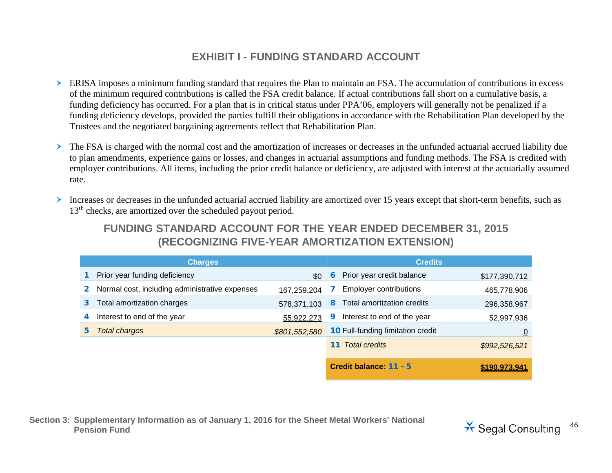#### **EXHIBIT I - FUNDING STANDARD ACCOUNT**

- ERISA imposes a minimum funding standard that requires the Plan to maintain an FSA. The accumulation of contributions in excess of the minimum required contributions is called the FSA credit balance. If actual contributions fall short on a cumulative basis, a funding deficiency has occurred. For a plan that is in critical status under PPA'06, employers will generally not be penalized if a funding deficiency develops, provided the parties fulfill their obligations in accordance with the Rehabilitation Plan developed by the Trustees and the negotiated bargaining agreements reflect that Rehabilitation Plan.
- The FSA is charged with the normal cost and the amortization of increases or decreases in the unfunded actuarial accrued liability due to plan amendments, experience gains or losses, and changes in actuarial assumptions and funding methods. The FSA is credited with employer contributions. All items, including the prior credit balance or deficiency, are adjusted with interest at the actuarially assumed rate.
- Increases or decreases in the unfunded actuarial accrued liability are amortized over 15 years except that short-term benefits, such as 13<sup>th</sup> checks, are amortized over the scheduled payout period.

#### **FUNDING STANDARD ACCOUNT FOR THE YEAR ENDED DECEMBER 31, 2015 (RECOGNIZING FIVE-YEAR AMORTIZATION EXTENSION)**

|              | <b>Charges</b>                                 |               |   | <b>Credits</b>                           |                |
|--------------|------------------------------------------------|---------------|---|------------------------------------------|----------------|
|              | Prior year funding deficiency                  | \$0           | 6 | Prior year credit balance                | \$177,390,712  |
| $\mathbf{2}$ | Normal cost, including administrative expenses | 167,259,204   |   | <b>Employer contributions</b>            | 465,778,906    |
| 3.           | Total amortization charges                     | 578,371,103   | 8 | Total amortization credits               | 296,358,967    |
|              | Interest to end of the year                    | 55,922,273    | 9 | Interest to end of the year              | 52,997,936     |
| 5.           | <b>Total charges</b>                           | \$801,552,580 |   | <b>10 Full-funding limitation credit</b> | $\overline{0}$ |
|              |                                                |               |   | <b>11</b> Total credits                  | \$992,526,521  |
|              |                                                |               |   | Credit balance: 11 - 5                   | \$190.973.941  |

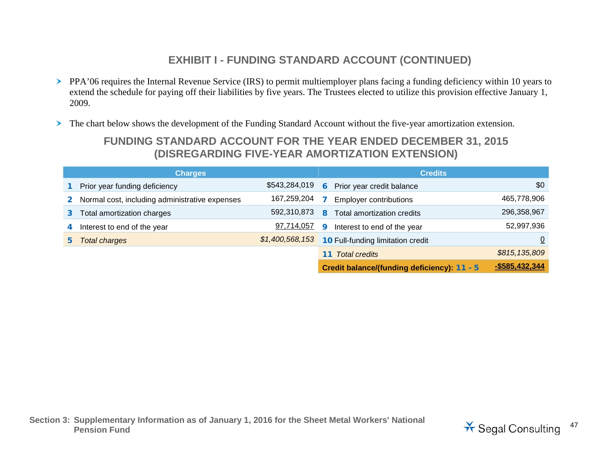## **EXHIBIT I - FUNDING STANDARD ACCOUNT (CONTINUED)**

- PPA'06 requires the Internal Revenue Service (IRS) to permit multiemployer plans facing a funding deficiency within 10 years to extend the schedule for paying off their liabilities by five years. The Trustees elected to utilize this provision effective January 1, 2009.
- The chart below shows the development of the Funding Standard Account without the five-year amortization extension.

#### **FUNDING STANDARD ACCOUNT FOR THE YEAR ENDED DECEMBER 31, 2015 (DISREGARDING FIVE-YEAR AMORTIZATION EXTENSION)**

|                | <b>Charges</b>                                 |                 | <b>Credits</b> |                                             |                |  |
|----------------|------------------------------------------------|-----------------|----------------|---------------------------------------------|----------------|--|
|                | Prior year funding deficiency                  | \$543,284,019   | 6              | Prior year credit balance                   | \$0            |  |
| $\mathbf{2}^-$ | Normal cost, including administrative expenses | 167,259,204     |                | <b>Employer contributions</b>               | 465,778,906    |  |
|                | Total amortization charges                     | 592,310,873     | 8              | Total amortization credits                  | 296,358,967    |  |
| 4              | Interest to end of the year                    | 97,714,057      | q              | Interest to end of the year                 | 52,997,936     |  |
|                | <b>Total charges</b>                           | \$1,400,568,153 |                | <b>10 Full-funding limitation credit</b>    |                |  |
|                |                                                |                 |                | <b>Total credits</b>                        | \$815,135,809  |  |
|                |                                                |                 |                | Credit balance/(funding deficiency): 11 - 5 | -\$585,432,344 |  |

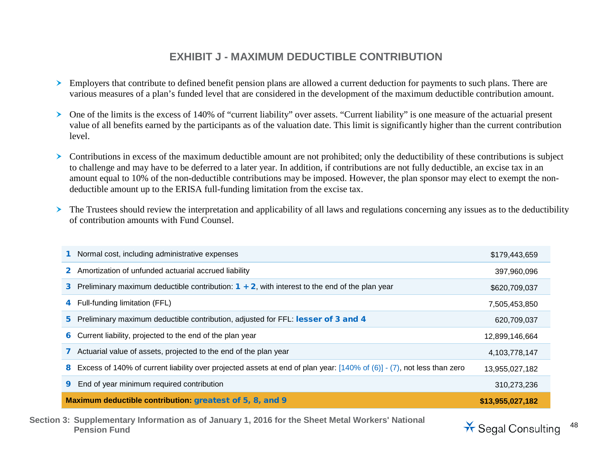#### **EXHIBIT J - MAXIMUM DEDUCTIBLE CONTRIBUTION**

- Employers that contribute to defined benefit pension plans are allowed a current deduction for payments to such plans. There are various measures of a plan's funded level that are considered in the development of the maximum deductible contribution amount.
- One of the limits is the excess of 140% of "current liability" over assets. "Current liability" is one measure of the actuarial present value of all benefits earned by the participants as of the valuation date. This limit is significantly higher than the current contribution level.
- $\triangleright$  Contributions in excess of the maximum deductible amount are not prohibited; only the deductibility of these contributions is subject to challenge and may have to be deferred to a later year. In addition, if contributions are not fully deductible, an excise tax in an amount equal to 10% of the non-deductible contributions may be imposed. However, the plan sponsor may elect to exempt the nondeductible amount up to the ERISA full-funding limitation from the excise tax.
- The Trustees should review the interpretation and applicability of all laws and regulations concerning any issues as to the deductibility of contribution amounts with Fund Counsel.

| Normal cost, including administrative expenses                                                                                      | \$179,443,659    |
|-------------------------------------------------------------------------------------------------------------------------------------|------------------|
| Amortization of unfunded actuarial accrued liability<br>$\mathbf{2}$                                                                | 397,960,096      |
| Preliminary maximum deductible contribution: $1 + 2$ , with interest to the end of the plan year<br>3                               | \$620,709,037    |
| Full-funding limitation (FFL)<br>4                                                                                                  | 7,505,453,850    |
| 5 Preliminary maximum deductible contribution, adjusted for FFL: lesser of 3 and 4                                                  | 620,709,037      |
| Current liability, projected to the end of the plan year<br>6                                                                       | 12,899,146,664   |
| Actuarial value of assets, projected to the end of the plan year                                                                    | 4,103,778,147    |
| Excess of 140% of current liability over projected assets at end of plan year: $[140\%$ of $(6)]$ - $(7)$ , not less than zero<br>8 | 13,955,027,182   |
| End of year minimum required contribution<br>9                                                                                      | 310,273,236      |
| Maximum deductible contribution: greatest of 5, 8, and 9                                                                            | \$13,955,027,182 |

**Section 3: Supplementary Information as of January 1, 2016 for the Sheet Metal Workers' National** 

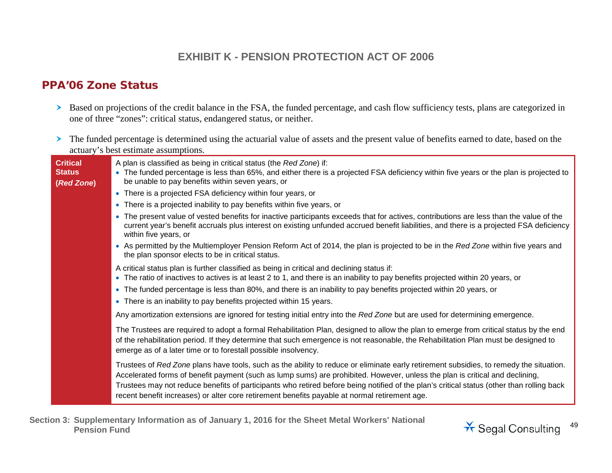#### **EXHIBIT K - PENSION PROTECTION ACT OF 2006**

#### PPA'06 Zone Status

- Based on projections of the credit balance in the FSA, the funded percentage, and cash flow sufficiency tests, plans are categorized in one of three "zones": critical status, endangered status, or neither.
- The funded percentage is determined using the actuarial value of assets and the present value of benefits earned to date, based on the actuary's best estimate assumptions.

| <b>Critical</b><br><b>Status</b><br>(Red Zone) | A plan is classified as being in critical status (the Red Zone) if:<br>• The funded percentage is less than 65%, and either there is a projected FSA deficiency within five years or the plan is projected to<br>be unable to pay benefits within seven years, or                                                                                                                                                                                                                                                    |
|------------------------------------------------|----------------------------------------------------------------------------------------------------------------------------------------------------------------------------------------------------------------------------------------------------------------------------------------------------------------------------------------------------------------------------------------------------------------------------------------------------------------------------------------------------------------------|
|                                                | • There is a projected FSA deficiency within four years, or                                                                                                                                                                                                                                                                                                                                                                                                                                                          |
|                                                | • There is a projected inability to pay benefits within five years, or                                                                                                                                                                                                                                                                                                                                                                                                                                               |
|                                                | • The present value of vested benefits for inactive participants exceeds that for actives, contributions are less than the value of the<br>current year's benefit accruals plus interest on existing unfunded accrued benefit liabilities, and there is a projected FSA deficiency<br>within five years, or                                                                                                                                                                                                          |
|                                                | • As permitted by the Multiemployer Pension Reform Act of 2014, the plan is projected to be in the Red Zone within five years and<br>the plan sponsor elects to be in critical status.                                                                                                                                                                                                                                                                                                                               |
|                                                | A critical status plan is further classified as being in critical and declining status if:<br>• The ratio of inactives to actives is at least 2 to 1, and there is an inability to pay benefits projected within 20 years, or                                                                                                                                                                                                                                                                                        |
|                                                | • The funded percentage is less than 80%, and there is an inability to pay benefits projected within 20 years, or                                                                                                                                                                                                                                                                                                                                                                                                    |
|                                                | • There is an inability to pay benefits projected within 15 years.                                                                                                                                                                                                                                                                                                                                                                                                                                                   |
|                                                | Any amortization extensions are ignored for testing initial entry into the Red Zone but are used for determining emergence.                                                                                                                                                                                                                                                                                                                                                                                          |
|                                                | The Trustees are required to adopt a formal Rehabilitation Plan, designed to allow the plan to emerge from critical status by the end<br>of the rehabilitation period. If they determine that such emergence is not reasonable, the Rehabilitation Plan must be designed to<br>emerge as of a later time or to forestall possible insolvency.                                                                                                                                                                        |
|                                                | Trustees of Red Zone plans have tools, such as the ability to reduce or eliminate early retirement subsidies, to remedy the situation.<br>Accelerated forms of benefit payment (such as lump sums) are prohibited. However, unless the plan is critical and declining,<br>Trustees may not reduce benefits of participants who retired before being notified of the plan's critical status (other than rolling back<br>recent benefit increases) or alter core retirement benefits payable at normal retirement age. |

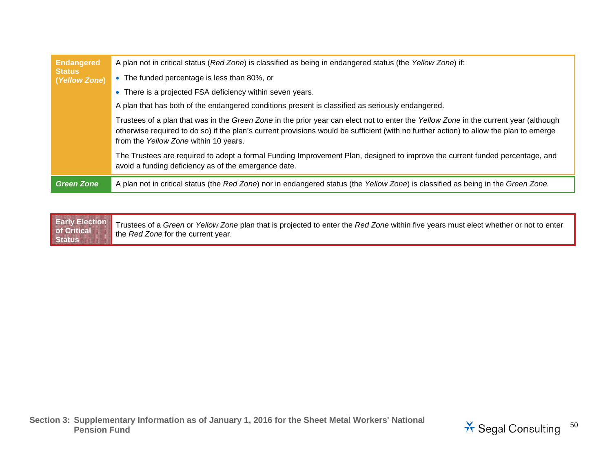| <b>Endangered</b><br><b>Status</b> | A plan not in critical status (Red Zone) is classified as being in endangered status (the Yellow Zone) if:                                                                                                                                                                                                              |
|------------------------------------|-------------------------------------------------------------------------------------------------------------------------------------------------------------------------------------------------------------------------------------------------------------------------------------------------------------------------|
| (Yellow Zone)                      | • The funded percentage is less than 80%, or                                                                                                                                                                                                                                                                            |
|                                    | • There is a projected FSA deficiency within seven years.                                                                                                                                                                                                                                                               |
|                                    | A plan that has both of the endangered conditions present is classified as seriously endangered.                                                                                                                                                                                                                        |
|                                    | Trustees of a plan that was in the Green Zone in the prior year can elect not to enter the Yellow Zone in the current year (although<br>otherwise required to do so) if the plan's current provisions would be sufficient (with no further action) to allow the plan to emerge<br>from the Yellow Zone within 10 years. |
|                                    | The Trustees are required to adopt a formal Funding Improvement Plan, designed to improve the current funded percentage, and<br>avoid a funding deficiency as of the emergence date.                                                                                                                                    |
| <b>Green Zone</b>                  | A plan not in critical status (the Red Zone) nor in endangered status (the Yellow Zone) is classified as being in the Green Zone.                                                                                                                                                                                       |

**Early Election of Critical Status** Trustees of a *Green* or *Yellow Zone* plan that is projected to enter the *Red Zone* within five years must elect whether or not to enter the *Red Zone* for the current year.

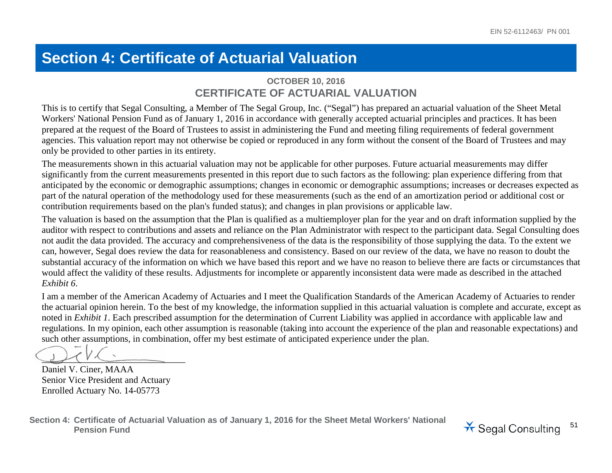## **Section 4: Certificate of Actuarial Valuation**

#### **OCTOBER 10, 2016 CERTIFICATE OF ACTUARIAL VALUATION**

This is to certify that Segal Consulting, a Member of The Segal Group, Inc. ("Segal") has prepared an actuarial valuation of the Sheet Metal Workers' National Pension Fund as of January 1, 2016 in accordance with generally accepted actuarial principles and practices. It has been prepared at the request of the Board of Trustees to assist in administering the Fund and meeting filing requirements of federal government agencies. This valuation report may not otherwise be copied or reproduced in any form without the consent of the Board of Trustees and may only be provided to other parties in its entirety.

The measurements shown in this actuarial valuation may not be applicable for other purposes. Future actuarial measurements may differ significantly from the current measurements presented in this report due to such factors as the following: plan experience differing from that anticipated by the economic or demographic assumptions; changes in economic or demographic assumptions; increases or decreases expected as part of the natural operation of the methodology used for these measurements (such as the end of an amortization period or additional cost or contribution requirements based on the plan's funded status); and changes in plan provisions or applicable law.

The valuation is based on the assumption that the Plan is qualified as a multiemployer plan for the year and on draft information supplied by the auditor with respect to contributions and assets and reliance on the Plan Administrator with respect to the participant data. Segal Consulting does not audit the data provided. The accuracy and comprehensiveness of the data is the responsibility of those supplying the data. To the extent we can, however, Segal does review the data for reasonableness and consistency. Based on our review of the data, we have no reason to doubt the substantial accuracy of the information on which we have based this report and we have no reason to believe there are facts or circumstances that would affect the validity of these results. Adjustments for incomplete or apparently inconsistent data were made as described in the attached *Exhibit 6*.

I am a member of the American Academy of Actuaries and I meet the Qualification Standards of the American Academy of Actuaries to render the actuarial opinion herein. To the best of my knowledge, the information supplied in this actuarial valuation is complete and accurate, except as noted in *Exhibit 1*. Each prescribed assumption for the determination of Current Liability was applied in accordance with applicable law and regulations. In my opinion, each other assumption is reasonable (taking into account the experience of the plan and reasonable expectations) and such other assumptions, in combination, offer my best estimate of anticipated experience under the plan.

 $\mathcal{L}(V^{\perp})$ 

Daniel V. Ciner, MAAA Senior Vice President and Actuary Enrolled Actuary No. 14-05773

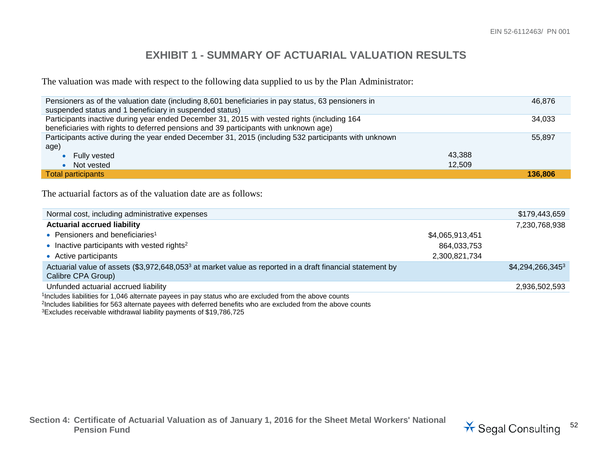#### **EXHIBIT 1 - SUMMARY OF ACTUARIAL VALUATION RESULTS**

The valuation was made with respect to the following data supplied to us by the Plan Administrator:

| Pensioners as of the valuation date (including 8,601 beneficiaries in pay status, 63 pensioners in<br>suspended status and 1 beneficiary in suspended status) | 46.876  |
|---------------------------------------------------------------------------------------------------------------------------------------------------------------|---------|
| Participants inactive during year ended December 31, 2015 with vested rights (including 164                                                                   | 34,033  |
| beneficiaries with rights to deferred pensions and 39 participants with unknown age)                                                                          |         |
| Participants active during the year ended December 31, 2015 (including 532 participants with unknown                                                          | 55,897  |
| age)                                                                                                                                                          |         |
| Fully vested                                                                                                                                                  | 43.388  |
| Not vested                                                                                                                                                    | 12,509  |
| Total participants                                                                                                                                            | 136,806 |

The actuarial factors as of the valuation date are as follows:

| Normal cost, including administrative expenses                                                                                              |                 | \$179,443,659      |
|---------------------------------------------------------------------------------------------------------------------------------------------|-----------------|--------------------|
| <b>Actuarial accrued liability</b>                                                                                                          |                 | 7,230,768,938      |
| • Pensioners and beneficiaries <sup>1</sup>                                                                                                 | \$4,065,913,451 |                    |
| • Inactive participants with vested rights <sup>2</sup>                                                                                     | 864,033,753     |                    |
| • Active participants                                                                                                                       | 2,300,821,734   |                    |
| Actuarial value of assets (\$3,972,648,053 <sup>3</sup> at market value as reported in a draft financial statement by<br>Calibre CPA Group) |                 | $$4,294,266,345^3$ |
| Unfunded actuarial accrued liability                                                                                                        |                 | 2,936,502,593      |
| <sup>1</sup> Includes liabilities for 1,046 alternate payees in pay status who are excluded from the above counts                           |                 |                    |

2Includes liabilities for 563 alternate payees with deferred benefits who are excluded from the above counts

3Excludes receivable withdrawal liability payments of \$19,786,725

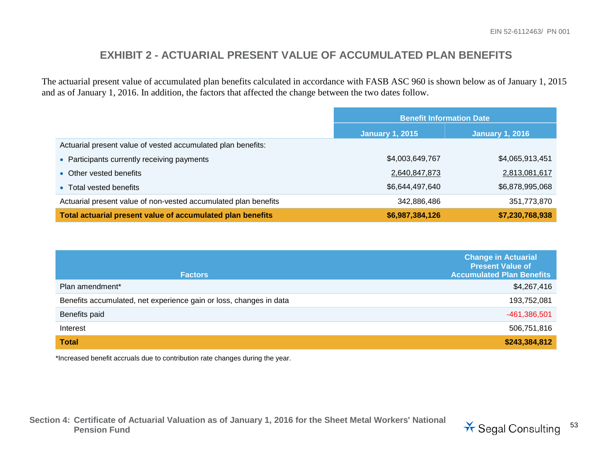#### **EXHIBIT 2 - ACTUARIAL PRESENT VALUE OF ACCUMULATED PLAN BENEFITS**

The actuarial present value of accumulated plan benefits calculated in accordance with FASB ASC 960 is shown below as of January 1, 2015 and as of January 1, 2016. In addition, the factors that affected the change between the two dates follow.

|                                                                 | <b>Benefit Information Date</b>                  |                 |
|-----------------------------------------------------------------|--------------------------------------------------|-----------------|
|                                                                 | <b>January 1, 2015</b><br><b>January 1, 2016</b> |                 |
| Actuarial present value of vested accumulated plan benefits:    |                                                  |                 |
| • Participants currently receiving payments                     | \$4,003,649,767                                  | \$4,065,913,451 |
| • Other vested benefits                                         | 2,640,847,873                                    | 2,813,081,617   |
| • Total vested benefits                                         | \$6,644,497,640                                  | \$6,878,995,068 |
| Actuarial present value of non-vested accumulated plan benefits | 342,886,486                                      | 351,773,870     |
| Total actuarial present value of accumulated plan benefits      | \$6,987,384,126                                  | \$7,230,768,938 |

| <b>Factors</b>                                                     | <b>Change in Actuarial</b><br><b>Present Value of</b><br><b>Accumulated Plan Benefits</b> |
|--------------------------------------------------------------------|-------------------------------------------------------------------------------------------|
| Plan amendment*                                                    | \$4,267,416                                                                               |
| Benefits accumulated, net experience gain or loss, changes in data | 193,752,081                                                                               |
| Benefits paid                                                      | -461,386,501                                                                              |
| Interest                                                           | 506,751,816                                                                               |
| <b>Total</b>                                                       | \$243,384,812                                                                             |

\*Increased benefit accruals due to contribution rate changes during the year.

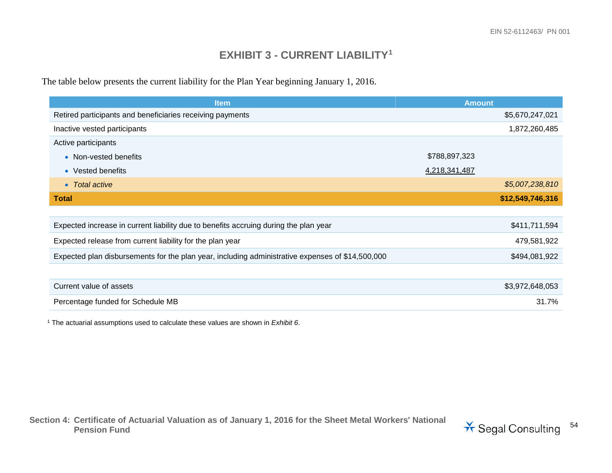#### <span id="page-53-0"></span>**EXHIBIT 3 - CURRENT LIABILITY[1](#page-53-0)**

The table below presents the current liability for the Plan Year beginning January 1, 2016.

| <b>Item</b>                                                                                      | <b>Amount</b>    |
|--------------------------------------------------------------------------------------------------|------------------|
| Retired participants and beneficiaries receiving payments                                        | \$5,670,247,021  |
| Inactive vested participants                                                                     | 1,872,260,485    |
| Active participants                                                                              |                  |
| • Non-vested benefits                                                                            | \$788,897,323    |
| • Vested benefits                                                                                | 4,218,341,487    |
| • Total active                                                                                   | \$5,007,238,810  |
| <b>Total</b>                                                                                     | \$12,549,746,316 |
|                                                                                                  |                  |
| Expected increase in current liability due to benefits accruing during the plan year             | \$411,711,594    |
| Expected release from current liability for the plan year                                        | 479,581,922      |
| Expected plan disbursements for the plan year, including administrative expenses of \$14,500,000 | \$494,081,922    |
|                                                                                                  |                  |
| Current value of assets                                                                          | \$3,972,648,053  |
| Percentage funded for Schedule MB                                                                | 31.7%            |

<sup>1</sup> The actuarial assumptions used to calculate these values are shown in *Exhibit 6*.

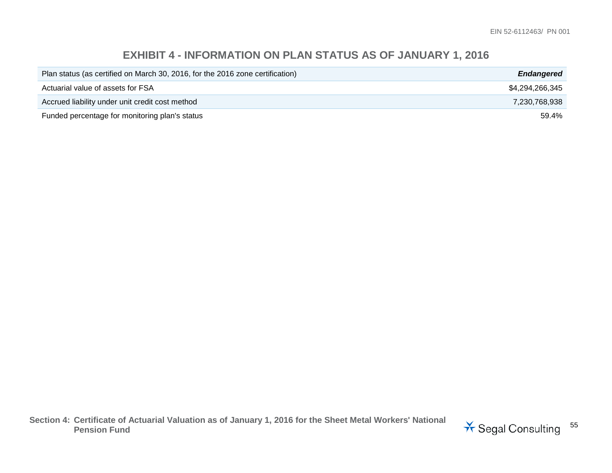### **EXHIBIT 4 - INFORMATION ON PLAN STATUS AS OF JANUARY 1, 2016**

| Plan status (as certified on March 30, 2016, for the 2016 zone certification) | <b>Endangered</b> |
|-------------------------------------------------------------------------------|-------------------|
| Actuarial value of assets for FSA                                             | \$4.294.266.345   |
| Accrued liability under unit credit cost method                               | 7.230.768.938     |
| Funded percentage for monitoring plan's status                                | 59.4%             |

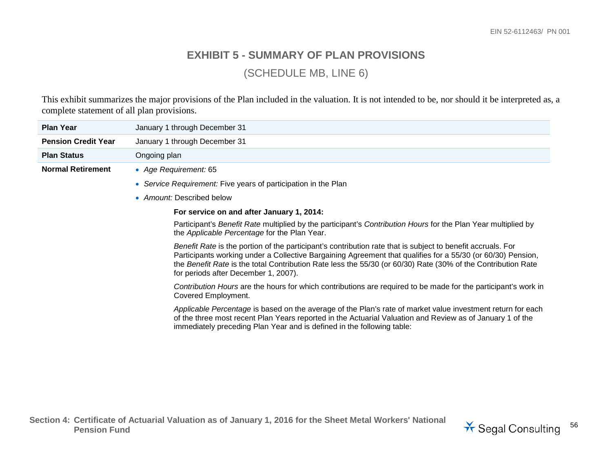#### **EXHIBIT 5 - SUMMARY OF PLAN PROVISIONS**

(SCHEDULE MB, LINE 6)

This exhibit summarizes the major provisions of the Plan included in the valuation. It is not intended to be, nor should it be interpreted as, a complete statement of all plan provisions.

| <b>Plan Year</b>           | January 1 through December 31                                                                                                                                                                                                                                                                                                                                                      |
|----------------------------|------------------------------------------------------------------------------------------------------------------------------------------------------------------------------------------------------------------------------------------------------------------------------------------------------------------------------------------------------------------------------------|
| <b>Pension Credit Year</b> | January 1 through December 31                                                                                                                                                                                                                                                                                                                                                      |
| <b>Plan Status</b>         | Ongoing plan                                                                                                                                                                                                                                                                                                                                                                       |
| <b>Normal Retirement</b>   | • Age Requirement: 65                                                                                                                                                                                                                                                                                                                                                              |
|                            | • Service Requirement: Five years of participation in the Plan                                                                                                                                                                                                                                                                                                                     |
|                            | • Amount: Described below                                                                                                                                                                                                                                                                                                                                                          |
|                            | For service on and after January 1, 2014:                                                                                                                                                                                                                                                                                                                                          |
|                            | Participant's Benefit Rate multiplied by the participant's Contribution Hours for the Plan Year multiplied by<br>the Applicable Percentage for the Plan Year.                                                                                                                                                                                                                      |
|                            | Benefit Rate is the portion of the participant's contribution rate that is subject to benefit accruals. For<br>Participants working under a Collective Bargaining Agreement that qualifies for a 55/30 (or 60/30) Pension,<br>the Benefit Rate is the total Contribution Rate less the 55/30 (or 60/30) Rate (30% of the Contribution Rate<br>for periods after December 1, 2007). |
|                            | Contribution Hours are the hours for which contributions are required to be made for the participant's work in<br>Covered Employment.                                                                                                                                                                                                                                              |
|                            | Applicable Percentage is based on the average of the Plan's rate of market value investment return for each<br>of the three most recent Plan Years reported in the Actuarial Valuation and Review as of January 1 of the<br>immediately preceding Plan Year and is defined in the following table:                                                                                 |

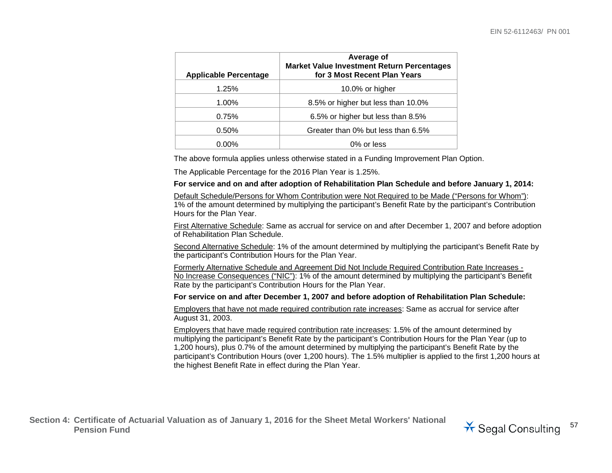| <b>Applicable Percentage</b> | Average of<br><b>Market Value Investment Return Percentages</b><br>for 3 Most Recent Plan Years |
|------------------------------|-------------------------------------------------------------------------------------------------|
| 1.25%                        | 10.0% or higher                                                                                 |
| 1.00%                        | 8.5% or higher but less than 10.0%                                                              |
| 0.75%                        | 6.5% or higher but less than 8.5%                                                               |
| 0.50%                        | Greater than 0% but less than 6.5%                                                              |
| $0.00\%$                     | 0% or less                                                                                      |

The above formula applies unless otherwise stated in a Funding Improvement Plan Option.

The Applicable Percentage for the 2016 Plan Year is 1.25%.

#### **For service and on and after adoption of Rehabilitation Plan Schedule and before January 1, 2014:**

Default Schedule/Persons for Whom Contribution were Not Required to be Made ("Persons for Whom"): 1% of the amount determined by multiplying the participant's Benefit Rate by the participant's Contribution Hours for the Plan Year.

First Alternative Schedule: Same as accrual for service on and after December 1, 2007 and before adoption of Rehabilitation Plan Schedule.

Second Alternative Schedule: 1% of the amount determined by multiplying the participant's Benefit Rate by the participant's Contribution Hours for the Plan Year.

Formerly Alternative Schedule and Agreement Did Not Include Required Contribution Rate Increases - No Increase Consequences ("NIC"): 1% of the amount determined by multiplying the participant's Benefit Rate by the participant's Contribution Hours for the Plan Year.

#### **For service on and after December 1, 2007 and before adoption of Rehabilitation Plan Schedule:**

Employers that have not made required contribution rate increases: Same as accrual for service after August 31, 2003.

Employers that have made required contribution rate increases: 1.5% of the amount determined by multiplying the participant's Benefit Rate by the participant's Contribution Hours for the Plan Year (up to 1,200 hours), plus 0.7% of the amount determined by multiplying the participant's Benefit Rate by the participant's Contribution Hours (over 1,200 hours). The 1.5% multiplier is applied to the first 1,200 hours at the highest Benefit Rate in effect during the Plan Year.

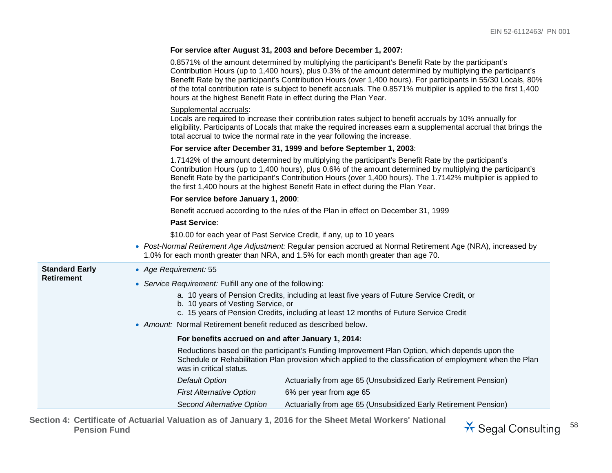| For service after August 31, 2003 and before December 1, 2007: |  |  |  |  |
|----------------------------------------------------------------|--|--|--|--|
|----------------------------------------------------------------|--|--|--|--|

|                       | 0.8571% of the amount determined by multiplying the participant's Benefit Rate by the participant's<br>Contribution Hours (up to 1,400 hours), plus 0.3% of the amount determined by multiplying the participant's<br>Benefit Rate by the participant's Contribution Hours (over 1,400 hours). For participants in 55/30 Locals, 80%<br>of the total contribution rate is subject to benefit accruals. The 0.8571% multiplier is applied to the first 1,400<br>hours at the highest Benefit Rate in effect during the Plan Year. |
|-----------------------|----------------------------------------------------------------------------------------------------------------------------------------------------------------------------------------------------------------------------------------------------------------------------------------------------------------------------------------------------------------------------------------------------------------------------------------------------------------------------------------------------------------------------------|
|                       | Supplemental accruals:<br>Locals are required to increase their contribution rates subject to benefit accruals by 10% annually for<br>eligibility. Participants of Locals that make the required increases earn a supplemental accrual that brings the<br>total accrual to twice the normal rate in the year following the increase.                                                                                                                                                                                             |
|                       | For service after December 31, 1999 and before September 1, 2003:                                                                                                                                                                                                                                                                                                                                                                                                                                                                |
|                       | 1.7142% of the amount determined by multiplying the participant's Benefit Rate by the participant's<br>Contribution Hours (up to 1,400 hours), plus 0.6% of the amount determined by multiplying the participant's<br>Benefit Rate by the participant's Contribution Hours (over 1,400 hours). The 1.7142% multiplier is applied to<br>the first 1,400 hours at the highest Benefit Rate in effect during the Plan Year.                                                                                                         |
|                       | For service before January 1, 2000:                                                                                                                                                                                                                                                                                                                                                                                                                                                                                              |
|                       | Benefit accrued according to the rules of the Plan in effect on December 31, 1999                                                                                                                                                                                                                                                                                                                                                                                                                                                |
|                       | <b>Past Service:</b>                                                                                                                                                                                                                                                                                                                                                                                                                                                                                                             |
|                       | \$10.00 for each year of Past Service Credit, if any, up to 10 years                                                                                                                                                                                                                                                                                                                                                                                                                                                             |
|                       | • Post-Normal Retirement Age Adjustment: Regular pension accrued at Normal Retirement Age (NRA), increased by<br>1.0% for each month greater than NRA, and 1.5% for each month greater than age 70.                                                                                                                                                                                                                                                                                                                              |
| <b>Standard Early</b> | • Age Requirement: 55                                                                                                                                                                                                                                                                                                                                                                                                                                                                                                            |
| <b>Retirement</b>     | • Service Requirement: Fulfill any one of the following:                                                                                                                                                                                                                                                                                                                                                                                                                                                                         |
|                       | a. 10 years of Pension Credits, including at least five years of Future Service Credit, or<br>b. 10 years of Vesting Service, or<br>c. 15 years of Pension Credits, including at least 12 months of Future Service Credit                                                                                                                                                                                                                                                                                                        |
|                       | • Amount: Normal Retirement benefit reduced as described below.                                                                                                                                                                                                                                                                                                                                                                                                                                                                  |
|                       | For benefits accrued on and after January 1, 2014:                                                                                                                                                                                                                                                                                                                                                                                                                                                                               |
|                       | Reductions based on the participant's Funding Improvement Plan Option, which depends upon the<br>Schedule or Rehabilitation Plan provision which applied to the classification of employment when the Plan<br>was in critical status.                                                                                                                                                                                                                                                                                            |
|                       | <b>Default Option</b><br>Actuarially from age 65 (Unsubsidized Early Retirement Pension)                                                                                                                                                                                                                                                                                                                                                                                                                                         |
|                       | <b>First Alternative Option</b><br>6% per year from age 65                                                                                                                                                                                                                                                                                                                                                                                                                                                                       |
|                       | <b>Second Alternative Option</b><br>Actuarially from age 65 (Unsubsidized Early Retirement Pension)                                                                                                                                                                                                                                                                                                                                                                                                                              |

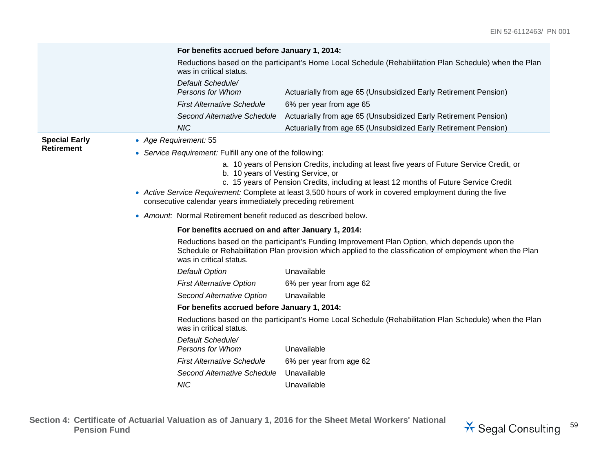|                      | For benefits accrued before January 1, 2014:                    |                                                                                                                                                                                                            |
|----------------------|-----------------------------------------------------------------|------------------------------------------------------------------------------------------------------------------------------------------------------------------------------------------------------------|
|                      | was in critical status.                                         | Reductions based on the participant's Home Local Schedule (Rehabilitation Plan Schedule) when the Plan                                                                                                     |
|                      | Default Schedule/<br>Persons for Whom                           | Actuarially from age 65 (Unsubsidized Early Retirement Pension)                                                                                                                                            |
|                      | <b>First Alternative Schedule</b>                               | 6% per year from age 65                                                                                                                                                                                    |
|                      | Second Alternative Schedule                                     | Actuarially from age 65 (Unsubsidized Early Retirement Pension)                                                                                                                                            |
|                      | <b>NIC</b>                                                      | Actuarially from age 65 (Unsubsidized Early Retirement Pension)                                                                                                                                            |
| <b>Special Early</b> | • Age Requirement: 55                                           |                                                                                                                                                                                                            |
| <b>Retirement</b>    | • Service Requirement: Fulfill any one of the following:        |                                                                                                                                                                                                            |
|                      |                                                                 | a. 10 years of Pension Credits, including at least five years of Future Service Credit, or<br>b. 10 years of Vesting Service, or                                                                           |
|                      | consecutive calendar years immediately preceding retirement     | c. 15 years of Pension Credits, including at least 12 months of Future Service Credit<br>• Active Service Requirement: Complete at least 3,500 hours of work in covered employment during the five         |
|                      | • Amount: Normal Retirement benefit reduced as described below. |                                                                                                                                                                                                            |
|                      |                                                                 | For benefits accrued on and after January 1, 2014:                                                                                                                                                         |
|                      | was in critical status.                                         | Reductions based on the participant's Funding Improvement Plan Option, which depends upon the<br>Schedule or Rehabilitation Plan provision which applied to the classification of employment when the Plan |
|                      | <b>Default Option</b>                                           | Unavailable                                                                                                                                                                                                |
|                      | <b>First Alternative Option</b>                                 | 6% per year from age 62                                                                                                                                                                                    |
|                      | Second Alternative Option                                       | Unavailable                                                                                                                                                                                                |
|                      | For benefits accrued before January 1, 2014:                    |                                                                                                                                                                                                            |
|                      | was in critical status.                                         | Reductions based on the participant's Home Local Schedule (Rehabilitation Plan Schedule) when the Plan                                                                                                     |
|                      | Default Schedule/<br>Persons for Whom                           | Unavailable                                                                                                                                                                                                |
|                      | <b>First Alternative Schedule</b>                               | 6% per year from age 62                                                                                                                                                                                    |
|                      | Second Alternative Schedule                                     | Unavailable                                                                                                                                                                                                |
|                      | <b>NIC</b>                                                      | Unavailable                                                                                                                                                                                                |

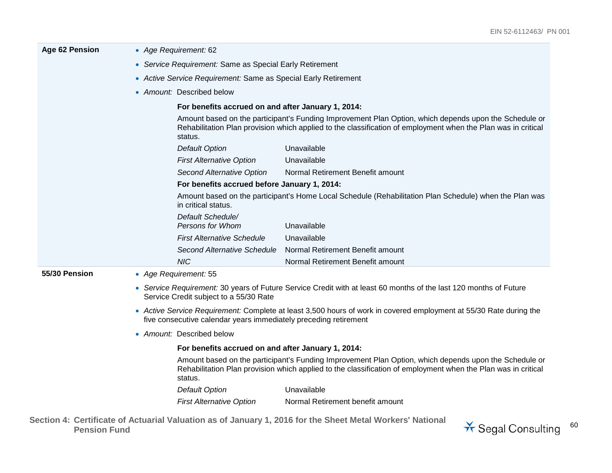| Age 62 Pension | • Age Requirement: 62                                                                                                                                                                  |                                                                                                                                                                                                                        |  |  |
|----------------|----------------------------------------------------------------------------------------------------------------------------------------------------------------------------------------|------------------------------------------------------------------------------------------------------------------------------------------------------------------------------------------------------------------------|--|--|
|                | • Service Requirement: Same as Special Early Retirement                                                                                                                                |                                                                                                                                                                                                                        |  |  |
|                | • Active Service Requirement: Same as Special Early Retirement                                                                                                                         |                                                                                                                                                                                                                        |  |  |
|                | • Amount: Described below                                                                                                                                                              |                                                                                                                                                                                                                        |  |  |
|                | For benefits accrued on and after January 1, 2014:                                                                                                                                     |                                                                                                                                                                                                                        |  |  |
|                | status.                                                                                                                                                                                | Amount based on the participant's Funding Improvement Plan Option, which depends upon the Schedule or<br>Rehabilitation Plan provision which applied to the classification of employment when the Plan was in critical |  |  |
|                | <b>Default Option</b>                                                                                                                                                                  | Unavailable                                                                                                                                                                                                            |  |  |
|                | <b>First Alternative Option</b>                                                                                                                                                        | Unavailable                                                                                                                                                                                                            |  |  |
|                | Second Alternative Option                                                                                                                                                              | Normal Retirement Benefit amount                                                                                                                                                                                       |  |  |
|                |                                                                                                                                                                                        | For benefits accrued before January 1, 2014:                                                                                                                                                                           |  |  |
|                | in critical status.                                                                                                                                                                    | Amount based on the participant's Home Local Schedule (Rehabilitation Plan Schedule) when the Plan was                                                                                                                 |  |  |
|                | Default Schedule/<br>Persons for Whom                                                                                                                                                  | Unavailable                                                                                                                                                                                                            |  |  |
|                | <b>First Alternative Schedule</b>                                                                                                                                                      | Unavailable                                                                                                                                                                                                            |  |  |
|                | Second Alternative Schedule                                                                                                                                                            | Normal Retirement Benefit amount                                                                                                                                                                                       |  |  |
|                | <b>NIC</b>                                                                                                                                                                             | Normal Retirement Benefit amount                                                                                                                                                                                       |  |  |
| 55/30 Pension  | • Age Requirement: 55                                                                                                                                                                  |                                                                                                                                                                                                                        |  |  |
|                | Service Credit subject to a 55/30 Rate                                                                                                                                                 | • Service Requirement: 30 years of Future Service Credit with at least 60 months of the last 120 months of Future                                                                                                      |  |  |
|                | • Active Service Requirement: Complete at least 3,500 hours of work in covered employment at 55/30 Rate during the<br>five consecutive calendar years immediately preceding retirement |                                                                                                                                                                                                                        |  |  |
|                | • Amount: Described below                                                                                                                                                              |                                                                                                                                                                                                                        |  |  |
|                | For benefits accrued on and after January 1, 2014:                                                                                                                                     |                                                                                                                                                                                                                        |  |  |
|                | status.                                                                                                                                                                                | Amount based on the participant's Funding Improvement Plan Option, which depends upon the Schedule or<br>Rehabilitation Plan provision which applied to the classification of employment when the Plan was in critical |  |  |
|                | <b>Default Option</b>                                                                                                                                                                  | Unavailable                                                                                                                                                                                                            |  |  |
|                | <b>First Alternative Option</b>                                                                                                                                                        | Normal Retirement benefit amount                                                                                                                                                                                       |  |  |
|                |                                                                                                                                                                                        |                                                                                                                                                                                                                        |  |  |

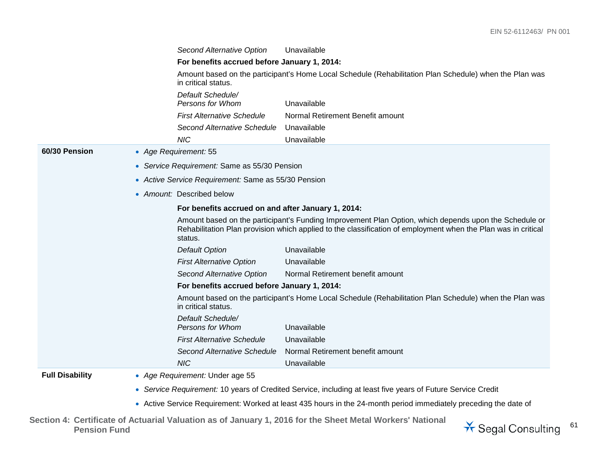*Second Alternative Option* Unavailable **For benefits accrued before January 1, 2014:** Amount based on the participant's Home Local Schedule (Rehabilitation Plan Schedule) when the Plan was in critical status. *Default Schedule/ Persons for Whom* Unavailable *First Alternative Schedule* Normal Retirement Benefit amount *Second Alternative Schedule* Unavailable *NIC* Unavailable **60/30 Pension** • *Age Requirement:* 55 • *Service Requirement:* Same as 55/30 Pension • *Active Service Requirement:* Same as 55/30 Pension • *Amount:* Described below **For benefits accrued on and after January 1, 2014:** Amount based on the participant's Funding Improvement Plan Option, which depends upon the Schedule or Rehabilitation Plan provision which applied to the classification of employment when the Plan was in critical status. *Default Option* Unavailable *First Alternative Option* Unavailable *Second Alternative Option* Normal Retirement benefit amount **For benefits accrued before January 1, 2014:** Amount based on the participant's Home Local Schedule (Rehabilitation Plan Schedule) when the Plan was in critical status. *Default Schedule/ Persons for Whom* Unavailable *First Alternative Schedule* Unavailable *Second Alternative Schedule* Normal Retirement benefit amount *NIC* Unavailable **Full Disability** • *Age Requirement:* Under age 55 • *Service Requirement:* 10 years of Credited Service, including at least five years of Future Service Credit

• Active Service Requirement: Worked at least 435 hours in the 24-month period immediately preceding the date of

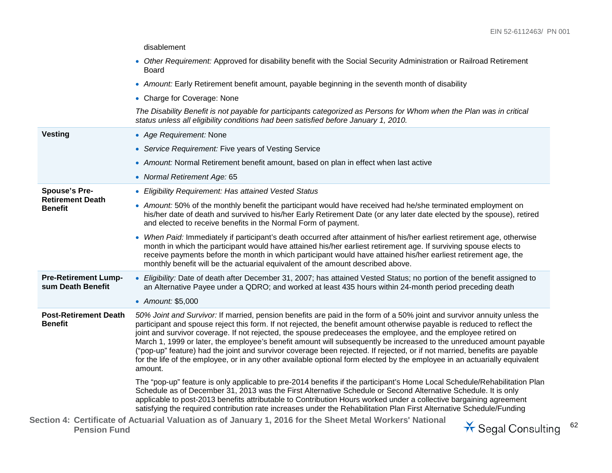|                                                  |                                                                                                                                                                                                                                                                                                                                                                                                                                                                                           | disablement                                                                                                                                                                                                                                                                                                                                                                                                                                                                                                                                                                                                                                                                                                                                                           |                           |
|--------------------------------------------------|-------------------------------------------------------------------------------------------------------------------------------------------------------------------------------------------------------------------------------------------------------------------------------------------------------------------------------------------------------------------------------------------------------------------------------------------------------------------------------------------|-----------------------------------------------------------------------------------------------------------------------------------------------------------------------------------------------------------------------------------------------------------------------------------------------------------------------------------------------------------------------------------------------------------------------------------------------------------------------------------------------------------------------------------------------------------------------------------------------------------------------------------------------------------------------------------------------------------------------------------------------------------------------|---------------------------|
|                                                  |                                                                                                                                                                                                                                                                                                                                                                                                                                                                                           | • Other Requirement: Approved for disability benefit with the Social Security Administration or Railroad Retirement<br>Board                                                                                                                                                                                                                                                                                                                                                                                                                                                                                                                                                                                                                                          |                           |
|                                                  |                                                                                                                                                                                                                                                                                                                                                                                                                                                                                           | • Amount: Early Retirement benefit amount, payable beginning in the seventh month of disability                                                                                                                                                                                                                                                                                                                                                                                                                                                                                                                                                                                                                                                                       |                           |
|                                                  |                                                                                                                                                                                                                                                                                                                                                                                                                                                                                           | • Charge for Coverage: None                                                                                                                                                                                                                                                                                                                                                                                                                                                                                                                                                                                                                                                                                                                                           |                           |
|                                                  |                                                                                                                                                                                                                                                                                                                                                                                                                                                                                           | The Disability Benefit is not payable for participants categorized as Persons for Whom when the Plan was in critical<br>status unless all eligibility conditions had been satisfied before January 1, 2010.                                                                                                                                                                                                                                                                                                                                                                                                                                                                                                                                                           |                           |
| <b>Vesting</b>                                   |                                                                                                                                                                                                                                                                                                                                                                                                                                                                                           | • Age Requirement: None                                                                                                                                                                                                                                                                                                                                                                                                                                                                                                                                                                                                                                                                                                                                               |                           |
|                                                  |                                                                                                                                                                                                                                                                                                                                                                                                                                                                                           | • Service Requirement: Five years of Vesting Service                                                                                                                                                                                                                                                                                                                                                                                                                                                                                                                                                                                                                                                                                                                  |                           |
|                                                  |                                                                                                                                                                                                                                                                                                                                                                                                                                                                                           | • Amount: Normal Retirement benefit amount, based on plan in effect when last active                                                                                                                                                                                                                                                                                                                                                                                                                                                                                                                                                                                                                                                                                  |                           |
|                                                  |                                                                                                                                                                                                                                                                                                                                                                                                                                                                                           | • Normal Retirement Age: 65                                                                                                                                                                                                                                                                                                                                                                                                                                                                                                                                                                                                                                                                                                                                           |                           |
| <b>Spouse's Pre-</b>                             |                                                                                                                                                                                                                                                                                                                                                                                                                                                                                           | • Eligibility Requirement: Has attained Vested Status                                                                                                                                                                                                                                                                                                                                                                                                                                                                                                                                                                                                                                                                                                                 |                           |
|                                                  | <b>Retirement Death</b><br><b>Benefit</b>                                                                                                                                                                                                                                                                                                                                                                                                                                                 | • Amount: 50% of the monthly benefit the participant would have received had he/she terminated employment on<br>his/her date of death and survived to his/her Early Retirement Date (or any later date elected by the spouse), retired<br>and elected to receive benefits in the Normal Form of payment.                                                                                                                                                                                                                                                                                                                                                                                                                                                              |                           |
|                                                  | • When Paid: Immediately if participant's death occurred after attainment of his/her earliest retirement age, otherwise<br>month in which the participant would have attained his/her earliest retirement age. If surviving spouse elects to<br>receive payments before the month in which participant would have attained his/her earliest retirement age, the<br>monthly benefit will be the actuarial equivalent of the amount described above.                                        |                                                                                                                                                                                                                                                                                                                                                                                                                                                                                                                                                                                                                                                                                                                                                                       |                           |
| <b>Pre-Retirement Lump-</b><br>sum Death Benefit |                                                                                                                                                                                                                                                                                                                                                                                                                                                                                           | • Eligibility: Date of death after December 31, 2007; has attained Vested Status; no portion of the benefit assigned to<br>an Alternative Payee under a QDRO; and worked at least 435 hours within 24-month period preceding death                                                                                                                                                                                                                                                                                                                                                                                                                                                                                                                                    |                           |
|                                                  |                                                                                                                                                                                                                                                                                                                                                                                                                                                                                           | • Amount: \$5,000                                                                                                                                                                                                                                                                                                                                                                                                                                                                                                                                                                                                                                                                                                                                                     |                           |
| <b>Post-Retirement Death</b><br><b>Benefit</b>   |                                                                                                                                                                                                                                                                                                                                                                                                                                                                                           | 50% Joint and Survivor: If married, pension benefits are paid in the form of a 50% joint and survivor annuity unless the<br>participant and spouse reject this form. If not rejected, the benefit amount otherwise payable is reduced to reflect the<br>joint and survivor coverage. If not rejected, the spouse predeceases the employee, and the employee retired on<br>March 1, 1999 or later, the employee's benefit amount will subsequently be increased to the unreduced amount payable<br>("pop-up" feature) had the joint and survivor coverage been rejected. If rejected, or if not married, benefits are payable<br>for the life of the employee, or in any other available optional form elected by the employee in an actuarially equivalent<br>amount. |                           |
|                                                  | The "pop-up" feature is only applicable to pre-2014 benefits if the participant's Home Local Schedule/Rehabilitation Plan<br>Schedule as of December 31, 2013 was the First Alternative Schedule or Second Alternative Schedule. It is only<br>applicable to post-2013 benefits attributable to Contribution Hours worked under a collective bargaining agreement<br>satisfying the required contribution rate increases under the Rehabilitation Plan First Alternative Schedule/Funding |                                                                                                                                                                                                                                                                                                                                                                                                                                                                                                                                                                                                                                                                                                                                                                       |                           |
|                                                  | <b>Pension Fund</b>                                                                                                                                                                                                                                                                                                                                                                                                                                                                       | Section 4: Certificate of Actuarial Valuation as of January 1, 2016 for the Sheet Metal Workers' National                                                                                                                                                                                                                                                                                                                                                                                                                                                                                                                                                                                                                                                             | <b>★ Segal Consulting</b> |
|                                                  |                                                                                                                                                                                                                                                                                                                                                                                                                                                                                           |                                                                                                                                                                                                                                                                                                                                                                                                                                                                                                                                                                                                                                                                                                                                                                       |                           |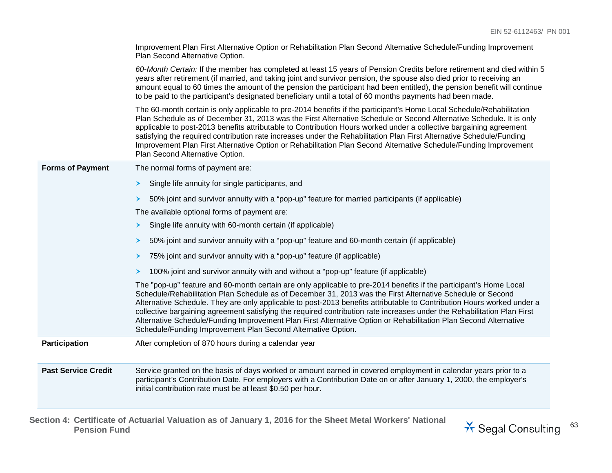|                            | Improvement Plan First Alternative Option or Rehabilitation Plan Second Alternative Schedule/Funding Improvement<br>Plan Second Alternative Option.                                                                                                                                                                                                                                                                                                                                                                                                                                                                                                                       |
|----------------------------|---------------------------------------------------------------------------------------------------------------------------------------------------------------------------------------------------------------------------------------------------------------------------------------------------------------------------------------------------------------------------------------------------------------------------------------------------------------------------------------------------------------------------------------------------------------------------------------------------------------------------------------------------------------------------|
|                            | 60-Month Certain: If the member has completed at least 15 years of Pension Credits before retirement and died within 5<br>years after retirement (if married, and taking joint and survivor pension, the spouse also died prior to receiving an<br>amount equal to 60 times the amount of the pension the participant had been entitled), the pension benefit will continue<br>to be paid to the participant's designated beneficiary until a total of 60 months payments had been made.                                                                                                                                                                                  |
|                            | The 60-month certain is only applicable to pre-2014 benefits if the participant's Home Local Schedule/Rehabilitation<br>Plan Schedule as of December 31, 2013 was the First Alternative Schedule or Second Alternative Schedule. It is only<br>applicable to post-2013 benefits attributable to Contribution Hours worked under a collective bargaining agreement<br>satisfying the required contribution rate increases under the Rehabilitation Plan First Alternative Schedule/Funding<br>Improvement Plan First Alternative Option or Rehabilitation Plan Second Alternative Schedule/Funding Improvement<br>Plan Second Alternative Option.                          |
| <b>Forms of Payment</b>    | The normal forms of payment are:                                                                                                                                                                                                                                                                                                                                                                                                                                                                                                                                                                                                                                          |
|                            | Single life annuity for single participants, and<br>≻                                                                                                                                                                                                                                                                                                                                                                                                                                                                                                                                                                                                                     |
|                            | 50% joint and survivor annuity with a "pop-up" feature for married participants (if applicable)<br>➤                                                                                                                                                                                                                                                                                                                                                                                                                                                                                                                                                                      |
|                            | The available optional forms of payment are:                                                                                                                                                                                                                                                                                                                                                                                                                                                                                                                                                                                                                              |
|                            | Single life annuity with 60-month certain (if applicable)<br>≻                                                                                                                                                                                                                                                                                                                                                                                                                                                                                                                                                                                                            |
|                            | 50% joint and survivor annuity with a "pop-up" feature and 60-month certain (if applicable)<br>➤                                                                                                                                                                                                                                                                                                                                                                                                                                                                                                                                                                          |
|                            | 75% joint and survivor annuity with a "pop-up" feature (if applicable)<br>≻                                                                                                                                                                                                                                                                                                                                                                                                                                                                                                                                                                                               |
|                            | 100% joint and survivor annuity with and without a "pop-up" feature (if applicable)<br>≻                                                                                                                                                                                                                                                                                                                                                                                                                                                                                                                                                                                  |
|                            | The "pop-up" feature and 60-month certain are only applicable to pre-2014 benefits if the participant's Home Local<br>Schedule/Rehabilitation Plan Schedule as of December 31, 2013 was the First Alternative Schedule or Second<br>Alternative Schedule. They are only applicable to post-2013 benefits attributable to Contribution Hours worked under a<br>collective bargaining agreement satisfying the required contribution rate increases under the Rehabilitation Plan First<br>Alternative Schedule/Funding Improvement Plan First Alternative Option or Rehabilitation Plan Second Alternative<br>Schedule/Funding Improvement Plan Second Alternative Option. |
| Participation              | After completion of 870 hours during a calendar year                                                                                                                                                                                                                                                                                                                                                                                                                                                                                                                                                                                                                      |
| <b>Past Service Credit</b> | Service granted on the basis of days worked or amount earned in covered employment in calendar years prior to a<br>participant's Contribution Date. For employers with a Contribution Date on or after January 1, 2000, the employer's<br>initial contribution rate must be at least \$0.50 per hour.                                                                                                                                                                                                                                                                                                                                                                     |

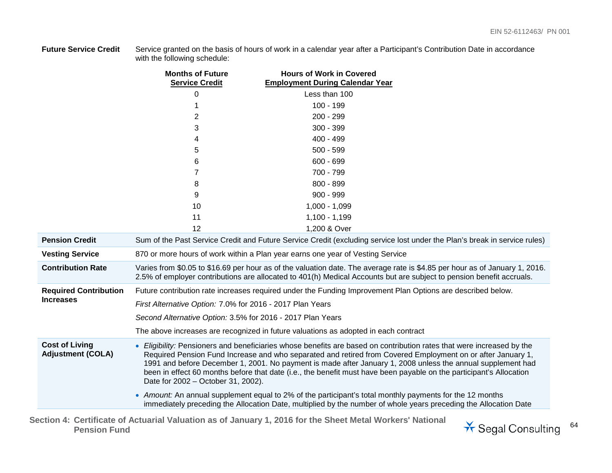**Future Service Credit** Service granted on the basis of hours of work in a calendar year after a Participant's Contribution Date in accordance with the following schedule:

|                                                   | <b>Months of Future</b><br><b>Service Credit</b>           | <b>Hours of Work in Covered</b><br><b>Employment During Calendar Year</b>                                                                                                                                                                                                                                                                                                                                                                                                  |  |
|---------------------------------------------------|------------------------------------------------------------|----------------------------------------------------------------------------------------------------------------------------------------------------------------------------------------------------------------------------------------------------------------------------------------------------------------------------------------------------------------------------------------------------------------------------------------------------------------------------|--|
|                                                   | 0                                                          | Less than 100                                                                                                                                                                                                                                                                                                                                                                                                                                                              |  |
|                                                   |                                                            | $100 - 199$                                                                                                                                                                                                                                                                                                                                                                                                                                                                |  |
|                                                   | 2                                                          | 200 - 299                                                                                                                                                                                                                                                                                                                                                                                                                                                                  |  |
|                                                   | 3                                                          | $300 - 399$                                                                                                                                                                                                                                                                                                                                                                                                                                                                |  |
|                                                   | 4                                                          | 400 - 499                                                                                                                                                                                                                                                                                                                                                                                                                                                                  |  |
|                                                   | 5                                                          | $500 - 599$                                                                                                                                                                                                                                                                                                                                                                                                                                                                |  |
|                                                   | 6                                                          | $600 - 699$                                                                                                                                                                                                                                                                                                                                                                                                                                                                |  |
|                                                   | 7                                                          | 700 - 799                                                                                                                                                                                                                                                                                                                                                                                                                                                                  |  |
|                                                   | 8                                                          | 800 - 899                                                                                                                                                                                                                                                                                                                                                                                                                                                                  |  |
|                                                   | 9                                                          | $900 - 999$                                                                                                                                                                                                                                                                                                                                                                                                                                                                |  |
|                                                   | 10                                                         | $1,000 - 1,099$                                                                                                                                                                                                                                                                                                                                                                                                                                                            |  |
|                                                   | 11                                                         | $1,100 - 1,199$                                                                                                                                                                                                                                                                                                                                                                                                                                                            |  |
|                                                   | 12                                                         | 1,200 & Over                                                                                                                                                                                                                                                                                                                                                                                                                                                               |  |
| <b>Pension Credit</b>                             |                                                            | Sum of the Past Service Credit and Future Service Credit (excluding service lost under the Plan's break in service rules)                                                                                                                                                                                                                                                                                                                                                  |  |
| <b>Vesting Service</b>                            |                                                            | 870 or more hours of work within a Plan year earns one year of Vesting Service                                                                                                                                                                                                                                                                                                                                                                                             |  |
| <b>Contribution Rate</b>                          |                                                            | Varies from \$0.05 to \$16.69 per hour as of the valuation date. The average rate is \$4.85 per hour as of January 1, 2016.<br>2.5% of employer contributions are allocated to 401(h) Medical Accounts but are subject to pension benefit accruals.                                                                                                                                                                                                                        |  |
| <b>Required Contribution</b>                      |                                                            | Future contribution rate increases required under the Funding Improvement Plan Options are described below.                                                                                                                                                                                                                                                                                                                                                                |  |
| <b>Increases</b>                                  | First Alternative Option: 7.0% for 2016 - 2017 Plan Years  |                                                                                                                                                                                                                                                                                                                                                                                                                                                                            |  |
|                                                   | Second Alternative Option: 3.5% for 2016 - 2017 Plan Years |                                                                                                                                                                                                                                                                                                                                                                                                                                                                            |  |
|                                                   |                                                            | The above increases are recognized in future valuations as adopted in each contract                                                                                                                                                                                                                                                                                                                                                                                        |  |
| <b>Cost of Living</b><br><b>Adjustment (COLA)</b> | Date for 2002 - October 31, 2002).                         | • Eligibility: Pensioners and beneficiaries whose benefits are based on contribution rates that were increased by the<br>Required Pension Fund Increase and who separated and retired from Covered Employment on or after January 1,<br>1991 and before December 1, 2001. No payment is made after January 1, 2008 unless the annual supplement had<br>been in effect 60 months before that date (i.e., the benefit must have been payable on the participant's Allocation |  |
|                                                   |                                                            | • Amount: An annual supplement equal to 2% of the participant's total monthly payments for the 12 months<br>immediately preceding the Allocation Date, multiplied by the number of whole years preceding the Allocation Date                                                                                                                                                                                                                                               |  |

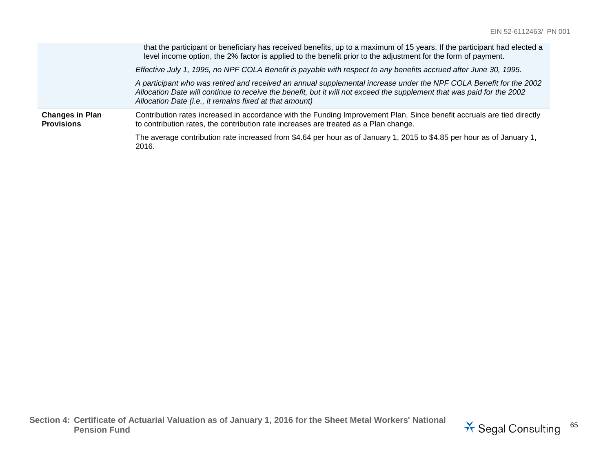|                                             | that the participant or beneficiary has received benefits, up to a maximum of 15 years. If the participant had elected a<br>level income option, the 2% factor is applied to the benefit prior to the adjustment for the form of payment.                                                               |
|---------------------------------------------|---------------------------------------------------------------------------------------------------------------------------------------------------------------------------------------------------------------------------------------------------------------------------------------------------------|
|                                             | Effective July 1, 1995, no NPF COLA Benefit is payable with respect to any benefits accrued after June 30, 1995.                                                                                                                                                                                        |
|                                             | A participant who was retired and received an annual supplemental increase under the NPF COLA Benefit for the 2002<br>Allocation Date will continue to receive the benefit, but it will not exceed the supplement that was paid for the 2002<br>Allocation Date (i.e., it remains fixed at that amount) |
| <b>Changes in Plan</b><br><b>Provisions</b> | Contribution rates increased in accordance with the Funding Improvement Plan. Since benefit accruals are tied directly<br>to contribution rates, the contribution rate increases are treated as a Plan change.                                                                                          |
|                                             | The average contribution rate increased from \$4.64 per hour as of January 1, 2015 to \$4.85 per hour as of January 1,<br>2016.                                                                                                                                                                         |

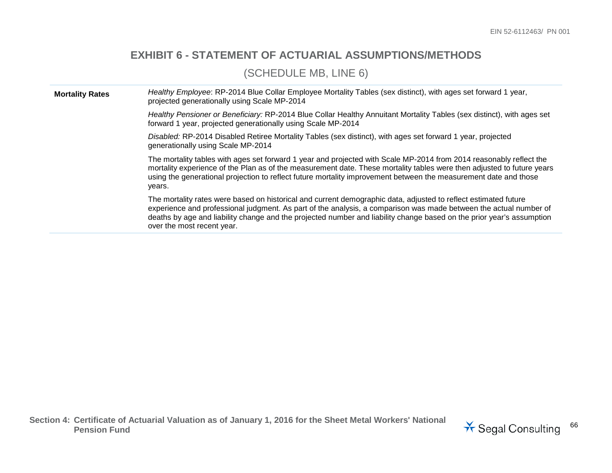#### **EXHIBIT 6 - STATEMENT OF ACTUARIAL ASSUMPTIONS/METHODS**

#### (SCHEDULE MB, LINE 6)

**Mortality Rates** *Healthy Employee*: RP-2014 Blue Collar Employee Mortality Tables (sex distinct), with ages set forward 1 year, projected generationally using Scale MP-2014

> *Healthy Pensioner or Beneficiary:* RP-2014 Blue Collar Healthy Annuitant Mortality Tables (sex distinct), with ages set forward 1 year, projected generationally using Scale MP-2014

*Disabled:* RP-2014 Disabled Retiree Mortality Tables (sex distinct), with ages set forward 1 year, projected generationally using Scale MP-2014

The mortality tables with ages set forward 1 year and projected with Scale MP-2014 from 2014 reasonably reflect the mortality experience of the Plan as of the measurement date. These mortality tables were then adjusted to future years using the generational projection to reflect future mortality improvement between the measurement date and those years.

The mortality rates were based on historical and current demographic data, adjusted to reflect estimated future experience and professional judgment. As part of the analysis, a comparison was made between the actual number of deaths by age and liability change and the projected number and liability change based on the prior year's assumption over the most recent year.

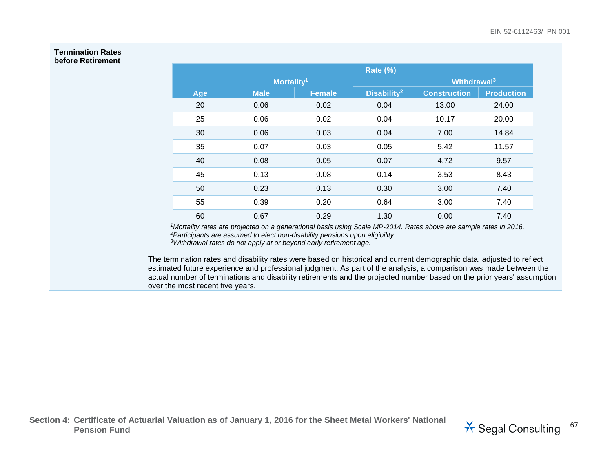#### **Termination Rates before Retirement**

|     | <b>Rate (%)</b>        |               |                         |                         |                   |
|-----|------------------------|---------------|-------------------------|-------------------------|-------------------|
|     | Mortality <sup>1</sup> |               |                         | Withdrawal <sup>3</sup> |                   |
| Age | <b>Male</b>            | <b>Female</b> | Disability <sup>2</sup> | <b>Construction</b>     | <b>Production</b> |
| 20  | 0.06                   | 0.02          | 0.04                    | 13.00                   | 24.00             |
| 25  | 0.06                   | 0.02          | 0.04                    | 10.17                   | 20.00             |
| 30  | 0.06                   | 0.03          | 0.04                    | 7.00                    | 14.84             |
| 35  | 0.07                   | 0.03          | 0.05                    | 5.42                    | 11.57             |
| 40  | 0.08                   | 0.05          | 0.07                    | 4.72                    | 9.57              |
| 45  | 0.13                   | 0.08          | 0.14                    | 3.53                    | 8.43              |
| 50  | 0.23                   | 0.13          | 0.30                    | 3.00                    | 7.40              |
| 55  | 0.39                   | 0.20          | 0.64                    | 3.00                    | 7.40              |
| 60  | 0.67                   | 0.29          | 1.30                    | 0.00                    | 7.40              |

*1Mortality rates are projected on a generational basis using Scale MP-2014. Rates above are sample rates in 2016. 2Participants are assumed to elect non-disability pensions upon eligibility.*

*3Withdrawal rates do not apply at or beyond early retirement age.*

The termination rates and disability rates were based on historical and current demographic data, adjusted to reflect estimated future experience and professional judgment. As part of the analysis, a comparison was made between the actual number of terminations and disability retirements and the projected number based on the prior years' assumption over the most recent five years.

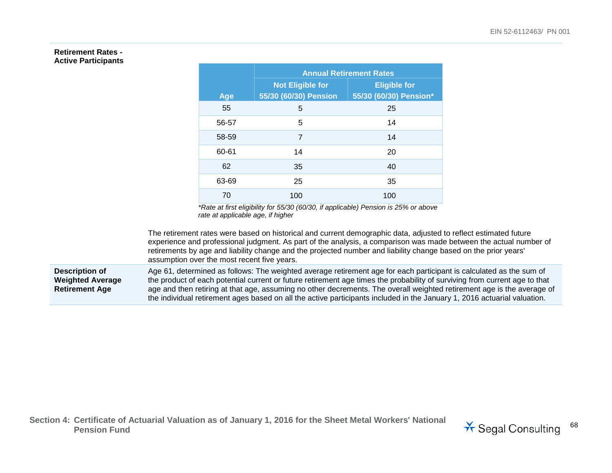#### **Retirement Rates - Active Participants**

|       | <b>Annual Retirement Rates</b> |                        |  |
|-------|--------------------------------|------------------------|--|
|       | <b>Not Eligible for</b>        | <b>Eligible for</b>    |  |
| Age   | 55/30 (60/30) Pension          | 55/30 (60/30) Pension* |  |
| 55    | 5                              | 25                     |  |
| 56-57 | 5                              | 14                     |  |
| 58-59 | 7                              | 14                     |  |
| 60-61 | 14                             | 20                     |  |
| 62    | 35                             | 40                     |  |
| 63-69 | 25                             | 35                     |  |
| 70    | 100                            | 100                    |  |

*\*Rate at first eligibility for 55/30 (60/30, if applicable) Pension is 25% or above rate at applicable age, if higher*

The retirement rates were based on historical and current demographic data, adjusted to reflect estimated future experience and professional judgment. As part of the analysis, a comparison was made between the actual number of retirements by age and liability change and the projected number and liability change based on the prior years' assumption over the most recent five years.

**Description of Weighted Average Retirement Age**

Age 61, determined as follows: The weighted average retirement age for each participant is calculated as the sum of the product of each potential current or future retirement age times the probability of surviving from current age to that age and then retiring at that age, assuming no other decrements. The overall weighted retirement age is the average of the individual retirement ages based on all the active participants included in the January 1, 2016 actuarial valuation.

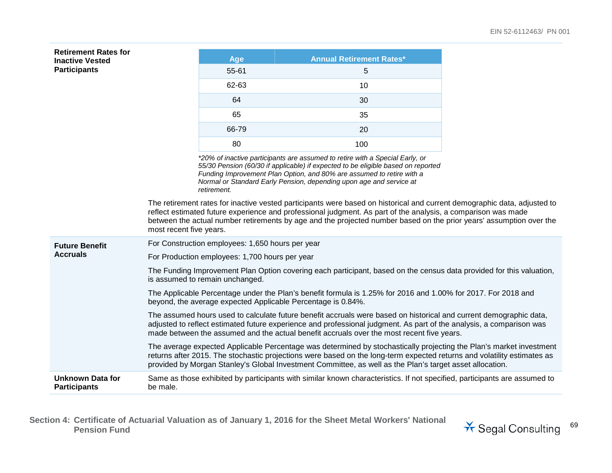| <b>Retirement Rates for</b>                    |                                                                                                                                                                               |                                                                                                                                                                                                                                                                                                                                         |                                                                                                                                                                                                                                                                                                                                                                  |  |
|------------------------------------------------|-------------------------------------------------------------------------------------------------------------------------------------------------------------------------------|-----------------------------------------------------------------------------------------------------------------------------------------------------------------------------------------------------------------------------------------------------------------------------------------------------------------------------------------|------------------------------------------------------------------------------------------------------------------------------------------------------------------------------------------------------------------------------------------------------------------------------------------------------------------------------------------------------------------|--|
| <b>Inactive Vested</b><br><b>Participants</b>  |                                                                                                                                                                               | Age<br>55-61                                                                                                                                                                                                                                                                                                                            | <b>Annual Retirement Rates*</b><br>5                                                                                                                                                                                                                                                                                                                             |  |
|                                                |                                                                                                                                                                               | 62-63                                                                                                                                                                                                                                                                                                                                   | 10                                                                                                                                                                                                                                                                                                                                                               |  |
|                                                |                                                                                                                                                                               |                                                                                                                                                                                                                                                                                                                                         |                                                                                                                                                                                                                                                                                                                                                                  |  |
|                                                |                                                                                                                                                                               | 64                                                                                                                                                                                                                                                                                                                                      | 30                                                                                                                                                                                                                                                                                                                                                               |  |
|                                                |                                                                                                                                                                               | 65                                                                                                                                                                                                                                                                                                                                      | 35                                                                                                                                                                                                                                                                                                                                                               |  |
|                                                |                                                                                                                                                                               | 66-79                                                                                                                                                                                                                                                                                                                                   | 20                                                                                                                                                                                                                                                                                                                                                               |  |
|                                                |                                                                                                                                                                               | 80                                                                                                                                                                                                                                                                                                                                      | 100                                                                                                                                                                                                                                                                                                                                                              |  |
|                                                |                                                                                                                                                                               | retirement.                                                                                                                                                                                                                                                                                                                             | *20% of inactive participants are assumed to retire with a Special Early, or<br>55/30 Pension (60/30 if applicable) if expected to be eligible based on reported<br>Funding Improvement Plan Option, and 80% are assumed to retire with a<br>Normal or Standard Early Pension, depending upon age and service at                                                 |  |
|                                                | most recent five years.                                                                                                                                                       |                                                                                                                                                                                                                                                                                                                                         | The retirement rates for inactive vested participants were based on historical and current demographic data, adjusted to<br>reflect estimated future experience and professional judgment. As part of the analysis, a comparison was made<br>between the actual number retirements by age and the projected number based on the prior years' assumption over the |  |
| <b>Future Benefit</b>                          |                                                                                                                                                                               | For Construction employees: 1,650 hours per year                                                                                                                                                                                                                                                                                        |                                                                                                                                                                                                                                                                                                                                                                  |  |
| <b>Accruals</b>                                | For Production employees: 1,700 hours per year                                                                                                                                |                                                                                                                                                                                                                                                                                                                                         |                                                                                                                                                                                                                                                                                                                                                                  |  |
|                                                | The Funding Improvement Plan Option covering each participant, based on the census data provided for this valuation,<br>is assumed to remain unchanged.                       |                                                                                                                                                                                                                                                                                                                                         |                                                                                                                                                                                                                                                                                                                                                                  |  |
|                                                | The Applicable Percentage under the Plan's benefit formula is 1.25% for 2016 and 1.00% for 2017. For 2018 and<br>beyond, the average expected Applicable Percentage is 0.84%. |                                                                                                                                                                                                                                                                                                                                         |                                                                                                                                                                                                                                                                                                                                                                  |  |
|                                                |                                                                                                                                                                               | The assumed hours used to calculate future benefit accruals were based on historical and current demographic data,<br>adjusted to reflect estimated future experience and professional judgment. As part of the analysis, a comparison was<br>made between the assumed and the actual benefit accruals over the most recent five years. |                                                                                                                                                                                                                                                                                                                                                                  |  |
|                                                |                                                                                                                                                                               |                                                                                                                                                                                                                                                                                                                                         | The average expected Applicable Percentage was determined by stochastically projecting the Plan's market investment<br>returns after 2015. The stochastic projections were based on the long-term expected returns and volatility estimates as<br>provided by Morgan Stanley's Global Investment Committee, as well as the Plan's target asset allocation.       |  |
| <b>Unknown Data for</b><br><b>Participants</b> | be male.                                                                                                                                                                      |                                                                                                                                                                                                                                                                                                                                         | Same as those exhibited by participants with similar known characteristics. If not specified, participants are assumed to                                                                                                                                                                                                                                        |  |

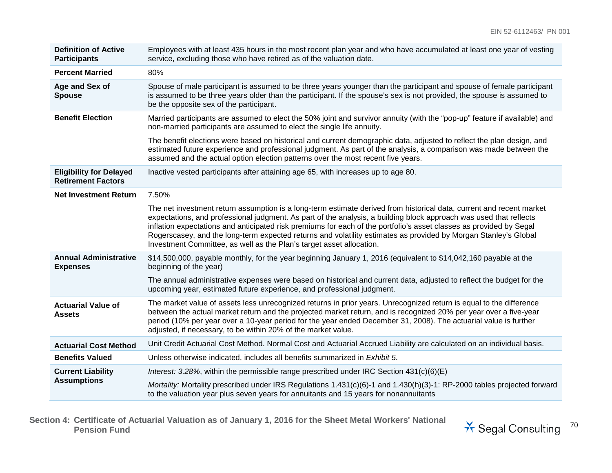| <b>Definition of Active</b><br><b>Participants</b>          | Employees with at least 435 hours in the most recent plan year and who have accumulated at least one year of vesting<br>service, excluding those who have retired as of the valuation date.                                                                                                                                                                                                                                                                                                                                                                  |
|-------------------------------------------------------------|--------------------------------------------------------------------------------------------------------------------------------------------------------------------------------------------------------------------------------------------------------------------------------------------------------------------------------------------------------------------------------------------------------------------------------------------------------------------------------------------------------------------------------------------------------------|
| <b>Percent Married</b>                                      | 80%                                                                                                                                                                                                                                                                                                                                                                                                                                                                                                                                                          |
| Age and Sex of<br><b>Spouse</b>                             | Spouse of male participant is assumed to be three years younger than the participant and spouse of female participant<br>is assumed to be three years older than the participant. If the spouse's sex is not provided, the spouse is assumed to<br>be the opposite sex of the participant.                                                                                                                                                                                                                                                                   |
| <b>Benefit Election</b>                                     | Married participants are assumed to elect the 50% joint and survivor annuity (with the "pop-up" feature if available) and<br>non-married participants are assumed to elect the single life annuity.                                                                                                                                                                                                                                                                                                                                                          |
|                                                             | The benefit elections were based on historical and current demographic data, adjusted to reflect the plan design, and<br>estimated future experience and professional judgment. As part of the analysis, a comparison was made between the<br>assumed and the actual option election patterns over the most recent five years.                                                                                                                                                                                                                               |
| <b>Eligibility for Delayed</b><br><b>Retirement Factors</b> | Inactive vested participants after attaining age 65, with increases up to age 80.                                                                                                                                                                                                                                                                                                                                                                                                                                                                            |
| <b>Net Investment Return</b>                                | 7.50%                                                                                                                                                                                                                                                                                                                                                                                                                                                                                                                                                        |
|                                                             | The net investment return assumption is a long-term estimate derived from historical data, current and recent market<br>expectations, and professional judgment. As part of the analysis, a building block approach was used that reflects<br>inflation expectations and anticipated risk premiums for each of the portfolio's asset classes as provided by Segal<br>Rogerscasey, and the long-term expected returns and volatility estimates as provided by Morgan Stanley's Global<br>Investment Committee, as well as the Plan's target asset allocation. |
| <b>Annual Administrative</b><br><b>Expenses</b>             | \$14,500,000, payable monthly, for the year beginning January 1, 2016 (equivalent to \$14,042,160 payable at the<br>beginning of the year)                                                                                                                                                                                                                                                                                                                                                                                                                   |
|                                                             | The annual administrative expenses were based on historical and current data, adjusted to reflect the budget for the<br>upcoming year, estimated future experience, and professional judgment.                                                                                                                                                                                                                                                                                                                                                               |
| <b>Actuarial Value of</b><br><b>Assets</b>                  | The market value of assets less unrecognized returns in prior years. Unrecognized return is equal to the difference<br>between the actual market return and the projected market return, and is recognized 20% per year over a five-year<br>period (10% per year over a 10-year period for the year ended December 31, 2008). The actuarial value is further<br>adjusted, if necessary, to be within 20% of the market value.                                                                                                                                |
| <b>Actuarial Cost Method</b>                                | Unit Credit Actuarial Cost Method. Normal Cost and Actuarial Accrued Liability are calculated on an individual basis.                                                                                                                                                                                                                                                                                                                                                                                                                                        |
| <b>Benefits Valued</b>                                      | Unless otherwise indicated, includes all benefits summarized in Exhibit 5.                                                                                                                                                                                                                                                                                                                                                                                                                                                                                   |
| <b>Current Liability</b>                                    | Interest: 3.28%, within the permissible range prescribed under IRC Section $431(c)(6)(E)$                                                                                                                                                                                                                                                                                                                                                                                                                                                                    |
| <b>Assumptions</b>                                          | Mortality: Mortality prescribed under IRS Regulations 1.431(c)(6)-1 and 1.430(h)(3)-1: RP-2000 tables projected forward<br>to the valuation year plus seven years for annuitants and 15 years for nonannuitants                                                                                                                                                                                                                                                                                                                                              |

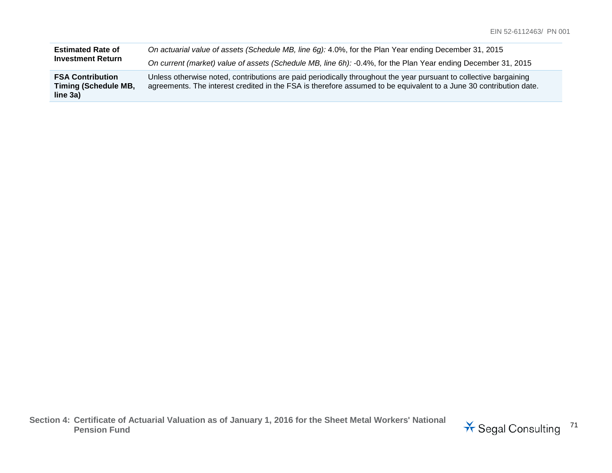| <b>Estimated Rate of</b>                                           | On actuarial value of assets (Schedule MB, line 6g): 4.0%, for the Plan Year ending December 31, 2015                                                                                                                                   |
|--------------------------------------------------------------------|-----------------------------------------------------------------------------------------------------------------------------------------------------------------------------------------------------------------------------------------|
| <b>Investment Return</b>                                           | On current (market) value of assets (Schedule MB, line 6h): -0.4%, for the Plan Year ending December 31, 2015                                                                                                                           |
| <b>FSA Contribution</b><br><b>Timing (Schedule MB,</b><br>line 3a) | Unless otherwise noted, contributions are paid periodically throughout the year pursuant to collective bargaining<br>agreements. The interest credited in the FSA is therefore assumed to be equivalent to a June 30 contribution date. |

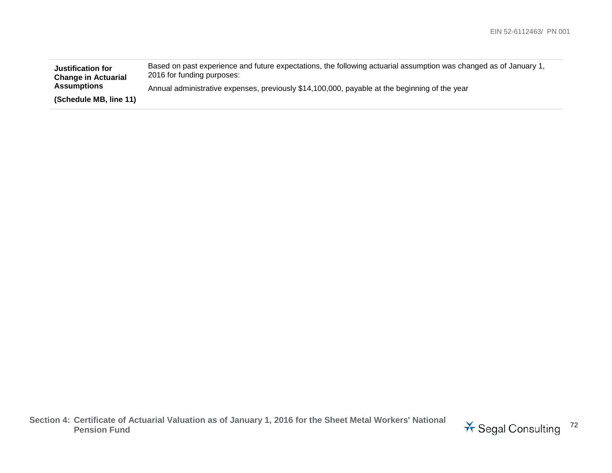| <b>Justification for</b><br><b>Change in Actuarial</b> | Based on past experience and future expectations, the following actuarial assumption was changed as of January 1,<br>2016 for funding purposes: |
|--------------------------------------------------------|-------------------------------------------------------------------------------------------------------------------------------------------------|
| <b>Assumptions</b>                                     | Annual administrative expenses, previously \$14,100,000, payable at the beginning of the year                                                   |
| (Schedule MB, line 11)                                 |                                                                                                                                                 |

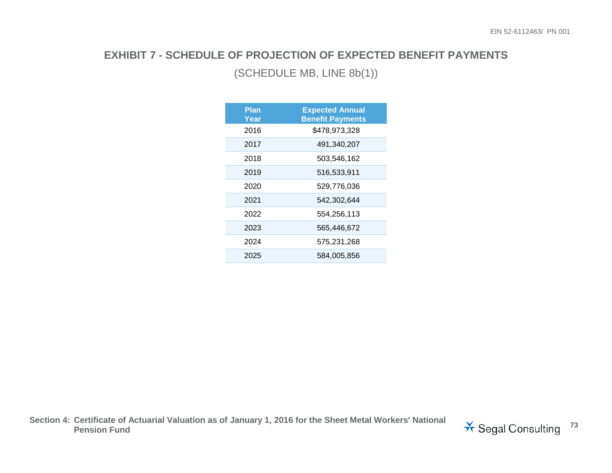# **EXHIBIT 7 - SCHEDULE OF PROJECTION OF EXPECTED BENEFIT PAYMENTS**

### (SCHEDULE MB, LINE 8b(1))

| Plan<br>Year | <b>Expected Annual</b><br><b>Benefit Payments</b> |
|--------------|---------------------------------------------------|
| 2016         | \$478,973,328                                     |
| 2017         | 491,340,207                                       |
| 2018         | 503,546,162                                       |
| 2019         | 516,533,911                                       |
| 2020         | 529,776,036                                       |
| 2021         | 542,302,644                                       |
| 2022         | 554,256,113                                       |
| 2023         | 565,446,672                                       |
| 2024         | 575,231,268                                       |
| 2025         | 584.005.856                                       |

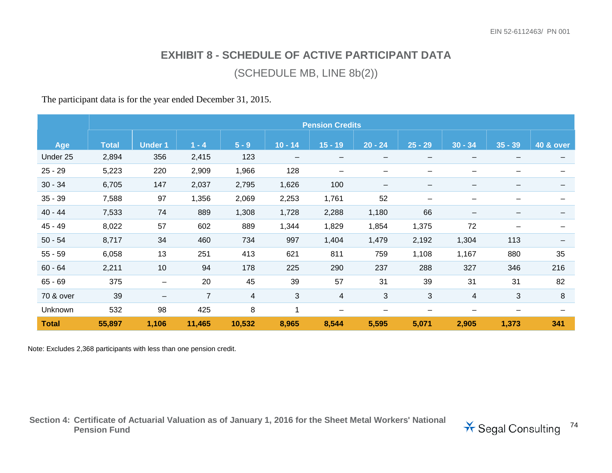## **EXHIBIT 8 - SCHEDULE OF ACTIVE PARTICIPANT DATA**

#### (SCHEDULE MB, LINE 8b(2))

The participant data is for the year ended December 31, 2015.

|              | <b>Pension Credits</b> |                          |                |         |                   |                          |                          |                          |                          |                 |                      |
|--------------|------------------------|--------------------------|----------------|---------|-------------------|--------------------------|--------------------------|--------------------------|--------------------------|-----------------|----------------------|
|              |                        |                          |                |         |                   |                          |                          |                          |                          |                 |                      |
| <b>Age</b>   | <b>Total</b>           | <b>Under 1</b>           | $1 - 4$        | $5 - 9$ | $10 - 14$         | $15 - 19$                | $20 - 24$                | $25 - 29$                | $30 - 34$                | $35 - 39$       | <b>40 &amp; over</b> |
| Under 25     | 2,894                  | 356                      | 2,415          | 123     | $\qquad \qquad -$ | $\overline{\phantom{m}}$ | $\overline{\phantom{0}}$ | $\overline{\phantom{m}}$ | $\overline{\phantom{m}}$ | $\qquad \qquad$ |                      |
| $25 - 29$    | 5,223                  | 220                      | 2,909          | 1,966   | 128               | $\qquad \qquad$          | $\overline{\phantom{0}}$ | $\overline{\phantom{0}}$ |                          |                 |                      |
| $30 - 34$    | 6,705                  | 147                      | 2,037          | 2,795   | 1,626             | 100                      | $\qquad \qquad$          | $\qquad \qquad$          |                          |                 |                      |
| $35 - 39$    | 7,588                  | 97                       | 1,356          | 2,069   | 2,253             | 1,761                    | 52                       | $\overline{\phantom{0}}$ |                          |                 |                      |
| $40 - 44$    | 7,533                  | 74                       | 889            | 1,308   | 1,728             | 2,288                    | 1,180                    | 66                       | $\overline{\phantom{m}}$ |                 |                      |
| $45 - 49$    | 8,022                  | 57                       | 602            | 889     | 1,344             | 1,829                    | 1,854                    | 1,375                    | 72                       |                 |                      |
| $50 - 54$    | 8,717                  | 34                       | 460            | 734     | 997               | 1,404                    | 1,479                    | 2,192                    | 1,304                    | 113             |                      |
| $55 - 59$    | 6,058                  | 13                       | 251            | 413     | 621               | 811                      | 759                      | 1,108                    | 1,167                    | 880             | 35                   |
| $60 - 64$    | 2,211                  | 10                       | 94             | 178     | 225               | 290                      | 237                      | 288                      | 327                      | 346             | 216                  |
| $65 - 69$    | 375                    |                          | 20             | 45      | 39                | 57                       | 31                       | 39                       | 31                       | 31              | 82                   |
| 70 & over    | 39                     | $\overline{\phantom{m}}$ | $\overline{7}$ | 4       | 3                 | $\overline{4}$           | $\sqrt{3}$               | 3                        | 4                        | 3               | 8                    |
| Unknown      | 532                    | 98                       | 425            | 8       | 1                 | $\qquad \qquad$          | $\qquad \qquad$          | —                        |                          |                 |                      |
| <b>Total</b> | 55,897                 | 1,106                    | 11,465         | 10,532  | 8,965             | 8,544                    | 5,595                    | 5,071                    | 2,905                    | 1,373           | 341                  |

Note: Excludes 2,368 participants with less than one pension credit.

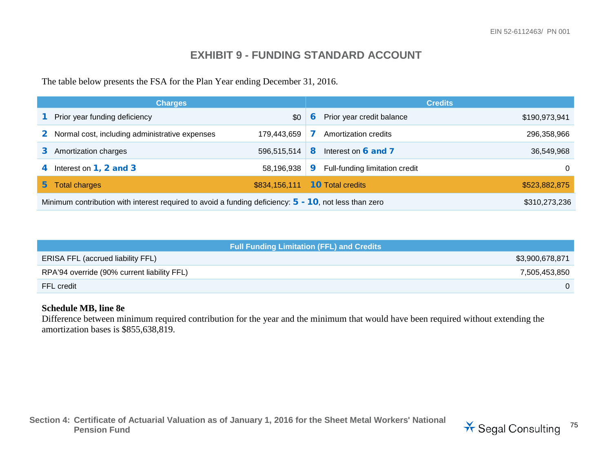### **EXHIBIT 9 - FUNDING STANDARD ACCOUNT**

The table below presents the FSA for the Plan Year ending December 31, 2016.

|                | <b>Charges</b>                                                                                           |               |   |                                | <b>Credits</b> |
|----------------|----------------------------------------------------------------------------------------------------------|---------------|---|--------------------------------|----------------|
|                | Prior year funding deficiency                                                                            | \$0           | 6 | Prior year credit balance      | \$190,973,941  |
| $\mathbf{2}^-$ | Normal cost, including administrative expenses                                                           | 179.443.659   |   | Amortization credits           | 296,358,966    |
|                | Amortization charges                                                                                     | 596,515,514   | 8 | Interest on 6 and 7            | 36,549,968     |
|                | Interest on $1, 2$ and $3$                                                                               | 58,196,938    | 9 | Full-funding limitation credit | 0              |
| 5.             | <b>Total charges</b>                                                                                     | \$834,156,111 |   | <b>10</b> Total credits        | \$523,882,875  |
|                | Minimum contribution with interest required to avoid a funding deficiency: $5 - 10$ , not less than zero |               |   |                                |                |

| <b>Full Funding Limitation (FFL) and Credits</b> |                 |
|--------------------------------------------------|-----------------|
| <b>ERISA FFL (accrued liability FFL)</b>         | \$3,900,678,871 |
| RPA'94 override (90% current liability FFL)      | 7,505,453,850   |
| FFL credit                                       |                 |

#### **Schedule MB, line 8e**

Difference between minimum required contribution for the year and the minimum that would have been required without extending the amortization bases is \$855,638,819.

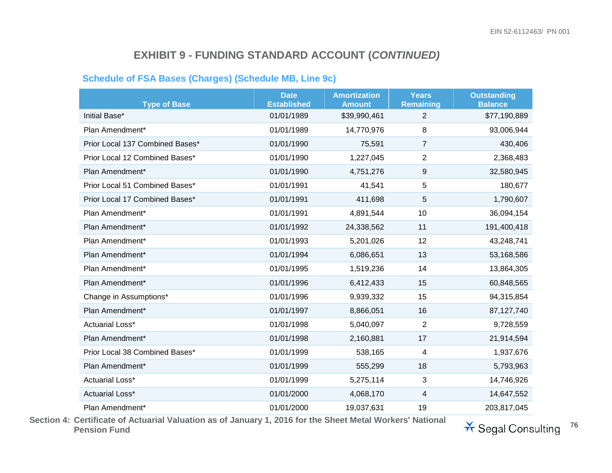#### **Schedule of FSA Bases (Charges) (Schedule MB, Line 9c)**

| <b>Type of Base</b>             | <b>Date</b><br><b>Established</b> | <b>Amortization</b><br><b>Amount</b> | <b>Years</b><br><b>Remaining</b> | <b>Outstanding</b><br><b>Balance</b> |
|---------------------------------|-----------------------------------|--------------------------------------|----------------------------------|--------------------------------------|
| Initial Base*                   | 01/01/1989                        | \$39,990,461                         | $\overline{2}$                   | \$77,190,889                         |
| Plan Amendment*                 | 01/01/1989                        | 14,770,976                           | 8                                | 93,006,944                           |
| Prior Local 137 Combined Bases* | 01/01/1990                        | 75,591                               | $\overline{7}$                   | 430,406                              |
| Prior Local 12 Combined Bases*  | 01/01/1990                        | 1,227,045                            | $\overline{2}$                   | 2,368,483                            |
| Plan Amendment*                 | 01/01/1990                        | 4,751,276                            | 9                                | 32,580,945                           |
| Prior Local 51 Combined Bases*  | 01/01/1991                        | 41,541                               | 5                                | 180,677                              |
| Prior Local 17 Combined Bases*  | 01/01/1991                        | 411,698                              | 5                                | 1,790,607                            |
| Plan Amendment*                 | 01/01/1991                        | 4,891,544                            | 10                               | 36,094,154                           |
| Plan Amendment*                 | 01/01/1992                        | 24,338,562                           | 11                               | 191,400,418                          |
| Plan Amendment*                 | 01/01/1993                        | 5,201,026                            | 12                               | 43,248,741                           |
| Plan Amendment*                 | 01/01/1994                        | 6,086,651                            | 13                               | 53,168,586                           |
| Plan Amendment*                 | 01/01/1995                        | 1,519,236                            | 14                               | 13,864,305                           |
| Plan Amendment*                 | 01/01/1996                        | 6,412,433                            | 15                               | 60,848,565                           |
| Change in Assumptions*          | 01/01/1996                        | 9,939,332                            | 15                               | 94,315,854                           |
| Plan Amendment*                 | 01/01/1997                        | 8,866,051                            | 16                               | 87,127,740                           |
| <b>Actuarial Loss*</b>          | 01/01/1998                        | 5,040,097                            | $\overline{2}$                   | 9,728,559                            |
| Plan Amendment*                 | 01/01/1998                        | 2,160,881                            | 17                               | 21,914,594                           |
| Prior Local 38 Combined Bases*  | 01/01/1999                        | 538,165                              | 4                                | 1,937,676                            |
| Plan Amendment*                 | 01/01/1999                        | 555,299                              | 18                               | 5,793,963                            |
| <b>Actuarial Loss*</b>          | 01/01/1999                        | 5,275,114                            | 3                                | 14,746,926                           |
| <b>Actuarial Loss*</b>          | 01/01/2000                        | 4,068,170                            | 4                                | 14,647,552                           |
| Plan Amendment*                 | 01/01/2000                        | 19,037,631                           | 19                               | 203,817,045                          |

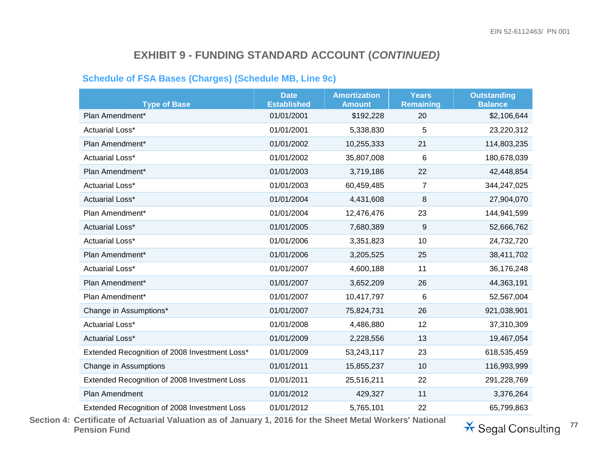#### **Schedule of FSA Bases (Charges) (Schedule MB, Line 9c)**

| <b>Type of Base</b>                           | <b>Date</b><br><b>Established</b> | <b>Amortization</b><br><b>Amount</b> | <b>Years</b><br><b>Remaining</b> | <b>Outstanding</b><br><b>Balance</b> |
|-----------------------------------------------|-----------------------------------|--------------------------------------|----------------------------------|--------------------------------------|
| Plan Amendment*                               | 01/01/2001                        | \$192,228                            | 20                               | \$2,106,644                          |
| <b>Actuarial Loss*</b>                        | 01/01/2001                        | 5,338,830                            | 5                                | 23,220,312                           |
| Plan Amendment*                               | 01/01/2002                        | 10,255,333                           | 21                               | 114,803,235                          |
| Actuarial Loss*                               | 01/01/2002                        | 35,807,008                           | 6                                | 180,678,039                          |
| Plan Amendment*                               | 01/01/2003                        | 3,719,186                            | 22                               | 42,448,854                           |
| <b>Actuarial Loss*</b>                        | 01/01/2003                        | 60,459,485                           | 7                                | 344,247,025                          |
| <b>Actuarial Loss*</b>                        | 01/01/2004                        | 4,431,608                            | 8                                | 27,904,070                           |
| Plan Amendment*                               | 01/01/2004                        | 12,476,476                           | 23                               | 144,941,599                          |
| <b>Actuarial Loss*</b>                        | 01/01/2005                        | 7,680,389                            | $\boldsymbol{9}$                 | 52,666,762                           |
| <b>Actuarial Loss*</b>                        | 01/01/2006                        | 3,351,823                            | 10                               | 24,732,720                           |
| Plan Amendment*                               | 01/01/2006                        | 3,205,525                            | 25                               | 38,411,702                           |
| Actuarial Loss*                               | 01/01/2007                        | 4,600,188                            | 11                               | 36,176,248                           |
| Plan Amendment*                               | 01/01/2007                        | 3,652,209                            | 26                               | 44,363,191                           |
| Plan Amendment*                               | 01/01/2007                        | 10,417,797                           | 6                                | 52,567,004                           |
| Change in Assumptions*                        | 01/01/2007                        | 75,824,731                           | 26                               | 921,038,901                          |
| <b>Actuarial Loss*</b>                        | 01/01/2008                        | 4,486,880                            | 12                               | 37,310,309                           |
| Actuarial Loss*                               | 01/01/2009                        | 2,228,556                            | 13                               | 19,467,054                           |
| Extended Recognition of 2008 Investment Loss* | 01/01/2009                        | 53,243,117                           | 23                               | 618,535,459                          |
| Change in Assumptions                         | 01/01/2011                        | 15,855,237                           | 10                               | 116,993,999                          |
| Extended Recognition of 2008 Investment Loss  | 01/01/2011                        | 25,516,211                           | 22                               | 291,228,769                          |
| Plan Amendment                                | 01/01/2012                        | 429,327                              | 11                               | 3,376,264                            |
| Extended Recognition of 2008 Investment Loss  | 01/01/2012                        | 5,765,101                            | 22                               | 65,799,863                           |

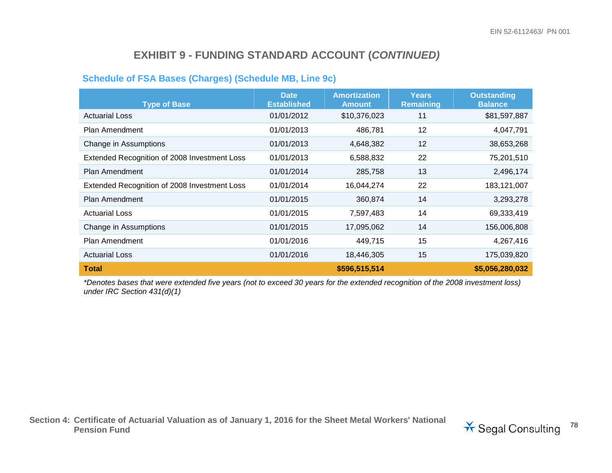#### **Schedule of FSA Bases (Charges) (Schedule MB, Line 9c)**

| <b>Type of Base</b>                          | <b>Date</b><br><b>Established</b> | <b>Amortization</b><br><b>Amount</b> | <b>Years</b><br><b>Remaining</b> | <b>Outstanding</b><br><b>Balance</b> |
|----------------------------------------------|-----------------------------------|--------------------------------------|----------------------------------|--------------------------------------|
| <b>Actuarial Loss</b>                        | 01/01/2012                        | \$10,376,023                         | 11                               | \$81,597,887                         |
| Plan Amendment                               | 01/01/2013                        | 486,781                              | 12                               | 4,047,791                            |
| Change in Assumptions                        | 01/01/2013                        | 4,648,382                            | 12                               | 38,653,268                           |
| Extended Recognition of 2008 Investment Loss | 01/01/2013                        | 6,588,832                            | 22                               | 75,201,510                           |
| Plan Amendment                               | 01/01/2014                        | 285,758                              | 13                               | 2,496,174                            |
| Extended Recognition of 2008 Investment Loss | 01/01/2014                        | 16,044,274                           | 22                               | 183, 121, 007                        |
| <b>Plan Amendment</b>                        | 01/01/2015                        | 360,874                              | 14                               | 3,293,278                            |
| <b>Actuarial Loss</b>                        | 01/01/2015                        | 7,597,483                            | 14                               | 69,333,419                           |
| Change in Assumptions                        | 01/01/2015                        | 17,095,062                           | 14                               | 156,006,808                          |
| <b>Plan Amendment</b>                        | 01/01/2016                        | 449,715                              | 15                               | 4,267,416                            |
| <b>Actuarial Loss</b>                        | 01/01/2016                        | 18,446,305                           | 15                               | 175,039,820                          |
| Total                                        |                                   | \$596,515,514                        |                                  | \$5,056,280,032                      |

*\*Denotes bases that were extended five years (not to exceed 30 years for the extended recognition of the 2008 investment loss) under IRC Section 431(d)(1)*

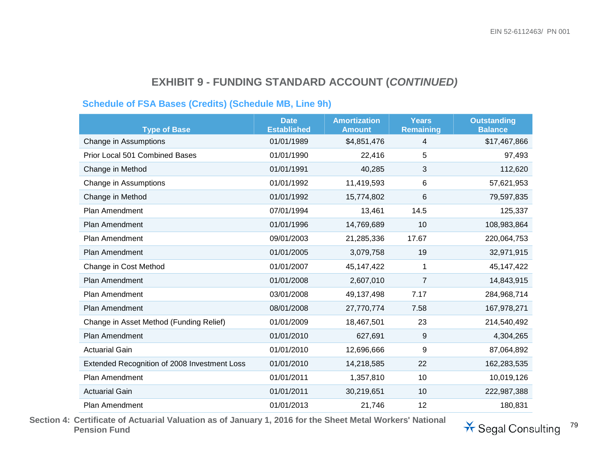#### **Schedule of FSA Bases (Credits) (Schedule MB, Line 9h)**

| <b>Type of Base</b>                          | <b>Date</b><br><b>Established</b> | <b>Amortization</b><br><b>Amount</b> | <b>Years</b><br><b>Remaining</b> | <b>Outstanding</b><br><b>Balance</b> |
|----------------------------------------------|-----------------------------------|--------------------------------------|----------------------------------|--------------------------------------|
| Change in Assumptions                        | 01/01/1989                        | \$4,851,476                          | 4                                | \$17,467,866                         |
| Prior Local 501 Combined Bases               | 01/01/1990                        | 22,416                               | 5                                | 97,493                               |
| Change in Method                             | 01/01/1991                        | 40,285                               | 3                                | 112,620                              |
| Change in Assumptions                        | 01/01/1992                        | 11,419,593                           | 6                                | 57,621,953                           |
| Change in Method                             | 01/01/1992                        | 15,774,802                           | 6                                | 79,597,835                           |
| <b>Plan Amendment</b>                        | 07/01/1994                        | 13,461                               | 14.5                             | 125,337                              |
| Plan Amendment                               | 01/01/1996                        | 14,769,689                           | 10                               | 108,983,864                          |
| Plan Amendment                               | 09/01/2003                        | 21,285,336                           | 17.67                            | 220,064,753                          |
| Plan Amendment                               | 01/01/2005                        | 3,079,758                            | 19                               | 32,971,915                           |
| Change in Cost Method                        | 01/01/2007                        | 45,147,422                           | 1                                | 45,147,422                           |
| <b>Plan Amendment</b>                        | 01/01/2008                        | 2,607,010                            | 7                                | 14,843,915                           |
| <b>Plan Amendment</b>                        | 03/01/2008                        | 49,137,498                           | 7.17                             | 284,968,714                          |
| <b>Plan Amendment</b>                        | 08/01/2008                        | 27,770,774                           | 7.58                             | 167,978,271                          |
| Change in Asset Method (Funding Relief)      | 01/01/2009                        | 18,467,501                           | 23                               | 214,540,492                          |
| Plan Amendment                               | 01/01/2010                        | 627,691                              | 9                                | 4,304,265                            |
| <b>Actuarial Gain</b>                        | 01/01/2010                        | 12,696,666                           | 9                                | 87,064,892                           |
| Extended Recognition of 2008 Investment Loss | 01/01/2010                        | 14,218,585                           | 22                               | 162,283,535                          |
| <b>Plan Amendment</b>                        | 01/01/2011                        | 1,357,810                            | 10                               | 10,019,126                           |
| <b>Actuarial Gain</b>                        | 01/01/2011                        | 30,219,651                           | 10                               | 222,987,388                          |
| <b>Plan Amendment</b>                        | 01/01/2013                        | 21,746                               | 12                               | 180,831                              |